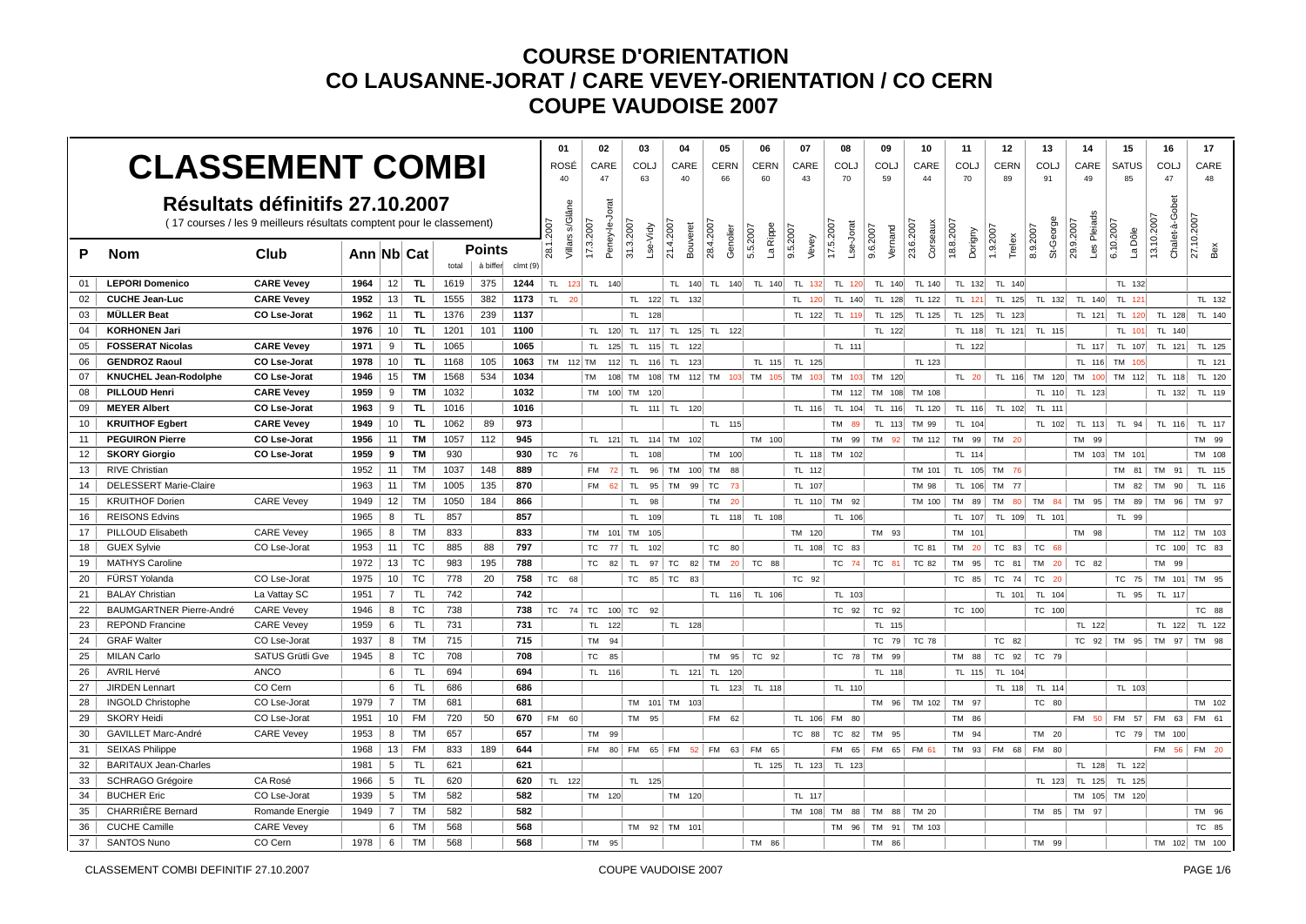|    | <b>CLASSEMENT COMBI</b>         |                                                                                                         |            |                 |           |       |                    |          | 01<br>ROSÉ              | 02<br>CARE         |                | 03<br><b>COLJ</b>     | 04<br>CARE            | 05<br><b>CERN</b>        | 06<br><b>CERN</b>    | 07<br>CARE                                                  | 08<br><b>COLJ</b>      | 09<br>COLJ          | 10<br>CARE            | 11<br><b>COLJ</b>    | 12<br><b>CERN</b> | 13<br><b>COLJ</b>                  | 14<br>CARE               | 15<br><b>SATUS</b>   | 16<br>COLJ                   | 17<br>CARE    |
|----|---------------------------------|---------------------------------------------------------------------------------------------------------|------------|-----------------|-----------|-------|--------------------|----------|-------------------------|--------------------|----------------|-----------------------|-----------------------|--------------------------|----------------------|-------------------------------------------------------------|------------------------|---------------------|-----------------------|----------------------|-------------------|------------------------------------|--------------------------|----------------------|------------------------------|---------------|
|    |                                 |                                                                                                         |            |                 |           |       |                    |          | 40                      | 47                 |                | 63                    | 40                    | 66                       | 60                   | 43                                                          | 70                     | 59                  | 44                    | 70                   | 89                | 91                                 | 49                       | 85                   | 47                           | 48            |
|    |                                 | Résultats définitifs 27.10.2007<br>(17 courses / les 9 meilleurs résultats comptent pour le classement) |            |                 |           |       |                    |          | Jillars s/Glâne<br>2007 | 17.3.2007          | Peney-le-Jorat | 31.3.2007<br>Lse-Vidy | 21.4.2007<br>Bouveret | 28.4.2007<br>Genolier    | La Rippe<br>5.5.2007 | 9.5.2007                                                    | 17.5.2007<br>Lse-Jorat | 9.6.2007<br>Vernand | 23.6.2007<br>Corseaux | 18.8.2007<br>Dorigny | 1.9.2007          | St-George<br>8.9.2007              | Les Pleiads<br>29.9.2007 | 6.10.2007<br>La Dôle | Chalet-à-Gobet<br>13.10.2007 | 27.10.2007    |
| P  | <b>Nom</b>                      | Club                                                                                                    | Ann Nb Cat |                 |           | total | Points<br>à biffer | clmt (9) | 28.1.                   |                    |                |                       |                       |                          |                      | Vevey                                                       |                        |                     |                       |                      | Trelex            |                                    |                          |                      |                              | Bex           |
| 01 | <b>LEPORI Domenico</b>          | <b>CARE Vevey</b>                                                                                       | 1964       | 12              | TL.       | 1619  | 375                | 1244     |                         | TL 123 TL 140      |                |                       |                       | TL 140 TL 140            | TL 140               | TL 132                                                      | TL 120                 | TL 140              | TL 140                | TL 132               | TL 140            |                                    |                          | TL 132               |                              |               |
| 02 | <b>CUCHE Jean-Luc</b>           | <b>CARE Vevey</b>                                                                                       | 1952       | 13              | <b>TL</b> | 1555  | 382                | 1173     | TL 20                   |                    |                |                       | TL 122 TL 132         |                          |                      | TL 120                                                      | TL 140                 | TL 128              | TL 122                | TL 121               | TL 125            | TL 132                             | TL 140                   | TL 121               |                              | TL 132        |
| 03 | <b>MÜLLER Beat</b>              | CO Lse-Jorat                                                                                            | 1962       | 11              | TL.       | 1376  | 239                | 1137     |                         |                    |                | TL 128                |                       |                          |                      | TL 122                                                      | TL 119                 | TL 125              | TL 125                | TL 125               | TL 123            |                                    | TL 121                   | TL 120               | TL 128                       | TL 140        |
| 04 | <b>KORHONEN Jari</b>            |                                                                                                         | 1976       | 10              | <b>TL</b> | 1201  | 101                | 1100     |                         |                    | TL 120 TL      |                       | $117$ TL              | 125 TL 122               |                      |                                                             |                        | TL 122              |                       | TL 118               | TL 121            | TL 115                             |                          | TL 101               | TL 140                       |               |
| 05 | <b>FOSSERAT Nicolas</b>         | <b>CARE Vevey</b>                                                                                       | 1971       | 9               | TL.       | 1065  |                    | 1065     |                         | TL.                | $125$ TL       |                       | $115$ TL<br>122       |                          |                      |                                                             | TL 111                 |                     |                       | TL 122               |                   |                                    | TL 117                   | TL 107               | TL 121                       | TL 125        |
| 06 | <b>GENDROZ Raoul</b>            | <b>CO Lse-Jorat</b>                                                                                     | 1978       | 10 <sup>1</sup> | TL.       | 1168  | 105                | 1063     | TM 112 TM               |                    |                | 112 TL 116 TL         | 123                   |                          | TL 115               | TL 125                                                      |                        |                     | TL 123                |                      |                   |                                    | TL 116 TM                | 105                  |                              | TL 121        |
| 07 | <b>KNUCHEL Jean-Rodolphe</b>    | <b>CO Lse-Jorat</b>                                                                                     | 1946       | 15              | <b>TM</b> | 1568  | 534                | 1034     |                         | <b>TM</b>          |                |                       |                       |                          |                      | 108 TM 108 TM 112 TM 103 TM 105 TM 103 TM 103 TM 103 TM 120 |                        |                     |                       | TL 20                |                   | TL 116 TM 120 TM 100 TM 112 TL 118 |                          |                      |                              | TL 120        |
| 08 | PILLOUD Henri                   | <b>CARE Vevey</b>                                                                                       | 1959       | 9               | <b>TM</b> | 1032  |                    | 1032     |                         | <b>TM</b>          | 100 TM         | 120                   |                       |                          |                      |                                                             | TM                     | 112 TM 108          | TM 108                |                      |                   | TL 110                             | TL 123                   |                      | TL 132                       | TL 119        |
| 09 | <b>MEYER Albert</b>             | <b>CO Lse-Jorat</b>                                                                                     | 1963       | 9 <sup>1</sup>  | TL.       | 1016  |                    | 1016     |                         |                    |                |                       | TL 111 TL 120         |                          |                      | TL 116                                                      | TL<br>104              | TL 116              | TL 120                | TL 116               | TL 102            | TL 111                             |                          |                      |                              |               |
| 10 | <b>KRUITHOF Egbert</b>          | <b>CARE Vevey</b>                                                                                       | 1949       | 10 <sup>1</sup> | TL.       | 1062  | 89                 | 973      |                         |                    |                |                       |                       | TL 115                   |                      |                                                             | TM<br>89               |                     | TL 113 TM 99          | TL 104               |                   | TL 102                             |                          | TL 113 TL 94         | TL 116                       | TL 117        |
| 11 | <b>PEGUIRON Pierre</b>          | <b>CO Lse-Jorat</b>                                                                                     | 1956       | 11 <sup>1</sup> | TМ        | 1057  | 112                | 945      |                         |                    |                |                       | TL 121 TL 114 TM 102  |                          | TM 100               |                                                             | TM 99                  | TM 92               | TM 112                |                      | TM 99 TM 20       |                                    | TM 99                    |                      |                              | TM 99         |
| 12 | <b>SKORY Giorgio</b>            | <b>CO Lse-Jorat</b>                                                                                     | 1959       | 9               | TМ        | 930   |                    | 930      | TC 76                   |                    |                | TL.<br>108            |                       | TM 100                   |                      |                                                             | TL 118 TM 102          |                     |                       | TL 114               |                   |                                    |                          | TM 103 TM 101        |                              | TM 108        |
| 13 | <b>RIVE Christian</b>           |                                                                                                         | 1952       | 11 <sup>1</sup> | <b>TM</b> | 1037  | 148                | 889      |                         | <b>FM</b>          | $72$ TL        |                       | 96 TM 100 TM          | 88                       |                      | TL 112                                                      |                        |                     | TM 101                |                      | TL 105 TM 76      |                                    |                          |                      | TM 81 TM 91                  | TL 115        |
| 14 | <b>DELESSERT Marie-Claire</b>   |                                                                                                         | 1963       | 11              | <b>TM</b> | 1005  | 135                | 870      |                         |                    | FM 62 TL       |                       | 95 TM                 | 99 TC<br>73              |                      | TL 107                                                      |                        |                     | TM 98                 |                      | TL 106 TM 77      |                                    |                          | <b>TM</b><br>82      | TM<br>90                     | TL 116        |
| 15 | <b>KRUITHOF Dorien</b>          | <b>CARE Vevey</b>                                                                                       | 1949       | 12              | <b>TM</b> | 1050  | 184                | 866      |                         |                    |                | TL 98                 |                       | TM<br>20                 |                      |                                                             | TL 110 TM 92           |                     | TM 100                | TM 89                | <b>TM</b><br>80   |                                    | TM 84 TM 95              | <b>TM</b><br>89      | TM<br>96                     | TM 97         |
| 16 | <b>REISONS Edvins</b>           |                                                                                                         | 1965       | 8               | <b>TL</b> | 857   |                    | 857      |                         |                    |                | TL<br>109             |                       | TL.<br>118               | TL 108               |                                                             | TL 106                 |                     |                       | TL.<br>107           | TL 109            | TL 101                             |                          | TL 99                |                              |               |
| 17 | PILLOUD Elisabeth               | <b>CARE Vevey</b>                                                                                       | 1965       | 8               | <b>TM</b> | 833   |                    | 833      |                         |                    |                | TM 101 TM 105         |                       |                          |                      | TM 120                                                      |                        | TM 93               |                       | TM 101               |                   |                                    | TM 98                    |                      |                              | TM 112 TM 103 |
| 18 | <b>GUEX Sylvie</b>              | CO Lse-Jorat                                                                                            | 1953       | 11              | TC        | 885   | 88                 | 797      |                         | TC                 | 77 TL          | 102                   |                       | TC<br>80                 |                      |                                                             | TL 108 TC 83           |                     | TC 81                 | TM 20                | TC 83             | TC 68                              |                          |                      | TC 100                       | TC 83         |
| 19 | <b>MATHYS Caroline</b>          |                                                                                                         | 1972       | 13              | TC        | 983   | 195                | 788      |                         | <b>TC</b>          | 82             | TL.                   | 97 TC                 | 82 TM<br>20 <sup>1</sup> | TC 88                |                                                             | TC 74                  | TC 81               | TC 82                 | TM 95                | TC 81             | TM 20                              | TC 82                    |                      | <b>TM</b><br>99              |               |
| 20 | FÜRST Yolanda                   | CO Lse-Jorat                                                                                            | 1975       | 10 <sup>1</sup> | <b>TC</b> | 778   | 20                 | 758      | TC 68                   |                    |                | <b>TC</b>             | 85 TC<br>83           |                          |                      | TC 92                                                       |                        |                     |                       | TC 85                | TC 74             | TC<br>20                           |                          | TC 75                | TM 101                       | TM 95         |
| 21 | <b>BALAY Christian</b>          | La Vattay SC                                                                                            | 1951       | $\overline{7}$  | <b>TL</b> | 742   |                    | 742      |                         |                    |                |                       |                       | TL 116                   | TL 106               |                                                             | TL 103                 |                     |                       |                      | TL 101            | TL 104                             |                          | TL 95                | TL 117                       |               |
| 22 | <b>BAUMGARTNER Pierre-André</b> | <b>CARE Vevey</b>                                                                                       | 1946       | 8               | TC        | 738   |                    | 738      |                         | TC 74 TC 100 TC 92 |                |                       |                       |                          |                      |                                                             | TC 92                  | TC 92               |                       | TC 100               |                   | TC 100                             |                          |                      |                              | TC 88         |
| 23 | <b>REPOND Francine</b>          | <b>CARE Vevey</b>                                                                                       | 1959       | 6               | <b>TL</b> | 731   |                    | 731      |                         | TL 122             |                |                       | TL 128                |                          |                      |                                                             |                        | TL 115              |                       |                      |                   |                                    | TL 122                   |                      | TL 122                       | TL 122        |
| 24 | <b>GRAF Walter</b>              | CO Lse-Jorat                                                                                            | 1937       | 8               | <b>TM</b> | 715   |                    | 715      |                         | <b>TM</b>          | 94             |                       |                       |                          |                      |                                                             |                        | TC 79               | TC 78                 |                      | TC 82             |                                    |                          | TC 92 TM 95          | <b>TM</b><br>97              | TM 98         |
| 25 | <b>MILAN Carlo</b>              | SATUS Grütli Gve                                                                                        | 1945       | 8               | TC        | 708   |                    | 708      |                         | TC                 | 85             |                       |                       | <b>TM</b><br>95          | TC 92                |                                                             | TC 78                  | TM 99               |                       | TM 88                | $TC$ 92           | TC 79                              |                          |                      |                              |               |
| 26 | <b>AVRIL Hervé</b>              | <b>ANCO</b>                                                                                             |            | 6               | TL.       | 694   |                    | 694      |                         | TL 116             |                |                       | TL 121 TL             | 120                      |                      |                                                             |                        | TL 118              |                       | TL 115               | TL 104            |                                    |                          |                      |                              |               |
| 27 | <b>JIRDEN Lennart</b>           | CO Cern                                                                                                 |            | 6               | TL        | 686   |                    | 686      |                         |                    |                |                       |                       | TL 123                   | TL 118               |                                                             | TL 110                 |                     |                       |                      | TL 118            | TL 114                             |                          | TL 103               |                              |               |
| 28 | <b>INGOLD Christophe</b>        | CO Lse-Jorat                                                                                            | 1979       | 7 <sup>1</sup>  | <b>TM</b> | 681   |                    | 681      |                         |                    |                |                       | TM 101 TM 103         |                          |                      |                                                             |                        | TM 96               | TM 102                | TM 97                |                   | TC 80                              |                          |                      |                              | TM 102        |
| 29 | <b>SKORY Heidi</b>              | CO Lse-Jorat                                                                                            | 1951       | 10              | FM        | 720   | 50                 | 670      | FM 60                   |                    |                | TM 95                 |                       | <b>FM</b><br>62          |                      | TL 106                                                      | <b>FM</b><br>80        |                     |                       | TM 86                |                   |                                    |                          | FM 50 FM 57          | <b>FM</b><br>63              | FM 61         |
| 30 | <b>GAVILLET Marc-André</b>      | <b>CARE Vevey</b>                                                                                       | 1953       | 8 <sup>1</sup>  | <b>TM</b> | 657   |                    | 657      |                         | TM 99              |                |                       |                       |                          |                      | TC 88                                                       | TC 82                  | TM 95               |                       | TM 94                |                   | TM 20                              |                          |                      | TC 79 TM 100                 |               |
| 31 | <b>SEIXAS Philippe</b>          |                                                                                                         | 1968       | 13              | FM        | 833   | 189                | 644      |                         | <b>FM</b>          |                | 80 FM 65 FM           |                       | 52 FM<br>63              | FM 65                |                                                             | FM 65                  | FM 65 FM 61         |                       |                      | TM 93 FM 68       | FM 80                              |                          |                      | FM 56                        | FM 20         |
| 32 | <b>BARITAUX Jean-Charles</b>    |                                                                                                         | 1981       | $5\overline{)}$ | <b>TL</b> | 621   |                    | 621      |                         |                    |                |                       |                       |                          | TL 125               | TL 123                                                      | TL 123                 |                     |                       |                      |                   |                                    | TL 128                   | TL 122               |                              |               |
| 33 | <b>SCHRAGO Grégoire</b>         | CA Rosé                                                                                                 | 1966       | 5               | <b>TL</b> | 620   |                    | 620      | TL 122                  |                    |                | TL 125                |                       |                          |                      |                                                             |                        |                     |                       |                      |                   | TL 123                             | TL 125                   | TL 125               |                              |               |
| 34 | <b>BUCHER Eric</b>              | CO Lse-Jorat                                                                                            | 1939       | $5\overline{5}$ | <b>TM</b> | 582   |                    | 582      |                         | TM 120             |                |                       | TM 120                |                          |                      | TL 117                                                      |                        |                     |                       |                      |                   |                                    |                          | TM 105 TM 120        |                              |               |
| 35 | <b>CHARRIÈRE Bernard</b>        | Romande Energie                                                                                         | 1949       | $\overline{7}$  | <b>TM</b> | 582   |                    | 582      |                         |                    |                |                       |                       |                          |                      | TM 108                                                      | 88<br><b>TM</b>        | <b>TM</b><br>88     | TM 20                 |                      |                   | TM 85                              | TM 97                    |                      |                              | TM 96         |
| 36 | <b>CUCHE Camille</b>            | <b>CARE Vevey</b>                                                                                       |            | 6               | <b>TM</b> | 568   |                    | 568      |                         |                    |                |                       | TM 92 TM 101          |                          |                      |                                                             | TM 96                  | TM 91               | TM 103                |                      |                   |                                    |                          |                      |                              | TC 85         |
| 37 | <b>SANTOS Nuno</b>              | CO Cern                                                                                                 | 1978       | 6               | <b>TM</b> | 568   |                    | 568      |                         | TM 95              |                |                       |                       |                          | TM 86                |                                                             |                        | TM 86               |                       |                      |                   | TM 99                              |                          |                      | TM 102                       | TM 100        |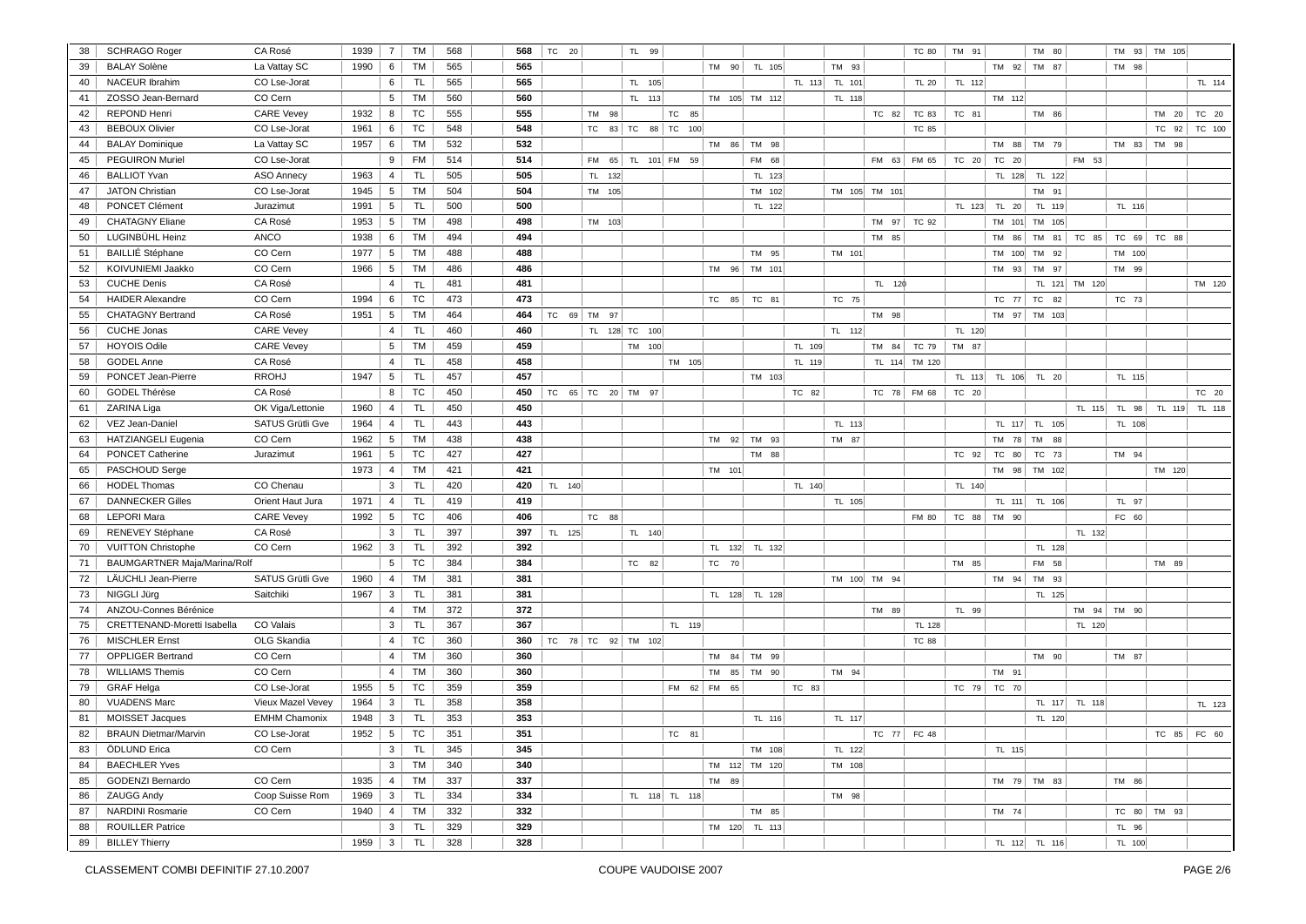| 38 | <b>SCHRAGO Roger</b>                | CA Rosé              | 1939 | $\overline{7}$  | <b>TM</b> | 568 | 568 | TC 20       |           |        | TL 99              |                 |               |        |        |               | <b>TC 80</b>  | TM 91  |             | TM 80         |               | TM 93       | TM 105 |        |
|----|-------------------------------------|----------------------|------|-----------------|-----------|-----|-----|-------------|-----------|--------|--------------------|-----------------|---------------|--------|--------|---------------|---------------|--------|-------------|---------------|---------------|-------------|--------|--------|
| 39 | <b>BALAY Solène</b>                 | La Vattay SC         | 1990 | 6               | <b>TM</b> | 565 | 565 |             |           |        |                    | TM<br>90        | TL 105        |        | TM 93  |               |               |        | TM 92       | TM 87         |               | TM 98       |        |        |
| 40 | <b>NACEUR Ibrahim</b>               | CO Lse-Jorat         |      | 6               | <b>TL</b> | 565 | 565 |             |           |        | TL 105             |                 |               | TL 113 | TL 101 |               | <b>TL 20</b>  | TL 112 |             |               |               |             |        | TL 114 |
| 41 | ZOSSO Jean-Bernard                  | CO Cern              |      | $5\overline{5}$ | <b>TM</b> | 560 | 560 |             |           |        | TL 113             |                 | TM 105 TM 112 |        | TL 118 |               |               |        | TM 112      |               |               |             |        |        |
| 42 | REPOND Henri                        | <b>CARE Vevey</b>    | 1932 | 8 <sup>1</sup>  | TC        | 555 | 555 |             |           | TM 98  |                    | TC 85           |               |        |        | TC 82         | TC 83         | TC 81  |             | TM 86         |               |             | TM 20  | TC 20  |
| 43 | <b>BEBOUX Olivier</b>               | CO Lse-Jorat         | 1961 | 6               | TC        | 548 | 548 |             | <b>TC</b> |        | 83 TC 88 TC 100    |                 |               |        |        |               | <b>TC 85</b>  |        |             |               |               |             | TC 92  | TC 100 |
| 44 | <b>BALAY Dominique</b>              | La Vattay SC         | 1957 | 6 <sup>1</sup>  | <b>TM</b> | 532 | 532 |             |           |        |                    |                 | TM 86 TM 98   |        |        |               |               |        | TM 88       | TM 79         |               | TM 83       | TM 98  |        |
| 45 | <b>PEGUIRON Muriel</b>              | CO Lse-Jorat         |      | 9               | <b>FM</b> | 514 | 514 |             | <b>FM</b> |        | 65 TL 101 FM 59    |                 | FM 68         |        |        | FM 63         | FM 65         | TC 20  | TC 20       |               | FM 53         |             |        |        |
| 46 | <b>BALLIOT Yvan</b>                 | ASO Annecy           | 1963 | $\overline{4}$  | <b>TL</b> | 505 | 505 |             |           | TL 132 |                    |                 | TL 123        |        |        |               |               |        | TL 128      | TL 122        |               |             |        |        |
| 47 | <b>JATON Christian</b>              | CO Lse-Jorat         | 1945 | $5^{\circ}$     | TM        | 504 | 504 |             |           | TM 105 |                    |                 | TM 102        |        |        | TM 105 TM 101 |               |        |             | TM 91         |               |             |        |        |
| 48 | PONCET Clément                      | Jurazimut            | 1991 | $5\overline{5}$ | <b>TL</b> | 500 | 500 |             |           |        |                    |                 | TL 122        |        |        |               |               | TL 123 | TL 20       | TL 119        |               | TL 116      |        |        |
| 49 | <b>CHATAGNY Eliane</b>              | CA Rosé              | 1953 | 5 <sup>1</sup>  | TM        | 498 | 498 |             |           | TM 103 |                    |                 |               |        |        | TM 97         | TC 92         |        | TM 101      | TM 105        |               |             |        |        |
| 50 | LUGINBÜHL Heinz                     | ANCO                 | 1938 | 6 <sup>1</sup>  | <b>TM</b> | 494 | 494 |             |           |        |                    |                 |               |        |        | TM 85         |               |        | TM<br>86    | TM 81         | TC 85         | TC 69       | TC 88  |        |
| 51 | <b>BAILLIÉ Stéphane</b>             | CO Cern              | 1977 | 5 <sup>5</sup>  | TM        | 488 | 488 |             |           |        |                    |                 | TM 95         |        | TM 101 |               |               |        | TM 100      | TM 92         |               | TM 100      |        |        |
| 52 | KOIVUNIEMI Jaakko                   | CO Cern              | 1966 | $5^{\circ}$     | <b>TM</b> | 486 | 486 |             |           |        |                    | <b>TM</b><br>96 | TM 101        |        |        |               |               |        | 93<br>TM    | TM 97         |               | TM 99       |        |        |
| 53 | <b>CUCHE Denis</b>                  | CA Rosé              |      | 4               | <b>TL</b> | 481 | 481 |             |           |        |                    |                 |               |        |        | TL 120        |               |        |             |               | TL 121 TM 120 |             |        | TM 120 |
| 54 | <b>HAIDER Alexandre</b>             | CO Cern              | 1994 | 6               | TC        | 473 | 473 |             |           |        |                    | 85<br>TC        | TC 81         |        | TC 75  |               |               |        | TC 77       | TC 82         |               | TC 73       |        |        |
| 55 | <b>CHATAGNY Bertrand</b>            | CA Rosé              | 1951 | 5 <sub>5</sub>  | <b>TM</b> | 464 | 464 | TC 69 TM 97 |           |        |                    |                 |               |        |        | TM 98         |               |        |             | TM 97 TM 103  |               |             |        |        |
| 56 | <b>CUCHE Jonas</b>                  | <b>CARE Vevey</b>    |      | 4               | TL        | 460 | 460 |             |           |        | TL 128 TC 100      |                 |               |        | TL 112 |               |               | TL 120 |             |               |               |             |        |        |
| 57 | <b>HOYOIS Odile</b>                 | <b>CARE Vevey</b>    |      | 5 <sup>1</sup>  | TM        | 459 | 459 |             |           |        | TM 100             |                 |               | TL 109 |        | TM 84         | TC 79         | TM 87  |             |               |               |             |        |        |
| 58 | GODEL Anne                          | CA Rosé              |      | 4               | TL.       | 458 | 458 |             |           |        |                    | TM 105          |               | TL 119 |        |               | TL 114 TM 120 |        |             |               |               |             |        |        |
| 59 | PONCET Jean-Pierre                  | <b>RROHJ</b>         | 1947 | $5\overline{5}$ | <b>TL</b> | 457 | 457 |             |           |        |                    |                 | TM 103        |        |        |               |               | TL 113 |             | TL 106 TL 20  |               | TL 115      |        |        |
| 60 | GODEL Thérèse                       | CA Rosé              |      | 8               | TC        | 450 | 450 |             |           |        | TC 65 TC 20 TM 97  |                 |               | TC 82  |        | TC 78         | FM 68         | TC 20  |             |               |               |             |        | TC 20  |
| 61 | ZARINA Liga                         | OK Viga/Lettonie     | 1960 | $\overline{4}$  | <b>TL</b> | 450 | 450 |             |           |        |                    |                 |               |        |        |               |               |        |             |               | TL 115        | TL 98       | TL 119 | TL 118 |
| 62 | VEZ Jean-Daniel                     | SATUS Grütli Gve     | 1964 | $\overline{4}$  | <b>TL</b> | 443 | 443 |             |           |        |                    |                 |               |        | TL 113 |               |               |        |             | TL 117 TL 105 |               | TL 108      |        |        |
| 63 | <b>HATZIANGELI Eugenia</b>          | CO Cern              | 1962 | 5 <sub>5</sub>  | <b>TM</b> | 438 | 438 |             |           |        |                    |                 | TM 92 TM 93   |        | TM 87  |               |               |        |             | TM 78 TM 88   |               |             |        |        |
| 64 | PONCET Catherine                    | Jurazimut            | 1961 | $5\overline{5}$ | TC        | 427 | 427 |             |           |        |                    |                 | TM 88         |        |        |               |               | TC 92  | TC 80       | TC 73         |               | TM 94       |        |        |
| 65 | PASCHOUD Serge                      |                      | 1973 | 4               | <b>TM</b> | 421 | 421 |             |           |        |                    | TM 101          |               |        |        |               |               |        | TM 98       | TM 102        |               |             | TM 120 |        |
| 66 | <b>HODEL Thomas</b>                 | CO Chenau            |      | 3 <sup>1</sup>  | TL        | 420 | 420 | TL 140      |           |        |                    |                 |               | TL 140 |        |               |               | TL 140 |             |               |               |             |        |        |
| 67 | <b>DANNECKER Gilles</b>             | Orient Haut Jura     | 1971 | 4               | <b>TL</b> | 419 | 419 |             |           |        |                    |                 |               |        | TL 105 |               |               |        | TL 111      | TL 106        |               | TL 97       |        |        |
| 68 | <b>LEPORI Mara</b>                  | <b>CARE Vevey</b>    | 1992 | $5\overline{5}$ | TC        | 406 | 406 |             |           | TC 88  |                    |                 |               |        |        |               | FM 80         | TC 88  | TM 90       |               |               | FC 60       |        |        |
| 69 | RENEVEY Stéphane                    | CA Rosé              |      | 3               | <b>TL</b> | 397 | 397 | TL 125      |           |        | TL 140             |                 |               |        |        |               |               |        |             |               | TL 132        |             |        |        |
| 70 | <b>VUITTON Christophe</b>           | CO Cern              | 1962 | $\mathbf{3}$    | <b>TL</b> | 392 | 392 |             |           |        |                    | TL 132          | TL 132        |        |        |               |               |        |             | TL 128        |               |             |        |        |
| 71 | <b>BAUMGARTNER Maja/Marina/Rolf</b> |                      |      | $5\overline{5}$ | TC        | 384 | 384 |             |           |        | TC 82              | <b>TC</b><br>70 |               |        |        |               |               | TM 85  |             | FM 58         |               |             | TM 89  |        |
| 72 | LÄUCHLI Jean-Pierre                 | SATUS Grütli Gve     | 1960 | 4               | TM        | 381 | 381 |             |           |        |                    |                 |               |        |        | TM 100 TM 94  |               |        | TM 94       | TM 93         |               |             |        |        |
| 73 | NIGGLI Jürg                         | Saitchiki            | 1967 | 3 <sup>1</sup>  | <b>TL</b> | 381 | 381 |             |           |        |                    |                 | TL 128 TL 128 |        |        |               |               |        |             | TL 125        |               |             |        |        |
| 74 | ANZOU-Connes Bérénice               |                      |      | 4 <sup>1</sup>  | <b>TM</b> | 372 | 372 |             |           |        |                    |                 |               |        |        | TM 89         |               | TL 99  |             |               |               | TM 94 TM 90 |        |        |
| 75 | CRETTENAND-Moretti Isabella         | CO Valais            |      | 3               | <b>TL</b> | 367 | 367 |             |           |        |                    | TL 119          |               |        |        |               | TL 128        |        |             |               | TL 120        |             |        |        |
| 76 | <b>MISCHLER Ernst</b>               | OLG Skandia          |      | 4               | TC        | 360 | 360 |             |           |        | TC 78 TC 92 TM 102 |                 |               |        |        |               | <b>TC 88</b>  |        |             |               |               |             |        |        |
| 77 | OPPLIGER Bertrand                   | CO Cern              |      | $\overline{4}$  | <b>TM</b> | 360 | 360 |             |           |        |                    | <b>TM</b>       | 84 TM 99      |        |        |               |               |        |             | TM 90         |               | TM 87       |        |        |
| 78 | <b>WILLIAMS Themis</b>              | CO Cern              |      | $\overline{4}$  | <b>TM</b> | 360 | 360 |             |           |        |                    | TM              | 85 TM 90      |        | TM 94  |               |               |        | TM 91       |               |               |             |        |        |
| 79 | <b>GRAF Helga</b>                   | CO Lse-Jorat         | 1955 | 5 <sup>1</sup>  | TC        | 359 | 359 |             |           |        |                    | FM 62 FM 65     |               | TC 83  |        |               |               |        | TC 79 TC 70 |               |               |             |        |        |
| 80 | <b>VUADENS Marc</b>                 | Vieux Mazel Vevey    | 1964 | 3               | TL.       | 358 | 358 |             |           |        |                    |                 |               |        |        |               |               |        |             |               | TL 117 TL 118 |             |        | TL 123 |
| 81 | <b>MOISSET Jacques</b>              | <b>EMHM Chamonix</b> | 1948 | 3 <sup>1</sup>  | <b>TL</b> | 353 | 353 |             |           |        |                    |                 | TL 116        |        | TL 117 |               |               |        |             | TL 120        |               |             |        |        |
| 82 | <b>BRAUN Dietmar/Marvin</b>         | CO Lse-Jorat         | 1952 | 5 <sub>5</sub>  | TC        | 351 | 351 |             |           |        |                    | TC 81           |               |        |        | TC 77         | FC 48         |        |             |               |               |             | TC 85  | FC 60  |
| 83 | ÖDLUND Erica                        | CO Cern              |      | 3 <sup>1</sup>  | <b>TL</b> | 345 | 345 |             |           |        |                    |                 | TM 108        |        | TL 122 |               |               |        | TL 115      |               |               |             |        |        |
| 84 | <b>BAECHLER Yves</b>                |                      |      | $\mathbf{3}$    | TM        | 340 | 340 |             |           |        |                    |                 | TM 112 TM 120 |        | TM 108 |               |               |        |             |               |               |             |        |        |
| 85 | <b>GODENZI Bernardo</b>             | CO Cern              | 1935 | $\overline{4}$  | <b>TM</b> | 337 | 337 |             |           |        |                    | TM<br>89        |               |        |        |               |               |        | TM 79       | TM 83         |               | TM 86       |        |        |
| 86 | ZAUGG Andy                          | Coop Suisse Rom      | 1969 | $\mathbf{3}$    | <b>TL</b> | 334 | 334 |             |           |        | TL 118 TL 118      |                 |               |        | TM 98  |               |               |        |             |               |               |             |        |        |
| 87 | NARDINI Rosmarie                    | CO Cern              | 1940 | 4               | TM        | 332 | 332 |             |           |        |                    |                 | TM 85         |        |        |               |               |        | TM 74       |               |               | TC 80       | TM 93  |        |
| 88 | <b>ROUILLER Patrice</b>             |                      |      | 3 <sup>1</sup>  | TL.       | 329 | 329 |             |           |        |                    |                 | TM 120 TL 113 |        |        |               |               |        |             |               |               | TL 96       |        |        |
| 89 | <b>BILLEY Thierry</b>               |                      | 1959 | 3 <sup>1</sup>  | TL.       | 328 | 328 |             |           |        |                    |                 |               |        |        |               |               |        |             | TL 112 TL 116 |               | TL 100      |        |        |
|    |                                     |                      |      |                 |           |     |     |             |           |        |                    |                 |               |        |        |               |               |        |             |               |               |             |        |        |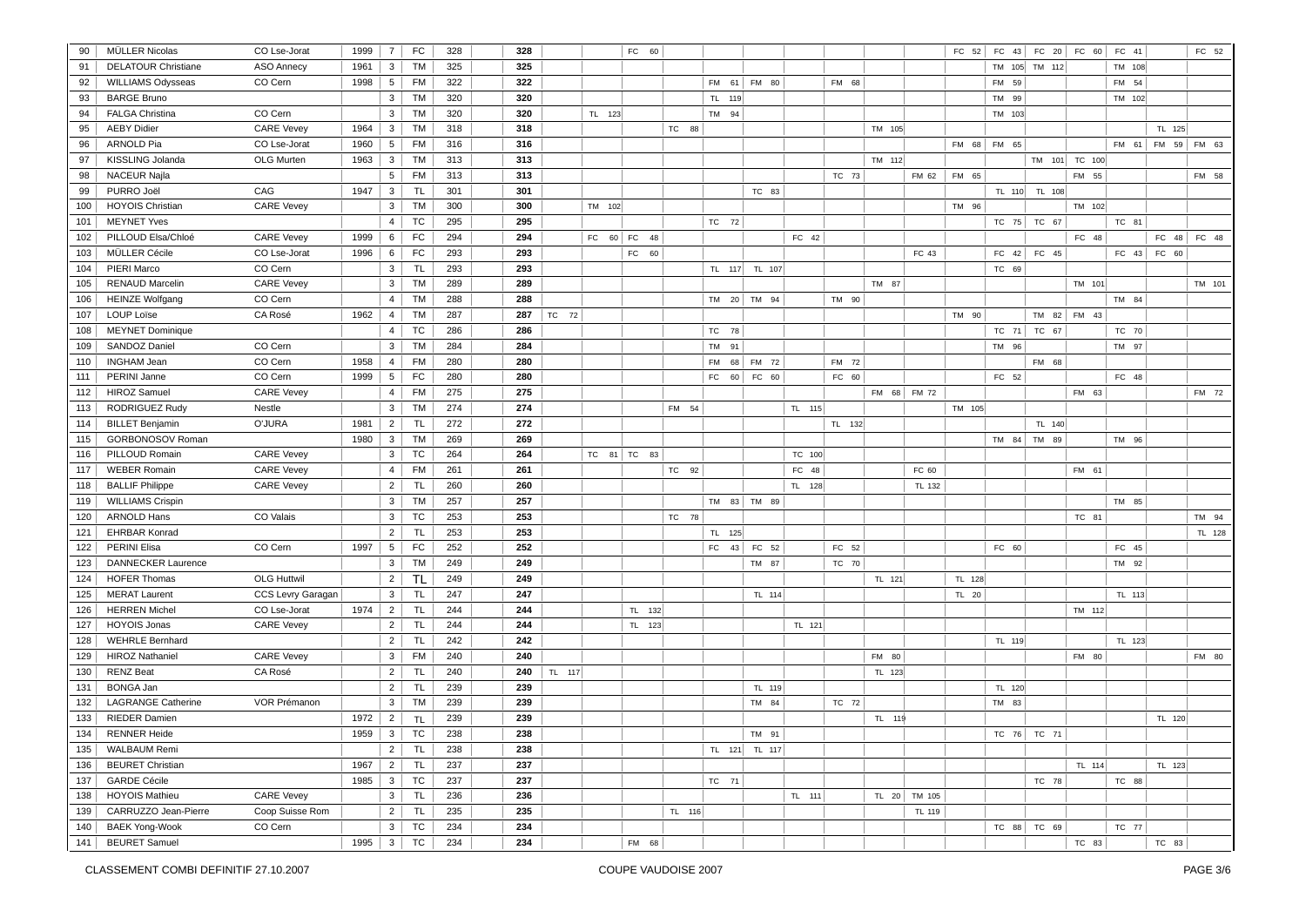| 90  | MÜLLER Nicolas             | CO Lse-Jorat       | 1999 | $\overline{7}$  | FC        | 328 | 328 |        |        | FC 60       |        |                 |               |        |        |        |             | FC 52  | $FC$ 43     | FC 20 FC 60     |        | FC 41  |             | FC 52       |
|-----|----------------------------|--------------------|------|-----------------|-----------|-----|-----|--------|--------|-------------|--------|-----------------|---------------|--------|--------|--------|-------------|--------|-------------|-----------------|--------|--------|-------------|-------------|
| 91  | <b>DELATOUR Christiane</b> | <b>ASO Annecy</b>  | 1961 | 3               | <b>TM</b> | 325 | 325 |        |        |             |        |                 |               |        |        |        |             |        |             | TM 105 TM 112   |        | TM 108 |             |             |
| 92  | <b>WILLIAMS Odysseas</b>   | CO Cern            | 1998 | $5\overline{)}$ | <b>FM</b> | 322 | 322 |        |        |             |        |                 | FM 61 FM 80   |        | FM 68  |        |             |        | FM 59       |                 |        | FM 54  |             |             |
| 93  | <b>BARGE Bruno</b>         |                    |      | $\mathbf{3}$    | <b>TM</b> | 320 | 320 |        |        |             |        | TL 119          |               |        |        |        |             |        | TM 99       |                 |        | TM 102 |             |             |
| 94  | <b>FALGA Christina</b>     | CO Cern            |      | 3 <sup>1</sup>  | TM        | 320 | 320 |        | TL 123 |             |        | TM 94           |               |        |        |        |             |        | TM 103      |                 |        |        |             |             |
| 95  | <b>AEBY Didier</b>         | <b>CARE Vevey</b>  | 1964 | 3 <sup>1</sup>  | TM        | 318 | 318 |        |        |             | TC 88  |                 |               |        |        | TM 105 |             |        |             |                 |        |        | TL 125      |             |
| 96  | <b>ARNOLD Pia</b>          | CO Lse-Jorat       | 1960 | 5 <sup>1</sup>  | <b>FM</b> | 316 | 316 |        |        |             |        |                 |               |        |        |        |             |        | FM 68 FM 65 |                 |        | FM 61  |             | FM 59 FM 63 |
| 97  | KISSLING Jolanda           | OLG Murten         | 1963 | $\mathbf{3}$    | <b>TM</b> | 313 | 313 |        |        |             |        |                 |               |        |        | TM 112 |             |        |             | TM 101 TC 100   |        |        |             |             |
| 98  | <b>NACEUR Najla</b>        |                    |      | 5               | <b>FM</b> | 313 | 313 |        |        |             |        |                 |               |        | TC 73  |        | FM 62       | FM 65  |             |                 | FM 55  |        |             | FM 58       |
| 99  | PURRO Joël                 | CAG                | 1947 | $\mathbf{3}$    | TL        | 301 | 301 |        |        |             |        |                 | TC 83         |        |        |        |             |        |             |                 |        |        |             |             |
| 100 | <b>HOYOIS Christian</b>    | <b>CARE Vevey</b>  |      | 3               | TM        | 300 | 300 |        |        |             |        |                 |               |        |        |        |             |        | TL 110      | TL 108          | TM 102 |        |             |             |
| 101 |                            |                    |      |                 | <b>TC</b> |     |     |        | TM 102 |             |        |                 |               |        |        |        |             | TM 96  |             |                 |        |        |             |             |
|     | <b>MEYNET Yves</b>         |                    |      | 4               | <b>FC</b> | 295 | 295 |        |        |             |        | TC 72           |               |        |        |        |             |        | TC 75       | TC 67           |        | TC 81  |             |             |
| 102 | PILLOUD Elsa/Chloé         | <b>CARE Vevey</b>  | 1999 | 6               |           | 294 | 294 |        |        | FC 60 FC 48 |        |                 |               | FC 42  |        |        |             |        |             |                 | FC 48  |        |             | FC 48 FC 48 |
| 103 | MÜLLER Cécile              | CO Lse-Jorat       | 1996 | $6 \mid$        | FC        | 293 | 293 |        |        | FC 60       |        |                 |               |        |        |        | FC 43       |        |             | FC $42$ FC $45$ |        |        | FC 43 FC 60 |             |
| 104 | PIERI Marco                | CO Cern            |      | $\mathbf{3}$    | <b>TL</b> | 293 | 293 |        |        |             |        |                 | TL 117 TL 107 |        |        |        |             |        | TC 69       |                 |        |        |             |             |
| 105 | <b>RENAUD Marcelin</b>     | <b>CARE Vevey</b>  |      | 3               | <b>TM</b> | 289 | 289 |        |        |             |        |                 |               |        |        | TM 87  |             |        |             |                 | TM 101 |        |             | TM 101      |
| 106 | <b>HEINZE Wolfgang</b>     | CO Cern            |      | $\overline{4}$  | <b>TM</b> | 288 | 288 |        |        |             |        |                 | TM 20 TM 94   |        | TM 90  |        |             |        |             |                 |        | TM 84  |             |             |
| 107 | <b>LOUP Loïse</b>          | CA Rosé            | 1962 | 4               | TM        | 287 | 287 | TC 72  |        |             |        |                 |               |        |        |        |             | TM 90  |             | TM 82 FM 43     |        |        |             |             |
| 108 | <b>MEYNET Dominique</b>    |                    |      | 4               | <b>TC</b> | 286 | 286 |        |        |             |        | <b>TC</b><br>78 |               |        |        |        |             |        | TC 71       | TC 67           |        | TC 70  |             |             |
| 109 | SANDOZ Daniel              | CO Cern            |      | 3 <sup>1</sup>  | <b>TM</b> | 284 | 284 |        |        |             |        | TM<br>91        |               |        |        |        |             |        | TM 96       |                 |        | TM 97  |             |             |
| 110 | <b>INGHAM Jean</b>         | CO Cern            | 1958 | 4               | <b>FM</b> | 280 | 280 |        |        |             |        | <b>FM</b><br>68 | FM 72         |        | FM 72  |        |             |        |             | FM 68           |        |        |             |             |
| 111 | PERINI Janne               | CO Cern            | 1999 | 5 <sup>1</sup>  | FC        | 280 | 280 |        |        |             |        | FC              | 60 FC 60      |        | FC 60  |        |             |        | FC 52       |                 |        | FC 48  |             |             |
| 112 | <b>HIROZ Samuel</b>        | <b>CARE Vevey</b>  |      | 4               | <b>FM</b> | 275 | 275 |        |        |             |        |                 |               |        |        |        | FM 68 FM 72 |        |             |                 | FM 63  |        |             | FM 72       |
| 113 | RODRIGUEZ Rudy             | Nestle             |      | 3               | <b>TM</b> | 274 | 274 |        |        |             | FM 54  |                 |               | TL 115 |        |        |             | TM 105 |             |                 |        |        |             |             |
| 114 | <b>BILLET Benjamin</b>     | O'JURA             | 1981 | $\overline{2}$  | <b>TL</b> | 272 | 272 |        |        |             |        |                 |               |        | TL 132 |        |             |        |             | TL 140          |        |        |             |             |
| 115 | GORBONOSOV Roman           |                    | 1980 | 3               | TM        | 269 | 269 |        |        |             |        |                 |               |        |        |        |             |        | TM 84       | TM 89           |        | TM 96  |             |             |
| 116 | PILLOUD Romain             | <b>CARE Vevey</b>  |      | $\mathbf{3}$    | <b>TC</b> | 264 | 264 |        |        | TC 81 TC 83 |        |                 |               | TC 100 |        |        |             |        |             |                 |        |        |             |             |
| 117 | <b>WEBER Romain</b>        | <b>CARE Vevey</b>  |      | 4               | <b>FM</b> | 261 | 261 |        |        |             | TC 92  |                 |               | FC 48  |        |        | FC 60       |        |             |                 | FM 61  |        |             |             |
| 118 | <b>BALLIF Philippe</b>     | <b>CARE Vevey</b>  |      | 2 <sup>1</sup>  | TL.       | 260 | 260 |        |        |             |        |                 |               | TL 128 |        |        | TL 132      |        |             |                 |        |        |             |             |
| 119 | <b>WILLIAMS Crispin</b>    |                    |      | 3 <sup>1</sup>  | TM        | 257 | 257 |        |        |             |        |                 | TM 83 TM 89   |        |        |        |             |        |             |                 |        | TM 85  |             |             |
| 120 | <b>ARNOLD Hans</b>         | CO Valais          |      | $\mathbf{3}$    | TC        | 253 | 253 |        |        |             | TC 78  |                 |               |        |        |        |             |        |             |                 | TC 81  |        |             | TM 94       |
| 121 | <b>EHRBAR Konrad</b>       |                    |      | 2               | <b>TL</b> | 253 | 253 |        |        |             |        | TL 125          |               |        |        |        |             |        |             |                 |        |        |             | TL 128      |
| 122 | PERINI Elisa               | CO Cern            | 1997 | 5               | FC        | 252 | 252 |        |        |             |        | 43<br>FC        | FC 52         |        | FC 52  |        |             |        | FC 60       |                 |        | FC 45  |             |             |
| 123 | <b>DANNECKER Laurence</b>  |                    |      | $\mathbf{3}$    | TM        | 249 | 249 |        |        |             |        |                 | TM 87         |        | TC 70  |        |             |        |             |                 |        | TM 92  |             |             |
| 124 | <b>HOFER Thomas</b>        | <b>OLG Huttwil</b> |      | 2               | <b>TL</b> | 249 | 249 |        |        |             |        |                 |               |        |        | TL 121 |             | TL 128 |             |                 |        |        |             |             |
| 125 | <b>MERAT Laurent</b>       | CCS Levry Garagan  |      | $\mathbf{3}$    | <b>TL</b> | 247 | 247 |        |        |             |        |                 | TL 114        |        |        |        |             | TL 20  |             |                 |        | TL 113 |             |             |
| 126 | <b>HERREN Michel</b>       | CO Lse-Jorat       | 1974 | $\overline{2}$  | <b>TL</b> | 244 | 244 |        |        | TL 132      |        |                 |               |        |        |        |             |        |             |                 | TM 112 |        |             |             |
| 127 | <b>HOYOIS Jonas</b>        | <b>CARE Vevey</b>  |      | $2^{\circ}$     | <b>TL</b> | 244 | 244 |        |        | TL 123      |        |                 |               | TL 121 |        |        |             |        |             |                 |        |        |             |             |
| 128 | <b>WEHRLE Bernhard</b>     |                    |      | $\overline{2}$  | <b>TL</b> | 242 | 242 |        |        |             |        |                 |               |        |        |        |             |        | TL 119      |                 |        | TL 123 |             |             |
| 129 | <b>HIROZ Nathaniel</b>     | <b>CARE Vevey</b>  |      | 3               | <b>FM</b> | 240 | 240 |        |        |             |        |                 |               |        |        | FM 80  |             |        |             |                 | FM 80  |        |             | FM 80       |
| 130 | <b>RENZ Beat</b>           | CA Rosé            |      | $\overline{2}$  | <b>TL</b> | 240 | 240 | TL 117 |        |             |        |                 |               |        |        | TL 123 |             |        |             |                 |        |        |             |             |
| 131 | <b>BONGA Jan</b>           |                    |      | 2               | TL.       | 239 | 239 |        |        |             |        |                 | TL 119        |        |        |        |             |        | TL 120      |                 |        |        |             |             |
| 132 | <b>LAGRANGE Catherine</b>  | VOR Prémanon       |      | 3 <sup>1</sup>  | TM        | 239 | 239 |        |        |             |        |                 | TM 84         |        | TC 72  |        |             |        | TM 83       |                 |        |        |             |             |
| 133 | <b>RIEDER Damien</b>       |                    | 1972 | $\overline{2}$  | <b>TL</b> | 239 | 239 |        |        |             |        |                 |               |        |        | TL 119 |             |        |             |                 |        |        | TL 120      |             |
| 134 | <b>RENNER Heide</b>        |                    | 1959 | 3 <sup>1</sup>  | TC        | 238 | 238 |        |        |             |        |                 | TM 91         |        |        |        |             |        |             | TC 76 TC 71     |        |        |             |             |
| 135 | <b>WALBAUM Remi</b>        |                    |      | 2 <sup>1</sup>  | TL.       | 238 | 238 |        |        |             |        |                 | TL 121 TL 117 |        |        |        |             |        |             |                 |        |        |             |             |
| 136 | <b>BEURET Christian</b>    |                    | 1967 | $\overline{2}$  | <b>TL</b> | 237 | 237 |        |        |             |        |                 |               |        |        |        |             |        |             |                 | TL 114 |        | TL 123      |             |
| 137 | <b>GARDE Cécile</b>        |                    | 1985 | $\mathbf{3}$    | <b>TC</b> | 237 | 237 |        |        |             |        | TC 71           |               |        |        |        |             |        |             | TC 78           |        | TC 88  |             |             |
| 138 | <b>HOYOIS Mathieu</b>      | <b>CARE Vevey</b>  |      | 3               | TL.       | 236 | 236 |        |        |             |        |                 |               | TL 111 |        | TL 20  | TM 105      |        |             |                 |        |        |             |             |
| 139 | CARRUZZO Jean-Pierre       | Coop Suisse Rom    |      | $\overline{2}$  | <b>TL</b> | 235 | 235 |        |        |             | TL 116 |                 |               |        |        |        | TL 119      |        |             |                 |        |        |             |             |
| 140 | <b>BAEK Yong-Wook</b>      | CO Cern            |      | 3               | <b>TC</b> | 234 | 234 |        |        |             |        |                 |               |        |        |        |             |        | TC 88       | TC 69           |        | TC 77  |             |             |
| 141 | <b>BEURET Samuel</b>       |                    | 1995 | 3 <sup>1</sup>  | <b>TC</b> | 234 | 234 |        |        | FM 68       |        |                 |               |        |        |        |             |        |             |                 | TC 83  |        | TC 83       |             |
|     |                            |                    |      |                 |           |     |     |        |        |             |        |                 |               |        |        |        |             |        |             |                 |        |        |             |             |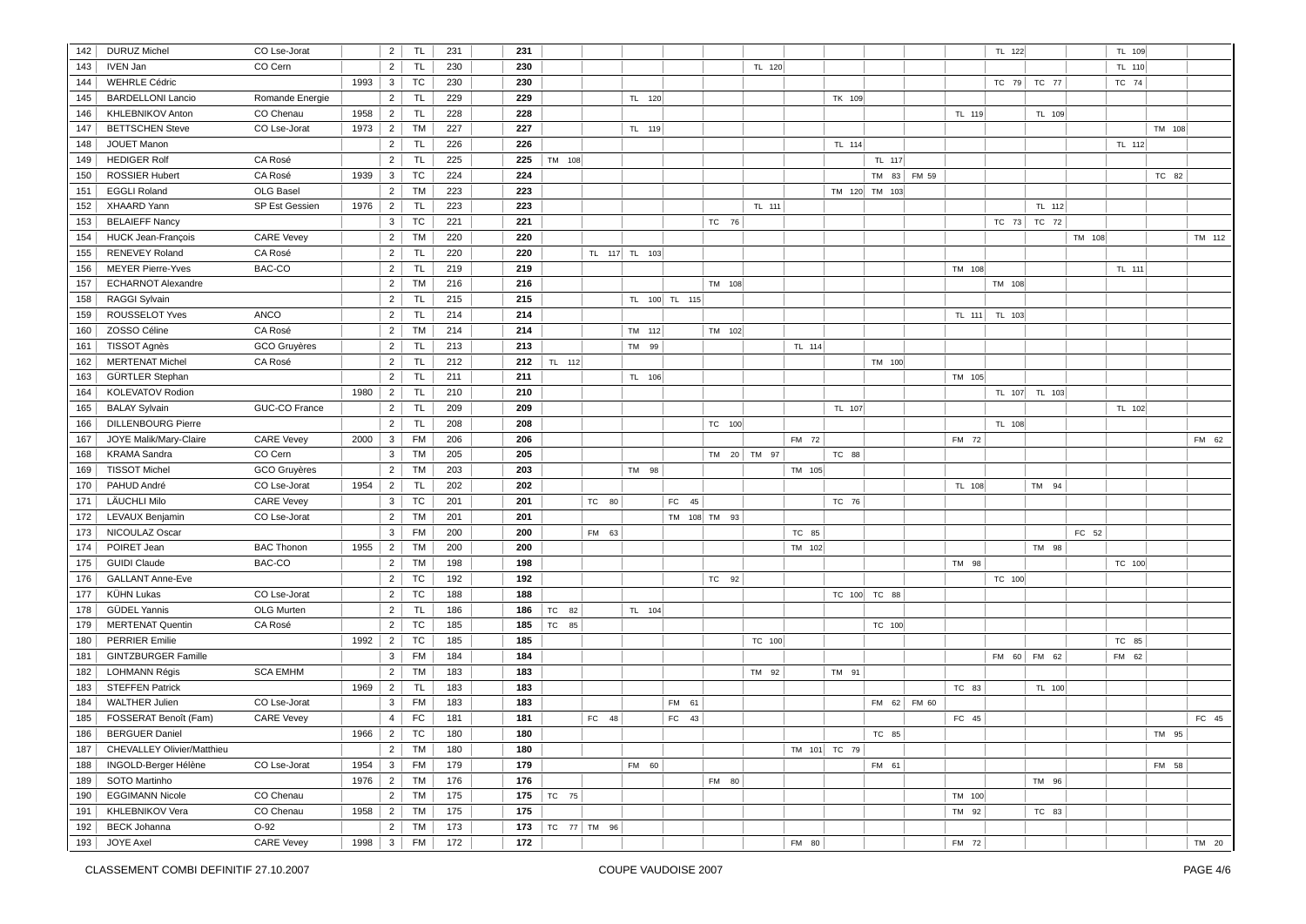| 142        | <b>DURUZ Michel</b>                            | CO Lse-Jorat                      |      | $\overline{2}$      | <b>TL</b>       | 231        | 231        |            |       |               |                |              |             |              |               |             |        | TL 122        |               |        | TL 109 |        |        |
|------------|------------------------------------------------|-----------------------------------|------|---------------------|-----------------|------------|------------|------------|-------|---------------|----------------|--------------|-------------|--------------|---------------|-------------|--------|---------------|---------------|--------|--------|--------|--------|
| 143        | <b>IVEN Jan</b>                                | CO Cern                           |      | $\overline{2}$      | <b>TL</b>       | 230        | 230        |            |       |               |                |              | TL 120      |              |               |             |        |               |               |        | TL 110 |        |        |
| 144        | <b>WEHRLE Cédric</b>                           |                                   | 1993 | $\mathbf{3}$        | TC              | 230        | 230        |            |       |               |                |              |             |              |               |             |        |               | TC 79 TC 77   |        | TC 74  |        |        |
| 145        | <b>BARDELLONI Lancio</b>                       | Romande Energie                   |      | 2                   | <b>TL</b>       | 229        | 229        |            |       | TL 120        |                |              |             | TK 109       |               |             |        |               |               |        |        |        |        |
| 146        | KHLEBNIKOV Anton                               | CO Chenau                         | 1958 | $\overline{2}$      | <b>TL</b>       | 228        | 228        |            |       |               |                |              |             |              |               |             | TL 119 |               | TL 109        |        |        |        |        |
| 147        | <b>BETTSCHEN Steve</b>                         | CO Lse-Jorat                      | 1973 | $\overline{2}$      | TM              | 227        | 227        |            |       | TL 119        |                |              |             |              |               |             |        |               |               |        |        | TM 108 |        |
| 148        | <b>JOUET Manon</b>                             |                                   |      | $\overline{2}$      | <b>TL</b>       | 226        | 226        |            |       |               |                |              |             | TL 114       |               |             |        |               |               |        | TL 112 |        |        |
| 149        | <b>HEDIGER Rolf</b>                            | CA Rosé                           |      | $\overline{2}$      | <b>TL</b>       | 225        | 225        | TM 108     |       |               |                |              |             |              | TL 117        |             |        |               |               |        |        |        |        |
| 150        | <b>ROSSIER Hubert</b>                          | CA Rosé                           | 1939 | $\mathbf{3}$        | <b>TC</b>       | 224        | 224        |            |       |               |                |              |             |              |               | TM 83 FM 59 |        |               |               |        |        | TC 82  |        |
| 151        | <b>EGGLI Roland</b>                            | OLG Basel                         |      | $\overline{2}$      | TM              | 223        | 223        |            |       |               |                |              |             |              | TM 120 TM 103 |             |        |               |               |        |        |        |        |
| 152        | <b>XHAARD Yann</b>                             | SP Est Gessien                    | 1976 | 2                   | TL <sub></sub>  | 223        | 223        |            |       |               |                |              | TL 111      |              |               |             |        |               | TL 112        |        |        |        |        |
| 153        | <b>BELAIEFF Nancy</b>                          |                                   |      | 3 <sup>1</sup>      | <b>TC</b>       | 221        | 221        |            |       |               |                | TC 76        |             |              |               |             |        |               | TC 73 TC 72   |        |        |        |        |
| 154        | <b>HUCK Jean-François</b>                      | <b>CARE Vevey</b>                 |      | $2^{\circ}$         | TM              | 220        | 220        |            |       |               |                |              |             |              |               |             |        |               |               | TM 108 |        |        | TM 112 |
| 155        | RENEVEY Roland                                 | CA Rosé                           |      | $\overline{2}$      | <b>TL</b>       | 220        | 220        |            |       | TL 117 TL 103 |                |              |             |              |               |             |        |               |               |        |        |        |        |
| 156        | <b>MEYER Pierre-Yves</b>                       | BAC-CO                            |      | $\overline{2}$      | <b>TL</b>       | 219        | 219        |            |       |               |                |              |             |              |               |             | TM 108 |               |               |        | TL 111 |        |        |
| 157        | <b>ECHARNOT Alexandre</b>                      |                                   |      | $\overline{2}$      | <b>TM</b>       | 216        | 216        |            |       |               |                | TM 108       |             |              |               |             |        | TM 108        |               |        |        |        |        |
| 158        | <b>RAGGI Sylvain</b>                           |                                   |      | $\overline{2}$      | <b>TL</b>       | 215        | 215        |            |       |               | TL 100 TL 115  |              |             |              |               |             |        |               |               |        |        |        |        |
| 159        | ROUSSELOT Yves                                 | ANCO                              |      | $\overline{2}$      | <b>TL</b>       | 214        | 214        |            |       |               |                |              |             |              |               |             |        | TL 111 TL 103 |               |        |        |        |        |
| 160        | ZOSSO Céline                                   | CA Rosé                           |      | $\overline{2}$      | TM              | 214        | 214        |            |       | TM 112        |                | TM 102       |             |              |               |             |        |               |               |        |        |        |        |
| 161        | TISSOT Agnès                                   | GCO Gruyères                      |      | $\overline{2}$      | <b>TL</b>       | 213        | 213        |            |       | TM 99         |                |              |             | TL 114       |               |             |        |               |               |        |        |        |        |
| 162        | <b>MERTENAT Michel</b>                         | CA Rosé                           |      | $\overline{2}$      | <b>TL</b>       | 212        | 212        | TL 112     |       |               |                |              |             |              | TM 100        |             |        |               |               |        |        |        |        |
| 163        | GÜRTLER Stephan                                |                                   |      | $\overline{2}$      | <b>TL</b>       | 211        | 211        |            |       | TL 106        |                |              |             |              |               |             | TM 105 |               |               |        |        |        |        |
| 164        | KOLEVATOV Rodion                               |                                   | 1980 | $\overline{2}$      | <b>TL</b>       | 210        | 210        |            |       |               |                |              |             |              |               |             |        |               | TL 107 TL 103 |        |        |        |        |
| 165        | <b>BALAY Sylvain</b>                           | GUC-CO France                     |      | $\overline{2}$      | <b>TL</b>       | 209        | 209        |            |       |               |                |              |             | TL 107       |               |             |        |               |               |        | TL 102 |        |        |
| 166        | <b>DILLENBOURG Pierre</b>                      |                                   |      | $\overline{2}$      | <b>TL</b>       | 208        | 208        |            |       |               |                | TC 100       |             |              |               |             |        | TL 108        |               |        |        |        |        |
| 167        | JOYE Malik/Mary-Claire                         | <b>CARE Vevey</b>                 | 2000 | 3                   | <b>FM</b>       | 206        | 206        |            |       |               |                |              |             | FM 72        |               |             | FM 72  |               |               |        |        |        | FM 62  |
| 168        | <b>KRAMA</b> Sandra                            | CO Cern                           |      | 3                   | <b>TM</b>       | 205        | 205        |            |       |               |                |              | TM 20 TM 97 | TC 88        |               |             |        |               |               |        |        |        |        |
| 169        | <b>TISSOT Michel</b>                           | GCO Gruyères                      |      | $2^{\circ}$         | TM              | 203        | 203        |            |       | TM 98         |                |              |             | TM 105       |               |             |        |               |               |        |        |        |        |
| 170        | PAHUD André                                    | CO Lse-Jorat                      | 1954 | $\overline{2}$      | <b>TL</b>       | 202        | 202        |            |       |               |                |              |             |              |               |             | TL 108 |               | TM 94         |        |        |        |        |
| 171        | LÄUCHLI Milo                                   | <b>CARE Vevey</b>                 |      | 3 <sup>1</sup>      | TC              | 201        | 201        |            | TC 80 |               | FC 45          |              |             | TC 76        |               |             |        |               |               |        |        |        |        |
| 172        | LEVAUX Benjamin                                | CO Lse-Jorat                      |      | $\overline{2}$      | <b>TM</b>       | 201        | 201        |            |       |               |                | TM 108 TM 93 |             |              |               |             |        |               |               |        |        |        |        |
| 173        | NICOULAZ Oscar                                 |                                   |      | $\mathbf{3}$        | <b>FM</b>       | 200        | 200        |            | FM 63 |               |                |              |             | TC 85        |               |             |        |               |               | FC 52  |        |        |        |
| 174        | POIRET Jean                                    | <b>BAC Thonon</b>                 | 1955 | $\overline{2}$      | TM              | 200        | 200        |            |       |               |                |              |             |              |               |             |        |               | TM 98         |        |        |        |        |
| 175        | <b>GUIDI Claude</b>                            | BAC-CO                            |      | $\overline{2}$      | TM              | 198        | 198        |            |       |               |                |              |             | TM 102       |               |             | TM 98  |               |               |        | TC 100 |        |        |
| 176        | <b>GALLANT Anne-Eve</b>                        |                                   |      | $\overline{2}$      | <b>TC</b>       | 192        | 192        |            |       |               |                | TC 92        |             |              |               |             |        | TC 100        |               |        |        |        |        |
| 177        | KÜHN Lukas                                     | CO Lse-Jorat                      |      | $2^{\circ}$         | <b>TC</b>       | 188        | 188        |            |       |               |                |              |             |              | TC 100 TC 88  |             |        |               |               |        |        |        |        |
| 178        | <b>GÜDEL Yannis</b>                            | OLG Murten                        |      | $\overline{2}$      | <b>TL</b>       | 186        | 186        | TC 82      |       | TL 104        |                |              |             |              |               |             |        |               |               |        |        |        |        |
| 179        | <b>MERTENAT Quentin</b>                        | CA Rosé                           |      | $\overline{2}$      | <b>TC</b>       | 185        | 185        | TC 85      |       |               |                |              |             |              | TC 100        |             |        |               |               |        |        |        |        |
| 180        | <b>PERRIER Emilie</b>                          |                                   | 1992 | 2 <sup>1</sup>      | <b>TC</b>       | 185        | 185        |            |       |               |                |              | TC 100      |              |               |             |        |               |               |        | TC 85  |        |        |
| 181        | <b>GINTZBURGER Famille</b>                     |                                   |      | $\mathbf{3}$        | FM              | 184        | 184        |            |       |               |                |              |             |              |               |             |        |               | FM 60 FM 62   |        | FM 62  |        |        |
| 182        | <b>LOHMANN Régis</b>                           | <b>SCA EMHM</b>                   |      | $\overline{2}$      | <b>TM</b>       | 183        | 183        |            |       |               |                |              | TM 92       | TM 91        |               |             |        |               |               |        |        |        |        |
| 183        | <b>STEFFEN Patrick</b>                         |                                   | 1969 | $\overline{2}$      | <b>TL</b>       | 183        | 183        |            |       |               |                |              |             |              |               |             | TC 83  |               | TL 100        |        |        |        |        |
|            |                                                |                                   |      |                     |                 |            |            |            |       |               |                |              |             |              |               |             |        |               |               |        |        |        |        |
| 184<br>185 | <b>WALTHER Julien</b><br>FOSSERAT Benoît (Fam) | CO Lse-Jorat<br><b>CARE Vevey</b> |      | 3 <sup>1</sup><br>4 | FM<br><b>FC</b> | 183<br>181 | 183<br>181 |            | FC 48 |               | FM 61<br>FC 43 |              |             |              |               | FM 62 FM 60 | FC 45  |               |               |        |        |        | FC 45  |
|            |                                                |                                   |      |                     |                 |            |            |            |       |               |                |              |             |              |               |             |        |               |               |        |        |        |        |
| 186        | <b>BERGUER Daniel</b>                          |                                   | 1966 | $\overline{2}$      | TC              | 180        | 180        |            |       |               |                |              |             |              | TC 85         |             |        |               |               |        |        | TM 95  |        |
| 187        | CHEVALLEY Olivier/Matthieu                     |                                   |      | 2 <sup>1</sup>      | TM              | 180        | 180        |            |       |               |                |              |             | TM 101 TC 79 |               |             |        |               |               |        |        |        |        |
| 188        | INGOLD-Berger Hélène                           | CO Lse-Jorat                      | 1954 | 3                   | <b>FM</b>       | 179        | 179        |            |       | FM 60         |                |              |             |              | FM 61         |             |        |               |               |        |        | FM 58  |        |
| 189        | SOTO Martinho                                  |                                   | 1976 | $\overline{2}$      | <b>TM</b>       | 176        | 176        |            |       |               |                | FM 80        |             |              |               |             |        |               | TM 96         |        |        |        |        |
| 190        | <b>EGGIMANN Nicole</b>                         | CO Chenau                         |      | $\overline{2}$      | TM              | 175        | 175        | TC 75      |       |               |                |              |             |              |               |             | TM 100 |               |               |        |        |        |        |
| 191        | <b>KHLEBNIKOV Vera</b>                         | CO Chenau                         | 1958 | $\overline{2}$      | TM              | 175        | 175        |            |       |               |                |              |             |              |               |             | TM 92  |               | TC 83         |        |        |        |        |
| 192        | <b>BECK Johanna</b>                            | $O-92$                            |      | $\overline{2}$      | TM              | 173        | 173        | TC $77$ TM | 96    |               |                |              |             |              |               |             |        |               |               |        |        |        |        |
| 193        | <b>JOYE Axel</b>                               | <b>CARE Vevey</b>                 | 1998 | $\mathbf{3}$        | <b>FM</b>       | 172        | 172        |            |       |               |                |              |             | FM 80        |               |             | FM 72  |               |               |        |        |        | TM 20  |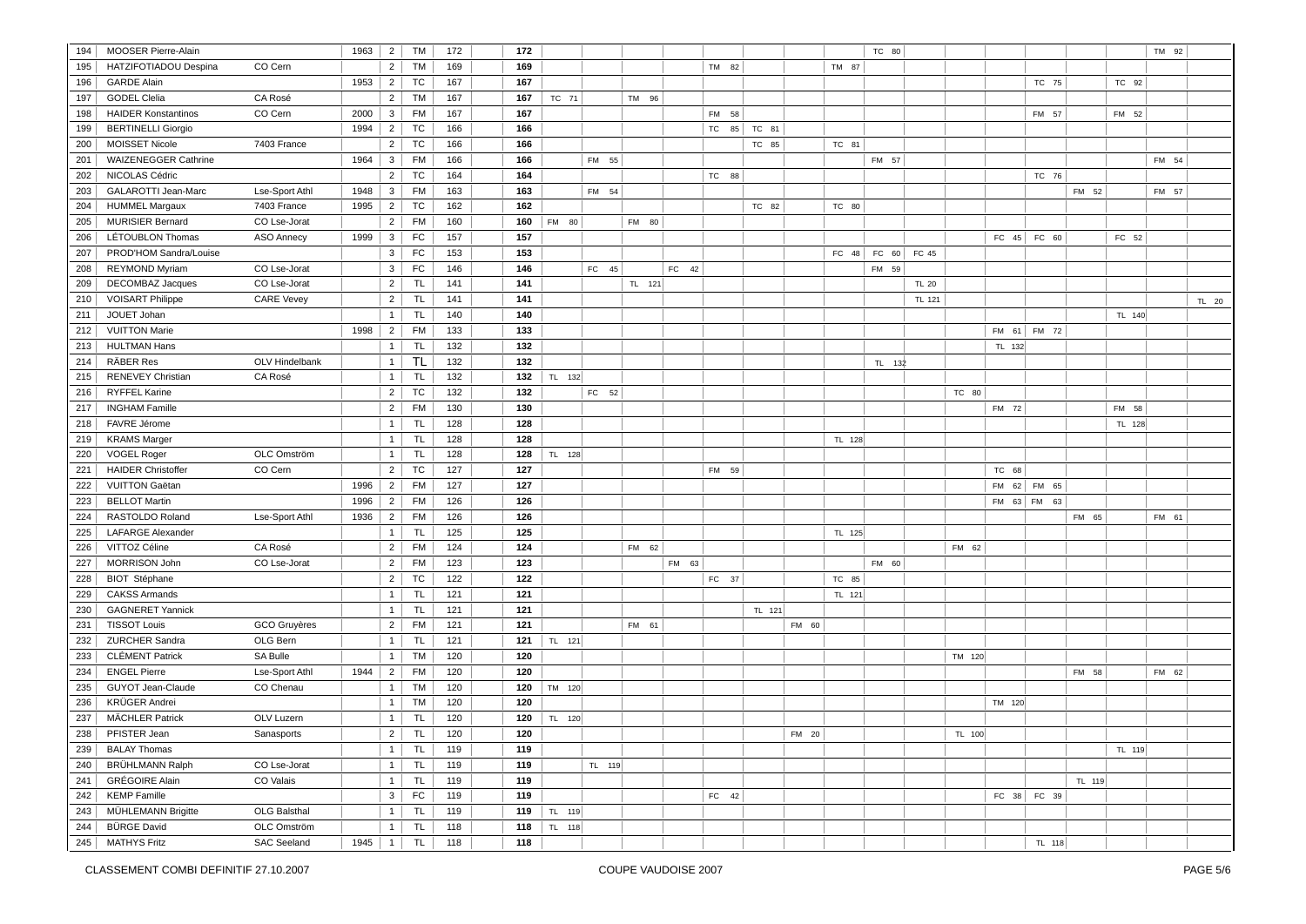| 194        | <b>MOOSER Pierre-Alain</b>                |                     | 1963 | $\overline{2}$      | <b>TM</b>       | 172        | 172        |        |        |        |       |                 |        |        | TC 80           |              |        |        |             |        |        | TM 92 |       |
|------------|-------------------------------------------|---------------------|------|---------------------|-----------------|------------|------------|--------|--------|--------|-------|-----------------|--------|--------|-----------------|--------------|--------|--------|-------------|--------|--------|-------|-------|
| 195        | HATZIFOTIADOU Despina                     | CO Cern             |      | $2^{\circ}$         | TM              | 169        | 169        |        |        |        |       | TM 82           |        | TM 87  |                 |              |        |        |             |        |        |       |       |
| 196        | <b>GARDE Alain</b>                        |                     | 1953 | 2                   | TC              | 167        | 167        |        |        |        |       |                 |        |        |                 |              |        |        | TC 75       |        | TC 92  |       |       |
| 197        | <b>GODEL Clelia</b>                       | CA Rosé             |      | $\overline{2}$      | <b>TM</b>       | 167        | 167        | TC 71  |        | TM 96  |       |                 |        |        |                 |              |        |        |             |        |        |       |       |
|            |                                           |                     |      |                     |                 |            |            |        |        |        |       |                 |        |        |                 |              |        |        |             |        |        |       |       |
| 198        | <b>HAIDER Konstantinos</b>                | CO Cern             | 2000 | $\mathbf{3}$        | <b>FM</b>       | 167        | 167        |        |        |        |       | <b>FM</b><br>58 |        |        |                 |              |        |        | FM 57       |        | FM 52  |       |       |
| 199        | <b>BERTINELLI Giorgio</b>                 |                     | 1994 | 2 <sup>1</sup>      | TC              | 166        | 166        |        |        |        |       | TC<br>85        | TC 81  |        |                 |              |        |        |             |        |        |       |       |
| 200        | <b>MOISSET Nicole</b>                     | 7403 France         |      | $2 \mid$            | TC              | 166        | 166        |        |        |        |       |                 | TC 85  | TC 81  |                 |              |        |        |             |        |        |       |       |
| 201        | <b>WAIZENEGGER Cathrine</b>               |                     | 1964 | $\mathbf{3}$        | <b>FM</b>       | 166        | 166        |        | FM 55  |        |       |                 |        |        | FM 57           |              |        |        |             |        |        | FM 54 |       |
| 202        | NICOLAS Cédric                            |                     |      | $\overline{2}$      | TC              | 164        | 164        |        |        |        |       | TC 88           |        |        |                 |              |        |        | TC 76       |        |        |       |       |
| 203        | GALAROTTI Jean-Marc                       | Lse-Sport Athl      | 1948 | 3                   | <b>FM</b>       | 163        | 163        |        | FM 54  |        |       |                 |        |        |                 |              |        |        |             | FM 52  |        | FM 57 |       |
| 204        | <b>HUMMEL Margaux</b>                     | 7403 France         | 1995 | $\overline{2}$      | <b>TC</b>       | 162        | 162        |        |        |        |       |                 | TC 82  | TC 80  |                 |              |        |        |             |        |        |       |       |
| 205        | <b>MURISIER Bernard</b>                   | CO Lse-Jorat        |      | $\overline{2}$      | <b>FM</b>       | 160        | 160        | FM 80  |        | FM 80  |       |                 |        |        |                 |              |        |        |             |        |        |       |       |
| 206        | LÉTOUBLON Thomas                          | <b>ASO Annecy</b>   | 1999 | $\mathbf{3}$        | FC              | 157        | 157        |        |        |        |       |                 |        |        |                 |              |        |        | FC 45 FC 60 |        | FC 52  |       |       |
| 207        | PROD'HOM Sandra/Louise                    |                     |      | 3 <sup>1</sup>      | FC              | 153        | 153        |        |        |        |       |                 |        |        | FC $48$ FC $60$ | FC 45        |        |        |             |        |        |       |       |
| 208        | <b>REYMOND Myriam</b>                     | CO Lse-Jorat        |      | 3 <sup>1</sup>      | FC              | 146        | 146        |        | FC 45  |        | FC 42 |                 |        |        | FM 59           |              |        |        |             |        |        |       |       |
| 209        | <b>DECOMBAZ Jacques</b>                   | CO Lse-Jorat        |      | 2                   | <b>TL</b>       | 141        | 141        |        |        | TL 121 |       |                 |        |        |                 | <b>TL 20</b> |        |        |             |        |        |       |       |
| 210        | <b>VOISART Philippe</b>                   | <b>CARE Vevey</b>   |      | $\overline{2}$      | TL              | 141        | 141        |        |        |        |       |                 |        |        |                 | TL 121       |        |        |             |        |        |       | TL 20 |
| 211        | JOUET Johan                               |                     |      | $\overline{1}$      | <b>TL</b>       | 140        | 140        |        |        |        |       |                 |        |        |                 |              |        |        |             |        | TL 140 |       |       |
| 212        | <b>VUITTON Marie</b>                      |                     | 1998 | $\overline{2}$      | <b>FM</b>       | 133        | 133        |        |        |        |       |                 |        |        |                 |              |        | FM 61  | FM 72       |        |        |       |       |
| 213        | <b>HULTMAN Hans</b>                       |                     |      | $\overline{1}$      | <b>TL</b>       | 132        | 132        |        |        |        |       |                 |        |        |                 |              |        | TL 132 |             |        |        |       |       |
| 214        | RÄBER Res                                 | OLV Hindelbank      |      | $\overline{1}$      | <b>TL</b>       | 132        | 132        |        |        |        |       |                 |        |        | TL 132          |              |        |        |             |        |        |       |       |
| 215        | <b>RENEVEY Christian</b>                  | CA Rosé             |      | $\mathbf{1}$        | <b>TL</b>       | 132        | 132        | TL 132 |        |        |       |                 |        |        |                 |              |        |        |             |        |        |       |       |
| 216        | <b>RYFFEL Karine</b>                      |                     |      | $2 \mid$            | <b>TC</b>       | 132        | 132        |        | FC 52  |        |       |                 |        |        |                 |              | TC 80  |        |             |        |        |       |       |
| 217        | <b>INGHAM Famille</b>                     |                     |      | $\overline{2}$      | <b>FM</b>       | 130        | 130        |        |        |        |       |                 |        |        |                 |              |        | FM 72  |             |        | FM 58  |       |       |
| 218        | FAVRE Jérome                              |                     |      | $\mathbf{1}$        | TL              | 128        | 128        |        |        |        |       |                 |        |        |                 |              |        |        |             |        | TL 128 |       |       |
| 219        | <b>KRAMS Marger</b>                       |                     |      | $\mathbf{1}$        | <b>TL</b>       | 128        | 128        |        |        |        |       |                 |        | TL 128 |                 |              |        |        |             |        |        |       |       |
| 220        | <b>VOGEL Roger</b>                        | OLC Omström         |      | $\overline{1}$      | <b>TL</b>       | 128        | 128        | TL 128 |        |        |       |                 |        |        |                 |              |        |        |             |        |        |       |       |
| 221        | <b>HAIDER Christoffer</b>                 | CO Cern             |      | $\overline{2}$      | TC              | 127        | 127        |        |        |        |       | FM 59           |        |        |                 |              |        | TC 68  |             |        |        |       |       |
| 222        | <b>VUITTON Gaëtan</b>                     |                     | 1996 | $\overline{2}$      | FM              | 127        | 127        |        |        |        |       |                 |        |        |                 |              |        |        | FM 62 FM 65 |        |        |       |       |
| 223        | <b>BELLOT Martin</b>                      |                     | 1996 | 2 <sup>1</sup>      | <b>FM</b>       | 126        | 126        |        |        |        |       |                 |        |        |                 |              |        |        | FM 63 FM 63 |        |        |       |       |
| 224        | RASTOLDO Roland                           | Lse-Sport Athl      | 1936 | $\overline{2}$      | <b>FM</b>       | 126        | 126        |        |        |        |       |                 |        |        |                 |              |        |        |             | FM 65  |        | FM 61 |       |
| 225        | <b>LAFARGE Alexander</b>                  |                     |      | 1                   | <b>TL</b>       | 125        | 125        |        |        |        |       |                 |        | TL 125 |                 |              |        |        |             |        |        |       |       |
| 226        | VITTOZ Céline                             | CA Rosé             |      | $\overline{2}$      | <b>FM</b>       | 124        | 124        |        |        | FM 62  |       |                 |        |        |                 |              | FM 62  |        |             |        |        |       |       |
| 227        | MORRISON John                             | CO Lse-Jorat        |      | $\overline{2}$      | <b>FM</b>       | 123        | 123        |        |        |        | FM 63 |                 |        |        | FM 60           |              |        |        |             |        |        |       |       |
| 228        | <b>BIOT</b> Stéphane                      |                     |      | $\overline{2}$      | TC              | 122        | 122        |        |        |        |       | FC 37           |        | TC 85  |                 |              |        |        |             |        |        |       |       |
| 229        | <b>CAKSS Armands</b>                      |                     |      | $\overline{1}$      | <b>TL</b>       | 121        | 121        |        |        |        |       |                 |        | TL 121 |                 |              |        |        |             |        |        |       |       |
| 230        | <b>GAGNERET Yannick</b>                   |                     |      | $\overline{1}$      | <b>TL</b>       | 121        | 121        |        |        |        |       |                 | TL 121 |        |                 |              |        |        |             |        |        |       |       |
| 231        | <b>TISSOT Louis</b>                       | GCO Gruyères        |      | $\overline{2}$      | <b>FM</b>       | 121        | 121        |        |        | FM 61  |       |                 |        | FM 60  |                 |              |        |        |             |        |        |       |       |
| 232        | ZURCHER Sandra                            | OLG Bern            |      | $\mathbf{1}$        | TL              | 121        | 121        | TL 121 |        |        |       |                 |        |        |                 |              |        |        |             |        |        |       |       |
| 233        | <b>CLÉMENT Patrick</b>                    | SA Bulle            |      | $\mathbf{1}$        | <b>TM</b>       | 120        | 120        |        |        |        |       |                 |        |        |                 |              | TM 120 |        |             |        |        |       |       |
| 234        | <b>ENGEL Pierre</b>                       | Lse-Sport Athl      | 1944 | 2                   | <b>FM</b>       | 120        | 120        |        |        |        |       |                 |        |        |                 |              |        |        |             | FM 58  |        | FM 62 |       |
| 235        | GUYOT Jean-Claude                         | CO Chenau           |      | $\mathbf{1}$        | <b>TM</b>       | 120        | 120        | TM 120 |        |        |       |                 |        |        |                 |              |        |        |             |        |        |       |       |
| 236        | <b>KRÜGER Andrei</b>                      |                     |      | $\overline{1}$      | <b>TM</b>       | 120        | 120        |        |        |        |       |                 |        |        |                 |              |        | TM 120 |             |        |        |       |       |
| 237        | <b>MÄCHLER Patrick</b>                    | OLV Luzern          |      | $\mathbf{1}$        | <b>TL</b>       | 120        | 120        | TL 120 |        |        |       |                 |        |        |                 |              |        |        |             |        |        |       |       |
| 238        | PFISTER Jean                              | Sanasports          |      | $\overline{2}$      | <b>TL</b>       | 120        | 120        |        |        |        |       |                 |        | FM 20  |                 |              | TL 100 |        |             |        |        |       |       |
| 239        | <b>BALAY Thomas</b>                       |                     |      | $\mathbf{1}$        | TL              | 119        | 119        |        |        |        |       |                 |        |        |                 |              |        |        |             |        | TL 119 |       |       |
| 240        | <b>BRÜHLMANN Ralph</b>                    | CO Lse-Jorat        |      | 1                   | <b>TL</b>       | 119        | 119        |        | TL 119 |        |       |                 |        |        |                 |              |        |        |             |        |        |       |       |
| 241        | <b>GRÉGOIRE Alain</b>                     | CO Valais           |      | $\mathbf{1}$        | <b>TL</b>       | 119        | 119        |        |        |        |       |                 |        |        |                 |              |        |        |             | TL 119 |        |       |       |
|            |                                           |                     |      |                     |                 |            |            |        |        |        |       |                 |        |        |                 |              |        |        |             |        |        |       |       |
| 242<br>243 | <b>KEMP Famille</b><br>MÜHLEMANN Brigitte | <b>OLG Balsthal</b> |      | 3<br>$\overline{1}$ | FC<br><b>TL</b> | 119<br>119 | 119<br>119 |        |        |        |       | FC 42           |        |        |                 |              |        | FC 38  | FC 39       |        |        |       |       |
|            |                                           |                     |      |                     |                 |            | 118        | TL 119 |        |        |       |                 |        |        |                 |              |        |        |             |        |        |       |       |
| 244        | <b>BÜRGE David</b>                        | OLC Omström         |      | $\overline{1}$      | <b>TL</b>       | 118        |            | TL 118 |        |        |       |                 |        |        |                 |              |        |        |             |        |        |       |       |
| 245        | <b>MATHYS Fritz</b>                       | <b>SAC Seeland</b>  | 1945 | $\overline{1}$      | TL.             | 118        | 118        |        |        |        |       |                 |        |        |                 |              |        |        | TL 118      |        |        |       |       |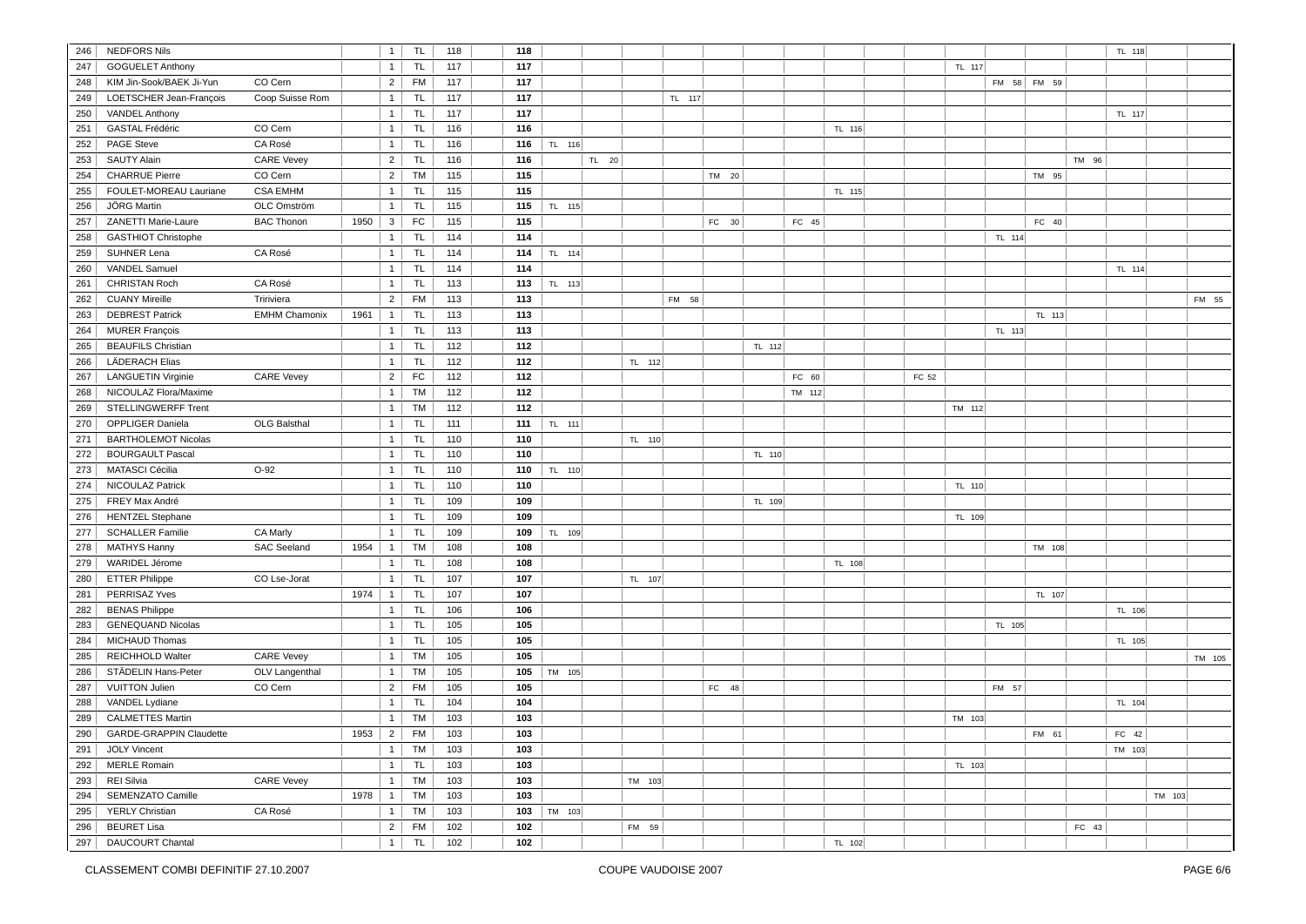| 246 | <b>NEDFORS Nils</b>            |                      |      | $\mathbf{1}$   | <b>TL</b> | 118 | 118 |        |       |        |        |       |        |        |        |       |        |        |             |       | TL 118 |        |        |
|-----|--------------------------------|----------------------|------|----------------|-----------|-----|-----|--------|-------|--------|--------|-------|--------|--------|--------|-------|--------|--------|-------------|-------|--------|--------|--------|
| 247 | <b>GOGUELET Anthony</b>        |                      |      | 1              | <b>TL</b> | 117 | 117 |        |       |        |        |       |        |        |        |       | TL 117 |        |             |       |        |        |        |
| 248 | KIM Jin-Sook/BAEK Ji-Yun       | CO Cern              |      | $\overline{2}$ | <b>FM</b> | 117 | 117 |        |       |        |        |       |        |        |        |       |        |        | FM 58 FM 59 |       |        |        |        |
| 249 |                                | Coop Suisse Rom      |      | 1              |           | 117 | 117 |        |       |        |        |       |        |        |        |       |        |        |             |       |        |        |        |
|     | LOETSCHER Jean-François        |                      |      |                | <b>TL</b> |     |     |        |       |        | TL 117 |       |        |        |        |       |        |        |             |       |        |        |        |
| 250 | <b>VANDEL Anthony</b>          |                      |      | $\overline{1}$ | TL        | 117 | 117 |        |       |        |        |       |        |        |        |       |        |        |             |       | TL 117 |        |        |
| 251 | GASTAL Frédéric                | CO Cern              |      | $\overline{1}$ | <b>TL</b> | 116 | 116 |        |       |        |        |       |        |        | TL 116 |       |        |        |             |       |        |        |        |
| 252 | PAGE Steve                     | CA Rosé              |      | 1              | TL.       | 116 | 116 | TL 116 |       |        |        |       |        |        |        |       |        |        |             |       |        |        |        |
| 253 | <b>SAUTY Alain</b>             | <b>CARE Vevey</b>    |      | 2              | <b>TL</b> | 116 | 116 |        | TL 20 |        |        |       |        |        |        |       |        |        |             | TM 96 |        |        |        |
| 254 | <b>CHARRUE Pierre</b>          | CO Cern              |      | $\overline{2}$ | <b>TM</b> | 115 | 115 |        |       |        |        | TM 20 |        |        |        |       |        |        | TM 95       |       |        |        |        |
| 255 | FOULET-MOREAU Lauriane         | <b>CSA EMHM</b>      |      | $\mathbf{1}$   | <b>TL</b> | 115 | 115 |        |       |        |        |       |        |        | TL 115 |       |        |        |             |       |        |        |        |
| 256 | JÖRG Martin                    | OLC Omström          |      | 1              | <b>TL</b> | 115 | 115 | TL 115 |       |        |        |       |        |        |        |       |        |        |             |       |        |        |        |
| 257 | ZANETTI Marie-Laure            | <b>BAC Thonon</b>    | 1950 | $\mathbf{3}$   | FC        | 115 | 115 |        |       |        |        | FC 30 |        | FC 45  |        |       |        |        | FC 40       |       |        |        |        |
| 258 | <b>GASTHIOT Christophe</b>     |                      |      | 1              | <b>TL</b> | 114 | 114 |        |       |        |        |       |        |        |        |       |        | TL 114 |             |       |        |        |        |
| 259 | SUHNER Lena                    | CA Rosé              |      | $\mathbf{1}$   | <b>TL</b> | 114 | 114 | TL 114 |       |        |        |       |        |        |        |       |        |        |             |       |        |        |        |
| 260 | VANDEL Samuel                  |                      |      | 1              | <b>TL</b> | 114 | 114 |        |       |        |        |       |        |        |        |       |        |        |             |       | TL 114 |        |        |
| 261 | <b>CHRISTAN Roch</b>           | CA Rosé              |      | 1              | <b>TL</b> | 113 | 113 | TL 113 |       |        |        |       |        |        |        |       |        |        |             |       |        |        |        |
| 262 | <b>CUANY Mireille</b>          | Tririviera           |      | $\overline{2}$ | <b>FM</b> | 113 | 113 |        |       |        | FM 58  |       |        |        |        |       |        |        |             |       |        |        | FM 55  |
| 263 | <b>DEBREST Patrick</b>         | <b>EMHM Chamonix</b> | 1961 | 1              | <b>TL</b> | 113 | 113 |        |       |        |        |       |        |        |        |       |        |        | TL 113      |       |        |        |        |
| 264 | <b>MURER François</b>          |                      |      | 1              | <b>TL</b> | 113 | 113 |        |       |        |        |       |        |        |        |       |        | TL 113 |             |       |        |        |        |
| 265 | <b>BEAUFILS Christian</b>      |                      |      | $\overline{1}$ | <b>TL</b> | 112 | 112 |        |       |        |        |       | TL 112 |        |        |       |        |        |             |       |        |        |        |
| 266 | <b>LÄDERACH Elias</b>          |                      |      | $\overline{1}$ | <b>TL</b> | 112 | 112 |        |       | TL 112 |        |       |        |        |        |       |        |        |             |       |        |        |        |
| 267 | <b>LANGUETIN Virginie</b>      | <b>CARE Vevey</b>    |      | $\overline{2}$ | FC        | 112 | 112 |        |       |        |        |       |        | FC 60  |        | FC 52 |        |        |             |       |        |        |        |
| 268 | NICOULAZ Flora/Maxime          |                      |      | 1              | TM        | 112 | 112 |        |       |        |        |       |        | TM 112 |        |       |        |        |             |       |        |        |        |
| 269 | <b>STELLINGWERFF Trent</b>     |                      |      | 1              | <b>TM</b> | 112 | 112 |        |       |        |        |       |        |        |        |       | TM 112 |        |             |       |        |        |        |
| 270 |                                | <b>OLG Balsthal</b>  |      | 1              |           | 111 |     |        |       |        |        |       |        |        |        |       |        |        |             |       |        |        |        |
|     | OPPLIGER Daniela               |                      |      |                | TL        |     | 111 | TL 111 |       |        |        |       |        |        |        |       |        |        |             |       |        |        |        |
| 271 | <b>BARTHOLEMOT Nicolas</b>     |                      |      | $\mathbf{1}$   | <b>TL</b> | 110 | 110 |        |       | TL 110 |        |       |        |        |        |       |        |        |             |       |        |        |        |
| 272 | <b>BOURGAULT Pascal</b>        |                      |      | $\overline{1}$ | <b>TL</b> | 110 | 110 |        |       |        |        |       | TL 110 |        |        |       |        |        |             |       |        |        |        |
| 273 | <b>MATASCI Cécilia</b>         | $O-92$               |      | $\overline{1}$ | TL        | 110 | 110 | TL 110 |       |        |        |       |        |        |        |       |        |        |             |       |        |        |        |
| 274 | NICOULAZ Patrick               |                      |      | $\overline{1}$ | TL        | 110 | 110 |        |       |        |        |       |        |        |        |       | TL 110 |        |             |       |        |        |        |
| 275 | FREY Max André                 |                      |      | 1              | <b>TL</b> | 109 | 109 |        |       |        |        |       | TL 109 |        |        |       |        |        |             |       |        |        |        |
| 276 | <b>HENTZEL Stephane</b>        |                      |      | $\mathbf{1}$   | <b>TL</b> | 109 | 109 |        |       |        |        |       |        |        |        |       | TL 109 |        |             |       |        |        |        |
| 277 | <b>SCHALLER Familie</b>        | CA Marly             |      | $\mathbf{1}$   | <b>TL</b> | 109 | 109 | TL 109 |       |        |        |       |        |        |        |       |        |        |             |       |        |        |        |
| 278 | <b>MATHYS Hanny</b>            | <b>SAC Seeland</b>   | 1954 | $\mathbf{1}$   | TM        | 108 | 108 |        |       |        |        |       |        |        |        |       |        |        | TM 108      |       |        |        |        |
| 279 | WARIDEL Jérome                 |                      |      | $\mathbf{1}$   | <b>TL</b> | 108 | 108 |        |       |        |        |       |        |        | TL 108 |       |        |        |             |       |        |        |        |
| 280 | <b>ETTER Philippe</b>          | CO Lse-Jorat         |      | $\mathbf{1}$   | <b>TL</b> | 107 | 107 |        |       | TL 107 |        |       |        |        |        |       |        |        |             |       |        |        |        |
| 281 | PERRISAZ Yves                  |                      | 1974 | $\overline{1}$ | <b>TL</b> | 107 | 107 |        |       |        |        |       |        |        |        |       |        |        | TL 107      |       |        |        |        |
| 282 | <b>BENAS Philippe</b>          |                      |      | $\mathbf{1}$   | <b>TL</b> | 106 | 106 |        |       |        |        |       |        |        |        |       |        |        |             |       | TL 106 |        |        |
| 283 | <b>GENEQUAND Nicolas</b>       |                      |      | $\mathbf{1}$   | <b>TL</b> | 105 | 105 |        |       |        |        |       |        |        |        |       |        | TL 105 |             |       |        |        |        |
| 284 | <b>MICHAUD Thomas</b>          |                      |      | 1              | <b>TL</b> | 105 | 105 |        |       |        |        |       |        |        |        |       |        |        |             |       | TL 105 |        |        |
| 285 | REICHHOLD Walter               | <b>CARE Vevey</b>    |      | $\mathbf{1}$   | TM        | 105 | 105 |        |       |        |        |       |        |        |        |       |        |        |             |       |        |        | TM 105 |
| 286 | STÄDELIN Hans-Peter            | OLV Langenthal       |      | 1              | <b>TM</b> | 105 | 105 | TM 105 |       |        |        |       |        |        |        |       |        |        |             |       |        |        |        |
| 287 | <b>VUITTON Julien</b>          | CO Cern              |      | 2              | FM        | 105 | 105 |        |       |        |        | FC 48 |        |        |        |       |        | FM 57  |             |       |        |        |        |
| 288 | VANDEL Lydiane                 |                      |      | $\mathbf{1}$   | <b>TL</b> | 104 | 104 |        |       |        |        |       |        |        |        |       |        |        |             |       | TL 104 |        |        |
| 289 | <b>CALMETTES Martin</b>        |                      |      | $\overline{1}$ | TM        | 103 | 103 |        |       |        |        |       |        |        |        |       | TM 103 |        |             |       |        |        |        |
| 290 | <b>GARDE-GRAPPIN Claudette</b> |                      | 1953 | 2              | <b>FM</b> | 103 | 103 |        |       |        |        |       |        |        |        |       |        |        | FM 61       |       | FC 42  |        |        |
| 291 | <b>JOLY Vincent</b>            |                      |      | 1              | TM        | 103 | 103 |        |       |        |        |       |        |        |        |       |        |        |             |       | TM 103 |        |        |
| 292 | <b>MERLE Romain</b>            |                      |      | 1              | TL        | 103 | 103 |        |       |        |        |       |        |        |        |       | TL 103 |        |             |       |        |        |        |
|     | REI Silvia                     |                      |      |                |           |     |     |        |       |        |        |       |        |        |        |       |        |        |             |       |        |        |        |
| 293 |                                | <b>CARE Vevey</b>    |      | 1              | <b>TM</b> | 103 | 103 |        |       | TM 103 |        |       |        |        |        |       |        |        |             |       |        |        |        |
| 294 | <b>SEMENZATO Camille</b>       |                      | 1978 | $\mathbf{1}$   | <b>TM</b> | 103 | 103 |        |       |        |        |       |        |        |        |       |        |        |             |       |        | TM 103 |        |
| 295 | <b>YERLY Christian</b>         | CA Rosé              |      | $\mathbf{1}$   | <b>TM</b> | 103 | 103 | TM 103 |       |        |        |       |        |        |        |       |        |        |             |       |        |        |        |
| 296 | <b>BEURET Lisa</b>             |                      |      | $\overline{2}$ | FM        | 102 | 102 |        |       | FM 59  |        |       |        |        |        |       |        |        |             | FC 43 |        |        |        |
| 297 | DAUCOURT Chantal               |                      |      | $\mathbf{1}$   | <b>TL</b> | 102 | 102 |        |       |        |        |       |        |        | TL 102 |       |        |        |             |       |        |        |        |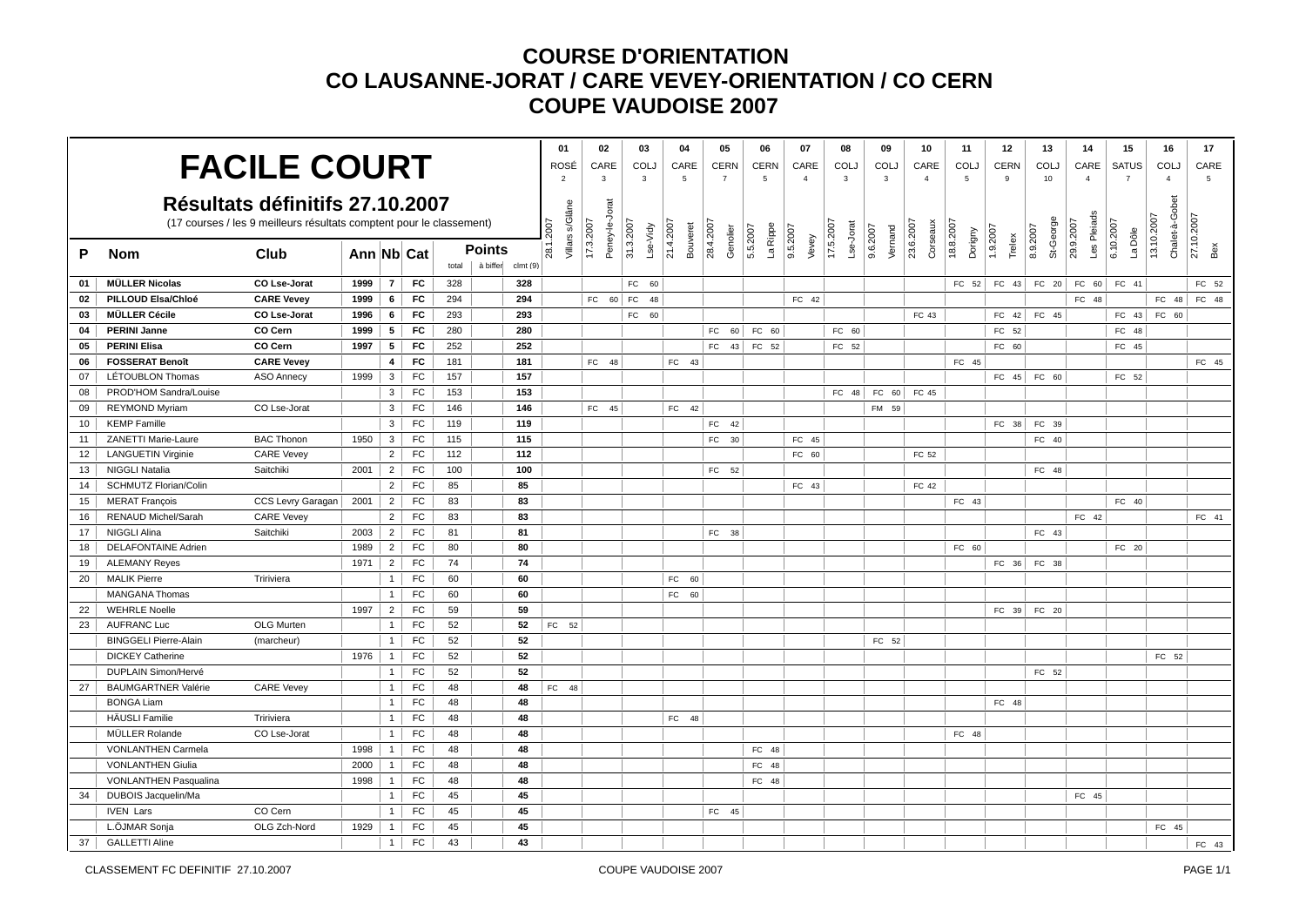|                 |                              |                                                                      |            |                |           |       |                     | 01                           | 02                          | 03                    | 04                    | 05                    | 06                   | 07                | 08                     | 09                  | 10 <sup>1</sup>       | 11                   | 12                 | 13                      | 14                       | 15                   | 16                           | 17                |
|-----------------|------------------------------|----------------------------------------------------------------------|------------|----------------|-----------|-------|---------------------|------------------------------|-----------------------------|-----------------------|-----------------------|-----------------------|----------------------|-------------------|------------------------|---------------------|-----------------------|----------------------|--------------------|-------------------------|--------------------------|----------------------|------------------------------|-------------------|
|                 |                              | <b>FACILE COURT</b>                                                  |            |                |           |       |                     | ROSÉ                         | CARE                        | COLJ                  | CARE                  | <b>CERN</b>           | <b>CERN</b>          | CARE              | <b>COLJ</b>            | <b>COLJ</b>         | CARE                  | COLJ                 | <b>CERN</b>        | COLJ                    | CARE                     | <b>SATUS</b>         | COLJ                         | CARE              |
|                 |                              |                                                                      |            |                |           |       |                     | $\overline{2}$               | $\mathbf{3}$                | 3                     | $\overline{5}$        | $\overline{7}$        | 5                    | $\overline{4}$    | $\overline{3}$         | $\mathbf{3}$        | $\overline{4}$        | 5                    | 9                  | 10                      | $\overline{4}$           | $\overline{7}$       | $\overline{4}$               | $5\phantom{.0}$   |
|                 |                              | Résultats définitifs 27.10.2007                                      |            |                |           |       |                     |                              |                             |                       |                       |                       |                      |                   |                        |                     |                       |                      |                    |                         |                          |                      |                              |                   |
|                 |                              |                                                                      |            |                |           |       |                     |                              |                             |                       |                       |                       |                      |                   |                        |                     |                       |                      |                    |                         |                          |                      |                              |                   |
|                 |                              | (17 courses / les 9 meilleurs résultats comptent pour le classement) |            |                |           |       |                     |                              |                             |                       |                       |                       |                      |                   |                        |                     |                       |                      |                    |                         |                          |                      |                              |                   |
| P               | <b>Nom</b>                   | Club                                                                 | Ann Nb Cat |                |           |       | <b>Points</b>       | Villars s/Glâne<br>28.1.2007 | Peney-le-Jorat<br>17.3.2007 | 31.3.2007<br>Lse-Vidy | 21.4.2007<br>Bouveret | 28.4.2007<br>Genolier | La Rippe<br>5.5.2007 | 9.5.2007<br>Vevey | 17.5.2007<br>Lse-Jorat | 9.6.2007<br>Vernand | 23.6.2007<br>Corseaux | 18.8.2007<br>Dorigny | 1.9.2007<br>Trelex | St-George<br>8.9.2007   | Les Pleiads<br>29.9.2007 | 6.10.2007<br>La Dôle | Chalet-à-Gobet<br>13.10.2007 | 27.10.2007<br>Bex |
|                 |                              |                                                                      |            |                |           | total | à biffer<br>clmt(9) |                              |                             |                       |                       |                       |                      |                   |                        |                     |                       |                      |                    |                         |                          |                      |                              |                   |
| 01              | <b>MÜLLER Nicolas</b>        | CO Lse-Jorat                                                         | 1999       | 7 <sup>1</sup> | <b>FC</b> | 328   | 328                 |                              |                             | FC 60                 |                       |                       |                      |                   |                        |                     |                       |                      |                    | FC $52$ FC $43$ FC $20$ | FC 60                    | FC 41                |                              | FC 52             |
| 02              | PILLOUD Elsa/Chloé           | <b>CARE Vevey</b>                                                    | 1999       | 6              | FC        | 294   | 294                 |                              | $FC 60$ $FC$                | 48                    |                       |                       |                      | FC 42             |                        |                     |                       |                      |                    |                         | FC 48                    |                      | FC 48                        | FC 48             |
| 03              | <b>MÜLLER Cécile</b>         | CO Lse-Jorat                                                         | 1996       | 6              | FC        | 293   | 293                 |                              |                             | <b>FC</b><br>60       |                       |                       |                      |                   |                        |                     | FC 43                 |                      | FC 42              | FC 45                   |                          | FC 43                | FC 60                        |                   |
| 04              | <b>PERINI Janne</b>          | CO Cern                                                              | 1999       | 5              | <b>FC</b> | 280   | 280                 |                              |                             |                       |                       | FC<br>60              | FC 60                |                   | FC 60                  |                     |                       |                      | FC 52              |                         |                          | FC 48                |                              |                   |
| 05              | <b>PERINI Elisa</b>          | CO Cern                                                              | 1997       | 5 <sub>5</sub> | FC        | 252   | 252                 |                              |                             |                       |                       | FC<br>43              | FC 52                |                   | FC 52                  |                     |                       |                      | FC 60              |                         |                          | FC 45                |                              |                   |
| 06              | <b>FOSSERAT Benoît</b>       | <b>CARE Vevey</b>                                                    |            | $\overline{4}$ | FC        | 181   | 181                 |                              | FC 48                       |                       | FC 43                 |                       |                      |                   |                        |                     |                       | FC 45                |                    |                         |                          |                      |                              | FC 45             |
| 07              | LÉTOUBLON Thomas             | <b>ASO Annecy</b>                                                    | 1999       | $\mathbf{3}$   | FC        | 157   | 157                 |                              |                             |                       |                       |                       |                      |                   |                        |                     |                       |                      | FC 45              | FC 60                   |                          | FC 52                |                              |                   |
| 08              | PROD'HOM Sandra/Louise       |                                                                      |            | 3 <sup>1</sup> | FC        | 153   | 153                 |                              |                             |                       |                       |                       |                      |                   | FC 48                  | FC 60               | FC 45                 |                      |                    |                         |                          |                      |                              |                   |
| 09              | REYMOND Myriam               | CO Lse-Jorat                                                         |            | 3 <sup>1</sup> | FC        | 146   | 146                 |                              | FC 45                       |                       | FC 42                 |                       |                      |                   |                        | FM 59               |                       |                      |                    |                         |                          |                      |                              |                   |
| 10 <sup>1</sup> | <b>KEMP Famille</b>          |                                                                      |            | 3 <sup>1</sup> | FC        | 119   | 119                 |                              |                             |                       |                       | FC<br>42              |                      |                   |                        |                     |                       |                      | $FC$ 38            | FC 39                   |                          |                      |                              |                   |
| 11              | ZANETTI Marie-Laure          | <b>BAC Thonon</b>                                                    | 1950       | 3 <sup>1</sup> | FC        | 115   | 115                 |                              |                             |                       |                       | FC<br>30              |                      | FC 45             |                        |                     |                       |                      |                    | FC 40                   |                          |                      |                              |                   |
| 12              | <b>LANGUETIN Virginie</b>    | <b>CARE Vevey</b>                                                    |            | 2 <sup>1</sup> | FC        | 112   | 112                 |                              |                             |                       |                       |                       |                      | FC 60             |                        |                     | FC 52                 |                      |                    |                         |                          |                      |                              |                   |
| 13              | <b>NIGGLI Natalia</b>        | Saitchiki                                                            | 2001       | 2 <sup>1</sup> | FC        | 100   | 100                 |                              |                             |                       |                       | FC 52                 |                      |                   |                        |                     |                       |                      |                    | FC 48                   |                          |                      |                              |                   |
| 14              | <b>SCHMUTZ Florian/Colin</b> |                                                                      |            | 2 <sup>1</sup> | FC        | 85    | 85                  |                              |                             |                       |                       |                       |                      | FC 43             |                        |                     | FC 42                 |                      |                    |                         |                          |                      |                              |                   |
| 15              | <b>MERAT François</b>        | CCS Levry Garagan                                                    | 2001       | $\overline{2}$ | FC        | 83    | 83                  |                              |                             |                       |                       |                       |                      |                   |                        |                     |                       | FC 43                |                    |                         |                          | FC 40                |                              |                   |
| 16              | RENAUD Michel/Sarah          | <b>CARE Vevey</b>                                                    |            | $\overline{2}$ | FC        | 83    | 83                  |                              |                             |                       |                       |                       |                      |                   |                        |                     |                       |                      |                    |                         | FC 42                    |                      |                              | FC 41             |
| 17              | NIGGLI Alina                 | Saitchiki                                                            | 2003       | 2              | FC        | 81    | 81                  |                              |                             |                       |                       | FC 38                 |                      |                   |                        |                     |                       |                      |                    | FC 43                   |                          |                      |                              |                   |
| 18              | <b>DELAFONTAINE Adrien</b>   |                                                                      | 1989       | 2 <sup>1</sup> | FC        | 80    | 80                  |                              |                             |                       |                       |                       |                      |                   |                        |                     |                       | FC 60                |                    |                         |                          | FC 20                |                              |                   |
| 19              | <b>ALEMANY Reyes</b>         |                                                                      | 1971       | 2 <sup>1</sup> | FC        | 74    | 74                  |                              |                             |                       |                       |                       |                      |                   |                        |                     |                       |                      | FC 36              | FC 38                   |                          |                      |                              |                   |
| 20              | <b>MALIK Pierre</b>          | Tririviera                                                           |            |                | $1$ FC    | 60    | 60                  |                              |                             |                       | FC<br>60              |                       |                      |                   |                        |                     |                       |                      |                    |                         |                          |                      |                              |                   |
|                 | <b>MANGANA Thomas</b>        |                                                                      |            | $1 \vert$      | FC        | 60    | 60                  |                              |                             |                       | FC<br>60              |                       |                      |                   |                        |                     |                       |                      |                    |                         |                          |                      |                              |                   |
| 22              | <b>WEHRLE Noelle</b>         |                                                                      | 1997       | 2 <sup>1</sup> | FC        | 59    | 59                  |                              |                             |                       |                       |                       |                      |                   |                        |                     |                       |                      | FC 39              | FC 20                   |                          |                      |                              |                   |
| 23              | <b>AUFRANC Luc</b>           | <b>OLG Murten</b>                                                    |            |                | $1$ FC    | 52    | 52                  | FC 52                        |                             |                       |                       |                       |                      |                   |                        |                     |                       |                      |                    |                         |                          |                      |                              |                   |
|                 | <b>BINGGELI Pierre-Alain</b> | (marcheur)                                                           |            | 1              | FC        | 52    | 52                  |                              |                             |                       |                       |                       |                      |                   |                        | FC 52               |                       |                      |                    |                         |                          |                      |                              |                   |
|                 | <b>DICKEY Catherine</b>      |                                                                      | 1976       | $\mathbf{1}$   | FC        | 52    | 52                  |                              |                             |                       |                       |                       |                      |                   |                        |                     |                       |                      |                    |                         |                          |                      | FC 52                        |                   |
|                 | DUPLAIN Simon/Hervé          |                                                                      |            | 1              | FC        | 52    | 52                  |                              |                             |                       |                       |                       |                      |                   |                        |                     |                       |                      |                    | FC 52                   |                          |                      |                              |                   |
| 27              | <b>BAUMGARTNER Valérie</b>   | <b>CARE Vevey</b>                                                    |            | $\mathbf{1}$   | FC        | 48    | 48                  | FC 48                        |                             |                       |                       |                       |                      |                   |                        |                     |                       |                      |                    |                         |                          |                      |                              |                   |
|                 | <b>BONGA Liam</b>            |                                                                      |            | 1 <sup>1</sup> | FC        | 48    | 48                  |                              |                             |                       |                       |                       |                      |                   |                        |                     |                       |                      | FC 48              |                         |                          |                      |                              |                   |
|                 | <b>HÄUSLI Familie</b>        | Tririviera                                                           |            | 1              | FC        | 48    | 48                  |                              |                             |                       | FC 48                 |                       |                      |                   |                        |                     |                       |                      |                    |                         |                          |                      |                              |                   |
|                 | MÜLLER Rolande               | CO Lse-Jorat                                                         |            | 1 <sup>1</sup> | FC        | 48    | 48                  |                              |                             |                       |                       |                       |                      |                   |                        |                     |                       | FC 48                |                    |                         |                          |                      |                              |                   |
|                 | <b>VONLANTHEN Carmela</b>    |                                                                      | 1998       | 1 <sup>1</sup> | FC        | 48    | 48                  |                              |                             |                       |                       |                       | FC 48                |                   |                        |                     |                       |                      |                    |                         |                          |                      |                              |                   |
|                 | <b>VONLANTHEN Giulia</b>     |                                                                      | 2000       | 1 <sup>1</sup> | FC        | 48    | 48                  |                              |                             |                       |                       |                       | FC 48                |                   |                        |                     |                       |                      |                    |                         |                          |                      |                              |                   |
|                 | <b>VONLANTHEN Pasqualina</b> |                                                                      | 1998       | 1 <sup>1</sup> | FC        | 48    | 48                  |                              |                             |                       |                       |                       | FC 48                |                   |                        |                     |                       |                      |                    |                         |                          |                      |                              |                   |
| 34              | DUBOIS Jacquelin/Ma          |                                                                      |            | 1 <sup>1</sup> | FC        | 45    | 45                  |                              |                             |                       |                       |                       |                      |                   |                        |                     |                       |                      |                    |                         | FC 45                    |                      |                              |                   |
|                 | <b>IVEN Lars</b>             | CO Cern                                                              |            | $\mathbf{1}$   | FC        | 45    | 45                  |                              |                             |                       |                       | 45<br>FC              |                      |                   |                        |                     |                       |                      |                    |                         |                          |                      |                              |                   |
|                 | L.ÖJMAR Sonja                | OLG Zch-Nord                                                         | 1929       | 1              | FC        | 45    | 45                  |                              |                             |                       |                       |                       |                      |                   |                        |                     |                       |                      |                    |                         |                          |                      | FC 45                        |                   |
| 37              | <b>GALLETTI Aline</b>        |                                                                      |            | 1 <sup>1</sup> | FC        | 43    | 43                  |                              |                             |                       |                       |                       |                      |                   |                        |                     |                       |                      |                    |                         |                          |                      |                              | FC 43             |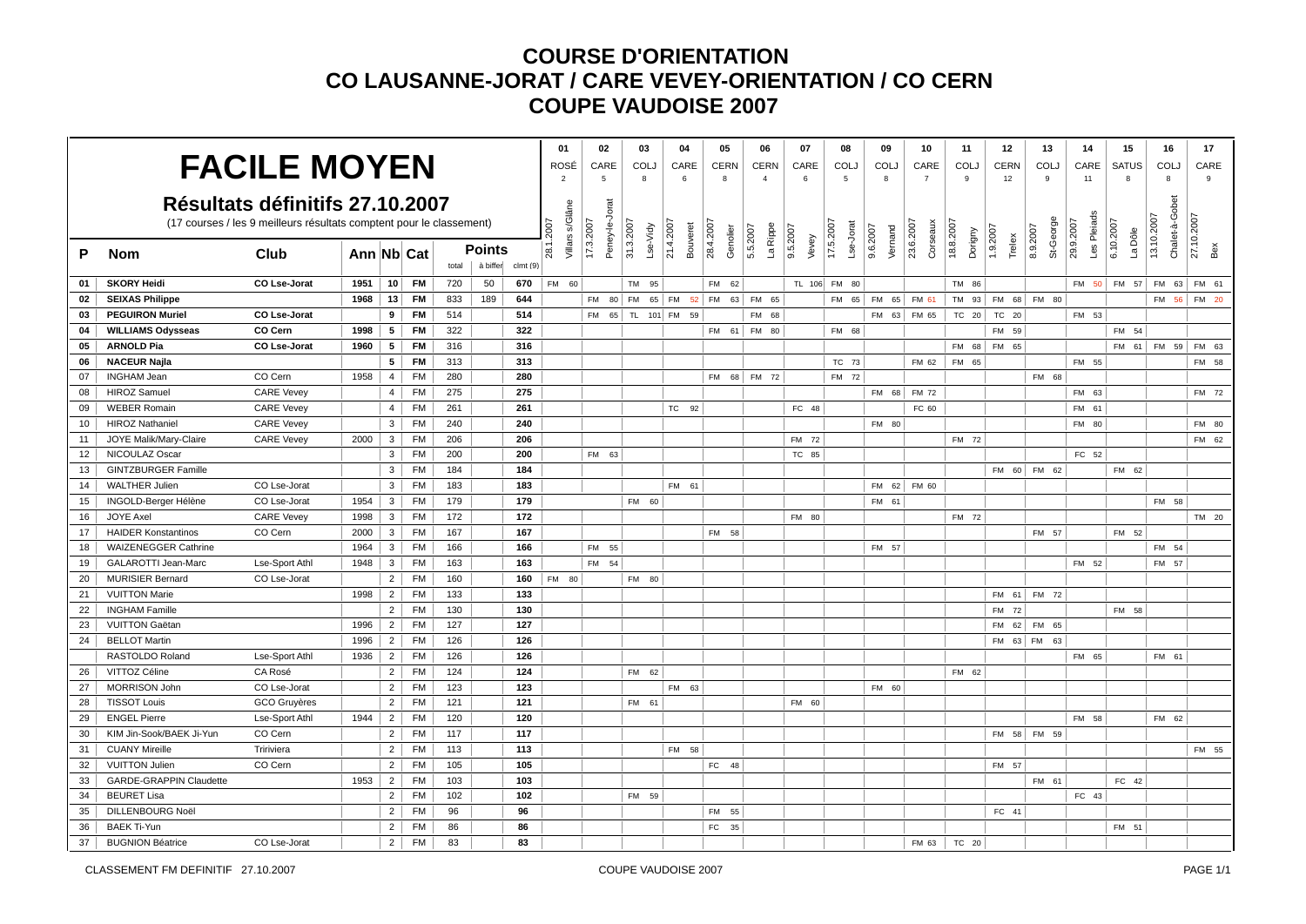|                 |                                |                                                                      |            |                |           |       |               |         | 01                       | 02                          | 03           |          | 04                    | 05                    | 06                   | 07                | 08                     | 09                  | 10                    | 11                   | 12                 | 13                    | 14                       | 15                   | 16                           | 17                |
|-----------------|--------------------------------|----------------------------------------------------------------------|------------|----------------|-----------|-------|---------------|---------|--------------------------|-----------------------------|--------------|----------|-----------------------|-----------------------|----------------------|-------------------|------------------------|---------------------|-----------------------|----------------------|--------------------|-----------------------|--------------------------|----------------------|------------------------------|-------------------|
|                 |                                | <b>FACILE MOYEN</b>                                                  |            |                |           |       |               |         | ROSÉ                     | CARE                        | COLJ         |          | CARE                  | <b>CERN</b>           | <b>CERN</b>          | CARE              | <b>COLJ</b>            | <b>COLJ</b>         | CARE                  | COLJ                 | <b>CERN</b>        | COL.                  | CARE                     | SATUS                | COLJ                         | CARE              |
|                 |                                |                                                                      |            |                |           |       |               |         | $\overline{2}$           | 5                           | 8            |          | 6                     | 8                     | $\overline{4}$       | 6                 | 5                      | 8                   | $\overline{7}$        | 9                    | 12                 | 9                     | 11                       | 8                    | 8                            | $_{9}$            |
|                 |                                | Résultats définitifs 27.10.2007                                      |            |                |           |       |               |         |                          |                             |              |          |                       |                       |                      |                   |                        |                     |                       |                      |                    |                       |                          |                      |                              |                   |
|                 |                                |                                                                      |            |                |           |       |               |         |                          |                             |              |          |                       |                       |                      |                   |                        |                     |                       |                      |                    |                       |                          |                      |                              |                   |
|                 |                                | (17 courses / les 9 meilleurs résultats comptent pour le classement) |            |                |           |       |               |         | 2007                     |                             |              |          |                       |                       |                      |                   |                        |                     |                       |                      |                    |                       |                          |                      |                              |                   |
| P               | <b>Nom</b>                     | Club                                                                 | Ann Nb Cat |                |           |       | <b>Points</b> |         | Villars s/Glâne<br>28.1. | Peney-le-Jorat<br>17.3.2007 | 31.3.2007    | Lse-Vidy | 21.4.2007<br>Bouveret | 28.4.2007<br>Genolier | La Rippe<br>5.5.2007 | 9.5.2007<br>Vevey | 17.5.2007<br>Lse-Jorat | 9.6.2007<br>Vernand | 23.6.2007<br>Corseaux | 18.8.2007<br>Dorigny | 1.9.2007<br>Trelex | St-George<br>8.9.2007 | Les Pleiads<br>29.9.2007 | 6.10.2007<br>La Dôle | Chalet-à-Gobet<br>13.10.2007 | 27.10.2007<br>Bex |
|                 |                                |                                                                      |            |                |           | total | à biffer      | clmt(9) |                          |                             |              |          |                       |                       |                      |                   |                        |                     |                       |                      |                    |                       |                          |                      |                              |                   |
| 01              | <b>SKORY Heidi</b>             | CO Lse-Jorat                                                         | 1951       |                | $10$ FM   | 720   | 50            | 670     | FM 60                    |                             | TM 95        |          |                       | 62<br><b>FM</b>       |                      | TL 106 FM         | 80                     |                     |                       | TM 86                |                    |                       |                          | FM 50 FM 57          | FM 63                        | FM 61             |
| 02              | <b>SEIXAS Philippe</b>         |                                                                      | 1968       | 13             | <b>FM</b> | 833   | 189           | 644     |                          | FM 80 FM                    |              |          | 65 FM 52 FM           |                       | 63 FM 65             |                   | FM 65                  | FM 65               | FM 61                 | TM 93                | FM 68              | FM 80                 |                          |                      | FM 56                        | FM 20             |
| 03              | <b>PEGUIRON Muriel</b>         | CO Lse-Jorat                                                         |            | 9              | <b>FM</b> | 514   |               | 514     |                          | <b>FM</b>                   | 65 TL 101 FM |          | 59                    |                       | <b>FM</b><br>68      |                   |                        | <b>FM</b><br>63     | FM 65                 | TC 20                | TC 20              |                       | FM 53                    |                      |                              |                   |
| 04              | <b>WILLIAMS Odysseas</b>       | CO Cern                                                              | 1998       | 5              | <b>FM</b> | 322   |               | 322     |                          |                             |              |          |                       |                       | FM 61 FM 80          |                   | FM 68                  |                     |                       |                      | FM 59              |                       |                          | FM 54                |                              |                   |
| 05              | <b>ARNOLD Pia</b>              | CO Lse-Jorat                                                         | 1960       | $5^{\circ}$    | <b>FM</b> | 316   |               | 316     |                          |                             |              |          |                       |                       |                      |                   |                        |                     |                       | FM 68                | FM 65              |                       |                          |                      | FM 61 FM 59                  | FM 63             |
| 06              | <b>NACEUR Najla</b>            |                                                                      |            | 5              | <b>FM</b> | 313   |               | 313     |                          |                             |              |          |                       |                       |                      |                   | TC 73                  |                     | FM 62                 | FM 65                |                    |                       | FM 55                    |                      |                              | FM 58             |
| 07              | <b>INGHAM Jean</b>             | CO Cern                                                              | 1958       | $\overline{4}$ | <b>FM</b> | 280   |               | 280     |                          |                             |              |          |                       | <b>FM</b>             | 68 FM 72             |                   | FM 72                  |                     |                       |                      |                    | FM 68                 |                          |                      |                              |                   |
| 08              | <b>HIROZ Samuel</b>            | <b>CARE Vevey</b>                                                    |            | $\overline{4}$ | <b>FM</b> | 275   |               | 275     |                          |                             |              |          |                       |                       |                      |                   |                        | FM 68               | FM 72                 |                      |                    |                       | FM 63                    |                      |                              | FM 72             |
| 09              | <b>WEBER Romain</b>            | <b>CARE Vevey</b>                                                    |            | 4              | <b>FM</b> | 261   |               | 261     |                          |                             |              |          | TC 92                 |                       |                      | FC 48             |                        |                     | FC 60                 |                      |                    |                       | FM 61                    |                      |                              |                   |
| 10              | <b>HIROZ Nathaniel</b>         | <b>CARE Vevey</b>                                                    |            | $\mathbf{3}$   | <b>FM</b> | 240   |               | 240     |                          |                             |              |          |                       |                       |                      |                   |                        | FM 80               |                       |                      |                    |                       | FM 80                    |                      |                              | FM 80             |
| 11              | JOYE Malik/Mary-Claire         | <b>CARE Vevey</b>                                                    | 2000       | $\mathbf{3}$   | <b>FM</b> | 206   |               | 206     |                          |                             |              |          |                       |                       |                      | FM 72             |                        |                     |                       | FM 72                |                    |                       |                          |                      |                              | FM 62             |
| 12 <sup>2</sup> | NICOULAZ Oscar                 |                                                                      |            | 3 <sup>1</sup> | <b>FM</b> | 200   |               | 200     |                          | FM 63                       |              |          |                       |                       |                      | TC 85             |                        |                     |                       |                      |                    |                       | FC 52                    |                      |                              |                   |
| 13              | <b>GINTZBURGER Famille</b>     |                                                                      |            | 3 <sup>1</sup> | FM        | 184   |               | 184     |                          |                             |              |          |                       |                       |                      |                   |                        |                     |                       |                      |                    | FM 60 FM 62           |                          | FM 62                |                              |                   |
| 14              | <b>WALTHER Julien</b>          | CO Lse-Jorat                                                         |            | $\mathbf{3}$   | <b>FM</b> | 183   |               | 183     |                          |                             |              |          | FM 61                 |                       |                      |                   |                        | FM 62               | FM 60                 |                      |                    |                       |                          |                      |                              |                   |
| 15              | INGOLD-Berger Hélène           | CO Lse-Jorat                                                         | 1954       | $\mathbf{3}$   | <b>FM</b> | 179   |               | 179     |                          |                             | FM 60        |          |                       |                       |                      |                   |                        | FM 61               |                       |                      |                    |                       |                          |                      | FM 58                        |                   |
| 16              | <b>JOYE Axel</b>               | <b>CARE Vevey</b>                                                    | 1998       | 3              | <b>FM</b> | 172   |               | 172     |                          |                             |              |          |                       |                       |                      | FM 80             |                        |                     |                       | FM 72                |                    |                       |                          |                      |                              | TM 20             |
| 17              | <b>HAIDER Konstantinos</b>     | CO Cern                                                              | 2000       | 3 <sup>1</sup> | <b>FM</b> | 167   |               | 167     |                          |                             |              |          |                       | FM 58                 |                      |                   |                        |                     |                       |                      |                    | FM 57                 |                          | FM 52                |                              |                   |
| 18              | <b>WAIZENEGGER Cathrine</b>    |                                                                      | 1964       | 3 <sup>1</sup> | <b>FM</b> | 166   |               | 166     |                          | FM 55                       |              |          |                       |                       |                      |                   |                        | FM 57               |                       |                      |                    |                       |                          |                      | FM 54                        |                   |
| 19              | <b>GALAROTTI Jean-Marc</b>     | Lse-Sport Athl                                                       | 1948       | $\mathbf{3}$   | <b>FM</b> | 163   |               | 163     |                          | FM 54                       |              |          |                       |                       |                      |                   |                        |                     |                       |                      |                    |                       | FM 52                    |                      | FM 57                        |                   |
| 20              | <b>MURISIER Bernard</b>        | CO Lse-Jorat                                                         |            | 2 <sup>1</sup> | <b>FM</b> | 160   |               | 160     | FM 80                    |                             | FM 80        |          |                       |                       |                      |                   |                        |                     |                       |                      |                    |                       |                          |                      |                              |                   |
| 21              | <b>VUITTON Marie</b>           |                                                                      | 1998       | 2 <sup>1</sup> | <b>FM</b> | 133   |               | 133     |                          |                             |              |          |                       |                       |                      |                   |                        |                     |                       |                      |                    | FM 61 FM 72           |                          |                      |                              |                   |
| 22              | <b>INGHAM Famille</b>          |                                                                      |            |                | $2$ FM    | 130   |               | 130     |                          |                             |              |          |                       |                       |                      |                   |                        |                     |                       |                      | FM 72              |                       |                          | FM 58                |                              |                   |
| 23              | <b>VUITTON Gaëtan</b>          |                                                                      | 1996       | 2 <sup>1</sup> | FM        | 127   |               | 127     |                          |                             |              |          |                       |                       |                      |                   |                        |                     |                       |                      |                    | FM 62 FM 65           |                          |                      |                              |                   |
| 24              | <b>BELLOT Martin</b>           |                                                                      | 1996       | 2 <sup>1</sup> | <b>FM</b> | 126   |               | 126     |                          |                             |              |          |                       |                       |                      |                   |                        |                     |                       |                      | FM 63 FM           | 63                    |                          |                      |                              |                   |
|                 | RASTOLDO Roland                | Lse-Sport Athl                                                       | 1936       | 2 <sup>1</sup> | <b>FM</b> | 126   |               | 126     |                          |                             |              |          |                       |                       |                      |                   |                        |                     |                       |                      |                    |                       | FM 65                    |                      | FM 61                        |                   |
| 26              | VITTOZ Céline                  | CA Rosé                                                              |            | 2 <sup>1</sup> | <b>FM</b> | 124   |               | 124     |                          |                             | FM 62        |          |                       |                       |                      |                   |                        |                     |                       | FM 62                |                    |                       |                          |                      |                              |                   |
| 27              | <b>MORRISON John</b>           | CO Lse-Jorat                                                         |            | 2              | FM        | 123   |               | 123     |                          |                             |              |          | FM 63                 |                       |                      |                   |                        | FM 60               |                       |                      |                    |                       |                          |                      |                              |                   |
| 28              | <b>TISSOT Louis</b>            | <b>GCO</b> Gruyères                                                  |            | $\overline{2}$ | <b>FM</b> | 121   |               | 121     |                          |                             | FM 61        |          |                       |                       |                      | FM 60             |                        |                     |                       |                      |                    |                       |                          |                      |                              |                   |
| 29              | <b>ENGEL Pierre</b>            | Lse-Sport Athl                                                       | 1944       | 2              | <b>FM</b> | 120   |               | 120     |                          |                             |              |          |                       |                       |                      |                   |                        |                     |                       |                      |                    |                       | FM 58                    |                      | FM 62                        |                   |
| 30              | KIM Jin-Sook/BAEK Ji-Yun       | CO Cern                                                              |            |                | $2$ FM    | 117   |               | 117     |                          |                             |              |          |                       |                       |                      |                   |                        |                     |                       |                      |                    | FM 58 FM 59           |                          |                      |                              |                   |
| 31              | <b>CUANY Mireille</b>          | Tririviera                                                           |            | 2 <sup>1</sup> | <b>FM</b> | 113   |               | 113     |                          |                             |              |          | FM 58                 |                       |                      |                   |                        |                     |                       |                      |                    |                       |                          |                      |                              | FM 55             |
| 32              | <b>VUITTON Julien</b>          | CO Cern                                                              |            | $\overline{2}$ | <b>FM</b> | 105   |               | 105     |                          |                             |              |          |                       | FC<br>48              |                      |                   |                        |                     |                       |                      | FM 57              |                       |                          |                      |                              |                   |
| 33              | <b>GARDE-GRAPPIN Claudette</b> |                                                                      | 1953       | 2 <sup>1</sup> | <b>FM</b> | 103   |               | 103     |                          |                             |              |          |                       |                       |                      |                   |                        |                     |                       |                      |                    | FM 61                 |                          | FC 42                |                              |                   |
| 34              | <b>BEURET Lisa</b>             |                                                                      |            | 2 <sup>1</sup> | FM        | 102   |               | 102     |                          |                             | FM 59        |          |                       |                       |                      |                   |                        |                     |                       |                      |                    |                       | FC 43                    |                      |                              |                   |
| 35              | <b>DILLENBOURG Noël</b>        |                                                                      |            | $\overline{2}$ | <b>FM</b> | 96    |               | 96      |                          |                             |              |          |                       | <b>FM</b><br>55       |                      |                   |                        |                     |                       |                      | FC 41              |                       |                          |                      |                              |                   |
| 36              | <b>BAEK Ti-Yun</b>             |                                                                      |            | $\overline{2}$ | <b>FM</b> | 86    |               | 86      |                          |                             |              |          |                       | FC 35                 |                      |                   |                        |                     |                       |                      |                    |                       |                          | FM 51                |                              |                   |
| 37              | <b>BUGNION Béatrice</b>        | CO Lse-Jorat                                                         |            | 2              | <b>FM</b> | 83    |               | 83      |                          |                             |              |          |                       |                       |                      |                   |                        |                     | FM 63                 | TC 20                |                    |                       |                          |                      |                              |                   |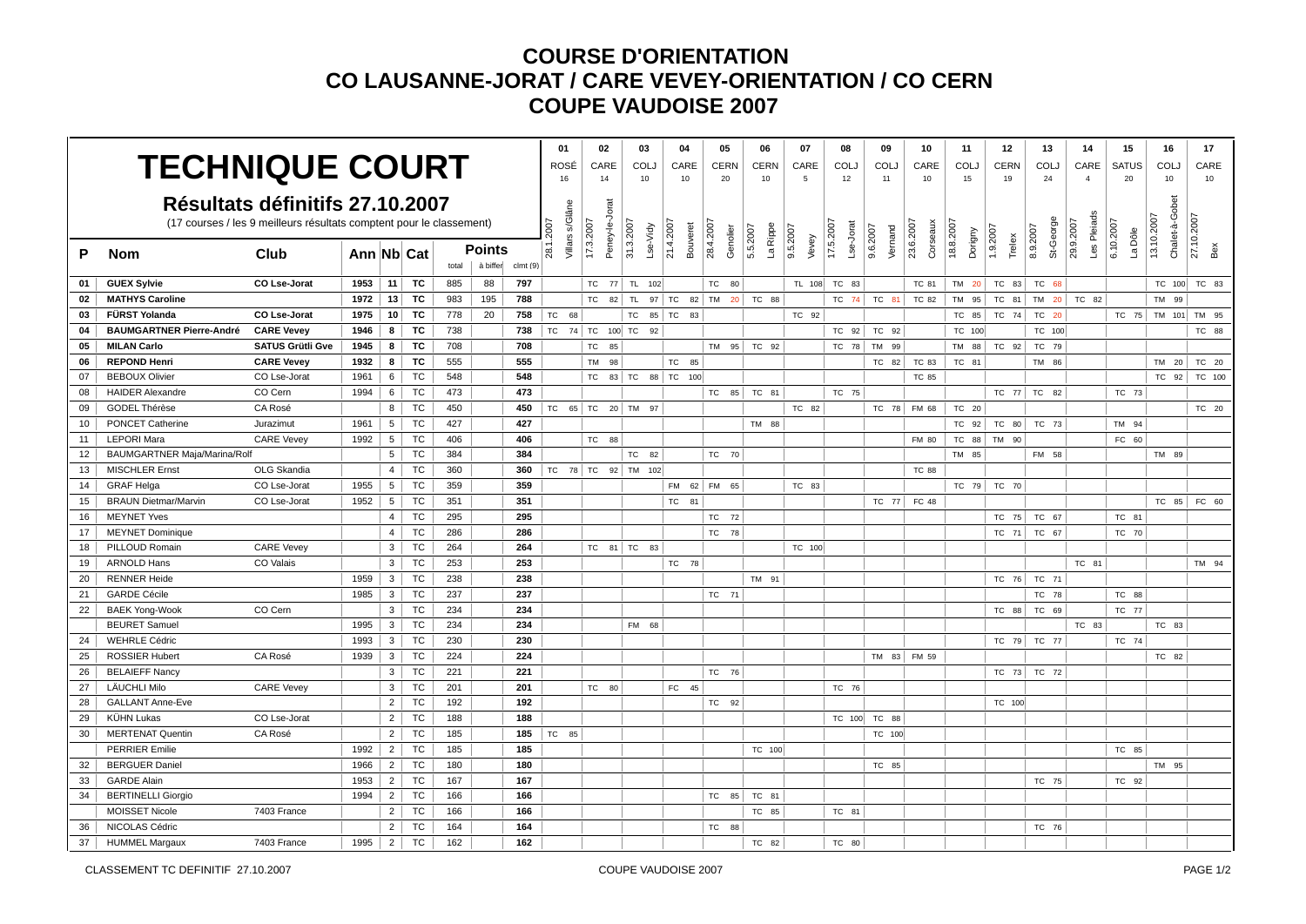|                 |                                                    |                                                                      |            |                 |           |       |          |          | 01                       |           | 02             | 03              |                       | 04              | 05                    | 06                   | 07                | 08                     | 09                  | 10                    | 11                   | 12                 | 13                    | 14                       | 15                   | 16                           | 17                |
|-----------------|----------------------------------------------------|----------------------------------------------------------------------|------------|-----------------|-----------|-------|----------|----------|--------------------------|-----------|----------------|-----------------|-----------------------|-----------------|-----------------------|----------------------|-------------------|------------------------|---------------------|-----------------------|----------------------|--------------------|-----------------------|--------------------------|----------------------|------------------------------|-------------------|
|                 | <b>TECHNIQUE COURT</b>                             |                                                                      |            |                 |           |       |          |          | ROSÉ                     |           | CARE           | COLJ            |                       | CARE            | <b>CERN</b>           | <b>CERN</b>          | CARE              | COLJ                   | <b>COLJ</b>         | CARE                  | COLJ                 | <b>CERN</b>        | COLJ                  | CARE                     | <b>SATUS</b>         | COLJ                         | CARE              |
|                 |                                                    |                                                                      |            |                 |           |       |          |          | 16                       |           | 14             | 10              |                       | 10              | 20                    | 10                   | 5                 | 12                     | 11                  | 10                    | 15                   | 19                 | 24                    | $\overline{4}$           | 20                   | 10                           | 10                |
|                 |                                                    | Résultats définitifs 27.10.2007                                      |            |                 |           |       |          |          |                          |           |                |                 |                       |                 |                       |                      |                   |                        |                     |                       |                      |                    |                       |                          |                      |                              |                   |
|                 |                                                    |                                                                      |            |                 |           |       |          |          |                          |           |                |                 |                       |                 |                       |                      |                   |                        |                     |                       |                      |                    |                       |                          |                      |                              |                   |
|                 |                                                    | (17 courses / les 9 meilleurs résultats comptent pour le classement) |            |                 |           |       |          |          | <b>2007</b>              |           |                |                 |                       |                 |                       |                      |                   |                        |                     |                       |                      |                    |                       |                          |                      |                              |                   |
| P               | <b>Nom</b>                                         | Club                                                                 | Ann Nb Cat |                 |           |       | Points   |          | Villars s/Glâne<br>28.1. | 17.3.2007 | Peney-le-Jorat | 31.3.2007       | 21.4.2007<br>Lse-Vidy | Bouveret        | 28.4.2007<br>Genolier | La Rippe<br>5.5.2007 | 9.5.2007<br>Vevey | 17.5.2007<br>Lse-Jorat | 9.6.2007<br>Vernand | 23.6.2007<br>Corseaux | 18.8.2007<br>Dorigny | 1.9.2007<br>Trelex | St-George<br>8.9.2007 | Les Pleiads<br>29.9.2007 | 6.10.2007<br>La Dôle | Chalet-à-Gobet<br>13.10.2007 | 27.10.2007<br>Bex |
|                 |                                                    |                                                                      |            |                 |           | total | à biffer | clmt (9) |                          |           |                |                 |                       |                 |                       |                      |                   |                        |                     |                       |                      |                    |                       |                          |                      |                              |                   |
| 01              | <b>GUEX Sylvie</b>                                 | CO Lse-Jorat                                                         | 1953       | 11              | TC        | 885   | 88       | 797      |                          |           |                | TC 77 TL 102    |                       |                 | 80<br><b>TC</b>       |                      | TL 108            | TC 83                  |                     | TC 81                 | TM 20                | TC 83              | TC 68                 |                          |                      | TC 100                       | TC 83             |
| 02              | <b>MATHYS Caroline</b>                             |                                                                      | 1972       | 13              | TC        | 983   | 195      | 788      |                          | TC        | 82             | <b>TL</b>       | 97 TC                 | 82 TM           | 20 <sup>1</sup>       | TC 88                |                   | TC 74                  | TC 81               | TC 82                 | TM 95                | TC 81              | TM 20                 | TC 82                    |                      | TM 99                        |                   |
| 03              | FÜRST Yolanda                                      | CO Lse-Jorat                                                         | 1975       | 10 <sup>1</sup> | TC        | 778   | 20       | 758      | TC                       | 68        |                | <b>TC</b>       | 85 TC                 | 83              |                       |                      | TC 92             |                        |                     |                       | TC 85                | TC 74              | TC<br>20              |                          | TC 75                | TM 101                       | TM 95             |
| 04              | <b>BAUMGARTNER Pierre-André</b>                    | <b>CARE Vevey</b>                                                    | 1946       | 8               | тс        | 738   |          | 738      | TC 74 TC 100 TC          |           |                |                 | 92                    |                 |                       |                      |                   | TC 92                  | TC 92               |                       | TC 100               |                    | TC 100                |                          |                      |                              | TC 88             |
| 05              | <b>MILAN Carlo</b>                                 | <b>SATUS Grütli Gve</b>                                              | 1945       | 8               | TC        | 708   |          | 708      |                          | TC        | 85             |                 |                       |                 | <b>TM</b><br>95       | TC 92                |                   | TC 78                  | TM 99               |                       | TM 88                | TC 92              | TC 79                 |                          |                      |                              |                   |
| 06              | <b>REPOND Henri</b>                                | <b>CARE Vevev</b>                                                    | 1932       | 8               | TC        | 555   |          | 555      |                          | <b>TM</b> | 98             |                 |                       | <b>TC</b><br>85 |                       |                      |                   |                        | TC 82               | TC 83                 | TC 81                |                    | TM 86                 |                          |                      | TM 20                        | TC 20             |
| 07              | <b>BEBOUX Olivier</b>                              | CO Lse-Jorat                                                         | 1961       | 6               | TC        | 548   |          | 548      |                          | TC        |                |                 |                       | 83 TC 88 TC 100 |                       |                      |                   |                        |                     | <b>TC 85</b>          |                      |                    |                       |                          |                      | TC 92                        | TC 100            |
| 08              | <b>HAIDER Alexandre</b>                            | CO Cern                                                              | 1994       | 6               | TC        | 473   |          | 473      |                          |           |                |                 |                       |                 | TC 85                 | TC 81                |                   | TC 75                  |                     |                       |                      | TC 77              | TC<br>82              |                          | TC 73                |                              |                   |
| 09              | GODEL Thérèse                                      | CA Rosé                                                              |            | 8 <sup>1</sup>  | <b>TC</b> | 450   |          | 450      | TC 65 TC 20 TM 97        |           |                |                 |                       |                 |                       |                      | TC 82             |                        |                     | TC 78 FM 68           | TC 20                |                    |                       |                          |                      |                              | TC 20             |
| 10 <sup>1</sup> | <b>PONCET Catherine</b>                            | Jurazimut                                                            | 1961       | 5               | <b>TC</b> | 427   |          | 427      |                          |           |                |                 |                       |                 |                       | TM 88                |                   |                        |                     |                       | TC 92                | TC 80              | TC 73                 |                          | TM 94                |                              |                   |
| 11              | <b>LEPORI Mara</b>                                 | <b>CARE Vevey</b>                                                    | 1992       | $5^{\circ}$     | TC        | 406   |          | 406      |                          | TC        | 88             |                 |                       |                 |                       |                      |                   |                        |                     | FM 80                 | TC 88                | TM 90              |                       |                          | FC 60                |                              |                   |
| 12              | BAUMGARTNER Maja/Marina/Rolf                       |                                                                      |            | 5 <sup>5</sup>  | TC        | 384   |          | 384      |                          |           |                | TC              | 82                    |                 | TC 70                 |                      |                   |                        |                     |                       | TM 85                |                    | FM 58                 |                          |                      | TM 89                        |                   |
| 13              | <b>MISCHLER Ernst</b>                              | OLG Skandia                                                          |            | $\overline{4}$  | TC        | 360   |          | 360      | TC 78 TC 92 TM 102       |           |                |                 |                       |                 |                       |                      |                   |                        |                     | <b>TC 88</b>          |                      |                    |                       |                          |                      |                              |                   |
| 14              | <b>GRAF Helga</b>                                  | CO Lse-Jorat                                                         | 1955       | 5               | TC        | 359   |          | 359      |                          |           |                |                 |                       | FM 62 FM        | 65                    |                      | TC 83             |                        |                     |                       | TC 79                | TC 70              |                       |                          |                      |                              |                   |
| 15              | <b>BRAUN Dietmar/Marvin</b>                        | CO Lse-Jorat                                                         | 1952       | $5^{\circ}$     | TC        | 351   |          | 351      |                          |           |                |                 |                       | TC 81           |                       |                      |                   |                        | TC 77               | FC 48                 |                      |                    |                       |                          |                      | TC 85                        | FC 60             |
| 16              | <b>MEYNET Yves</b>                                 |                                                                      |            | $\overline{4}$  | <b>TC</b> | 295   |          | 295      |                          |           |                |                 |                       |                 | 72<br>TC              |                      |                   |                        |                     |                       |                      | TC 75              | TC 67                 |                          | TC 81                |                              |                   |
| 17              | <b>MEYNET Dominique</b>                            |                                                                      |            | $\overline{4}$  | TC        | 286   |          | 286      |                          |           |                |                 |                       |                 | TC 78                 |                      |                   |                        |                     |                       |                      | TC 71              | TC 67                 |                          | TC 70                |                              |                   |
| 18              | PILLOUD Romain                                     | <b>CARE Vevey</b>                                                    |            | $\mathbf{3}$    | <b>TC</b> | 264   |          | 264      |                          |           |                | $TC$ 81 $TC$ 83 |                       |                 |                       |                      | TC 100            |                        |                     |                       |                      |                    |                       |                          |                      |                              |                   |
| 19              | <b>ARNOLD Hans</b>                                 | CO Valais                                                            |            | 3               | TC        | 253   |          | 253      |                          |           |                |                 |                       | TC 78           |                       |                      |                   |                        |                     |                       |                      |                    |                       | TC 81                    |                      |                              | TM 94             |
| 20              | <b>RENNER Heide</b>                                |                                                                      | 1959       | 3 <sup>1</sup>  | TC        | 238   |          | 238      |                          |           |                |                 |                       |                 |                       | TM 91                |                   |                        |                     |                       |                      | TC 76              | TC 71                 |                          |                      |                              |                   |
| 21              | <b>GARDE Cécile</b>                                |                                                                      | 1985       | 3               | TC        | 237   |          | 237      |                          |           |                |                 |                       |                 | TC 71                 |                      |                   |                        |                     |                       |                      |                    | TC 78                 |                          | TC 88                |                              |                   |
| 22              | <b>BAEK Yong-Wook</b>                              | CO Cern                                                              |            | 3 <sup>1</sup>  | <b>TC</b> | 234   |          | 234      |                          |           |                |                 |                       |                 |                       |                      |                   |                        |                     |                       |                      | TC 88              | TC 69                 |                          | TC 77                |                              |                   |
|                 | <b>BEURET Samuel</b>                               |                                                                      | 1995       | $\mathbf{3}$    | TC        | 234   |          | 234      |                          |           |                | FM 68           |                       |                 |                       |                      |                   |                        |                     |                       |                      |                    |                       | TC 83                    |                      | TC 83                        |                   |
| 24              | <b>WEHRLE Cédric</b>                               |                                                                      | 1993       | 3               | TC        | 230   |          | 230      |                          |           |                |                 |                       |                 |                       |                      |                   |                        |                     |                       |                      | TC 79              | TC 77                 |                          | TC 74                |                              |                   |
| 25              | <b>ROSSIER Hubert</b>                              | CA Rosé                                                              | 1939       | 3 <sup>1</sup>  | TC        | 224   |          | 224      |                          |           |                |                 |                       |                 |                       |                      |                   |                        | TM 83               | FM 59                 |                      |                    |                       |                          |                      | TC 82                        |                   |
| 26              | <b>BELAIEFF Nancy</b>                              |                                                                      |            | 3 <sup>1</sup>  | TC        | 221   |          | 221      |                          |           |                |                 |                       |                 | TC<br>76              |                      |                   |                        |                     |                       |                      | TC 73              | TC 72                 |                          |                      |                              |                   |
| 27              | <b>LÄUCHLI Milo</b>                                | <b>CARE Vevey</b>                                                    |            | 3               | TC        | 201   |          | 201      |                          |           | TC 80          |                 |                       | FC 45           |                       |                      |                   | TC 76                  |                     |                       |                      |                    |                       |                          |                      |                              |                   |
| 28              | <b>GALLANT Anne-Eve</b>                            |                                                                      |            | 2               | TC        | 192   |          | 192      |                          |           |                |                 |                       |                 | TC<br>92              |                      |                   |                        |                     |                       |                      | TC 100             |                       |                          |                      |                              |                   |
| 29              | <b>KÜHN Lukas</b>                                  | CO Lse-Jorat                                                         |            | $\overline{2}$  | TC        | 188   |          | 188      |                          |           |                |                 |                       |                 |                       |                      |                   | TC 100                 | TC 88               |                       |                      |                    |                       |                          |                      |                              |                   |
| 30 <sup>1</sup> | <b>MERTENAT Quentin</b>                            | CA Rosé                                                              |            | 2 <sup>1</sup>  | TC        | 185   |          | 185      | TC 85                    |           |                |                 |                       |                 |                       |                      |                   |                        | TC 100              |                       |                      |                    |                       |                          |                      |                              |                   |
|                 | <b>PERRIER Emilie</b>                              |                                                                      | 1992       | $\overline{2}$  | TC        | 185   |          | 185      |                          |           |                |                 |                       |                 |                       | TC 100               |                   |                        |                     |                       |                      |                    |                       |                          | TC 85                |                              |                   |
| 32              | <b>BERGUER Daniel</b>                              |                                                                      | 1966       | $\overline{2}$  | TC        | 180   |          | 180      |                          |           |                |                 |                       |                 |                       |                      |                   |                        | TC 85               |                       |                      |                    |                       |                          |                      | TM 95                        |                   |
| 33              | <b>GARDE Alain</b>                                 |                                                                      | 1953       | 2 <sup>1</sup>  | TC        | 167   |          | 167      |                          |           |                |                 |                       |                 |                       |                      |                   |                        |                     |                       |                      |                    | TC 75                 |                          | TC 92                |                              |                   |
| 34              | <b>BERTINELLI Giorgio</b><br><b>MOISSET Nicole</b> | 7403 France                                                          | 1994       | 2 <sup>1</sup>  | <b>TC</b> | 166   |          | 166      |                          |           |                |                 |                       |                 | TC<br>85              | TC 81                |                   |                        |                     |                       |                      |                    |                       |                          |                      |                              |                   |
|                 |                                                    |                                                                      |            | $\overline{2}$  | <b>TC</b> | 166   |          | 166      |                          |           |                |                 |                       |                 |                       | TC 85                |                   | TC 81                  |                     |                       |                      |                    |                       |                          |                      |                              |                   |
| 36              | NICOLAS Cédric                                     |                                                                      |            | $\overline{2}$  | TC        | 164   |          | 164      |                          |           |                |                 |                       |                 | TC 88                 |                      |                   |                        |                     |                       |                      |                    | TC 76                 |                          |                      |                              |                   |
| 37              | <b>HUMMEL Margaux</b>                              | 7403 France                                                          | 1995       | 2               | TC        | 162   |          | 162      |                          |           |                |                 |                       |                 |                       | TC 82                |                   | TC 80                  |                     |                       |                      |                    |                       |                          |                      |                              |                   |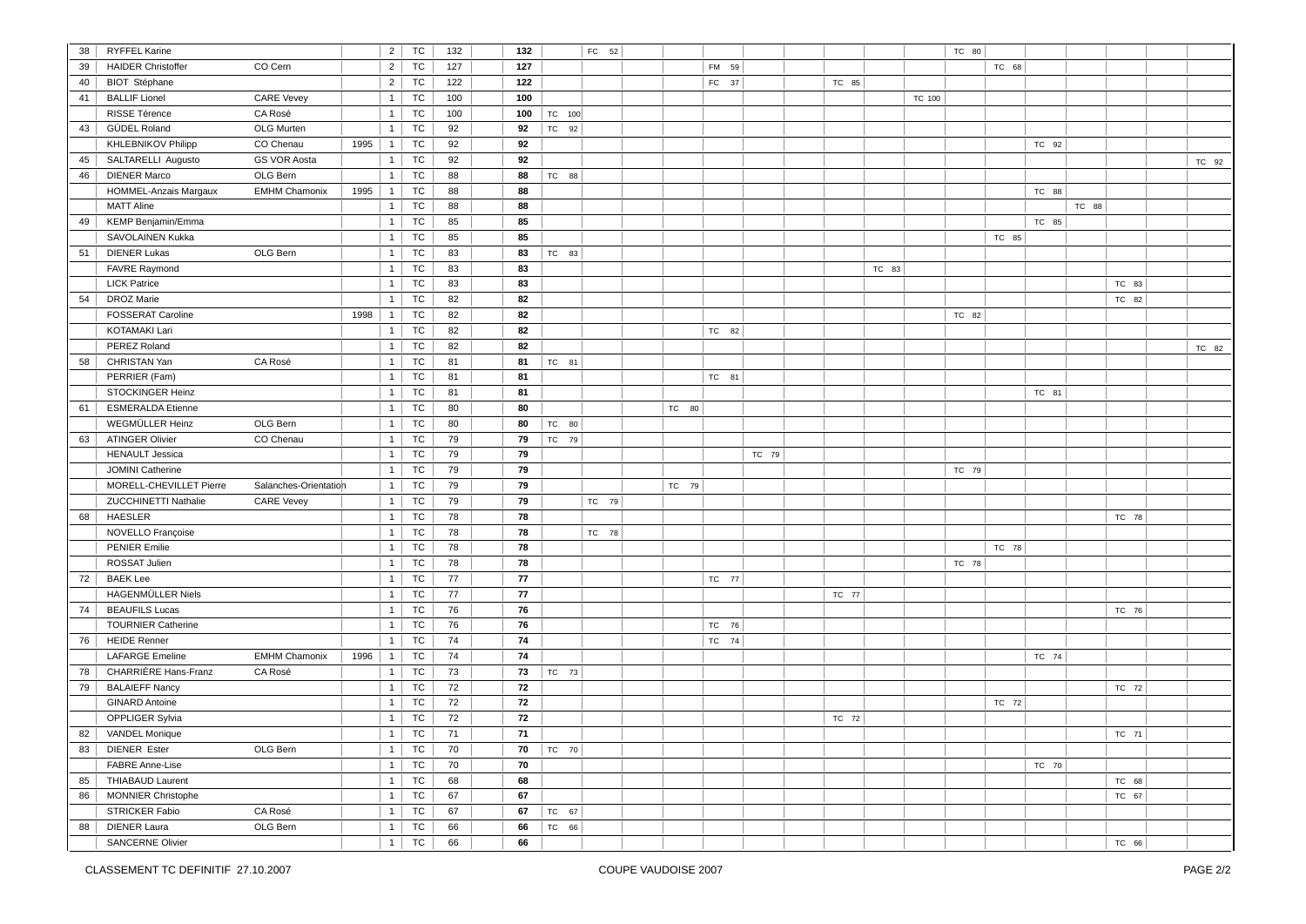| 38 | <b>RYFFEL Karine</b>      |                       |      | $\overline{2}$ | TC        | 132 | 132 |        | FC 52 |       |       |       |       |       |        | TC 80 |       |       |       |       |       |
|----|---------------------------|-----------------------|------|----------------|-----------|-----|-----|--------|-------|-------|-------|-------|-------|-------|--------|-------|-------|-------|-------|-------|-------|
| 39 | <b>HAIDER Christoffer</b> | CO Cern               |      | $\overline{2}$ | TC        | 127 | 127 |        |       |       | FM 59 |       |       |       |        |       | TC 68 |       |       |       |       |
| 40 | <b>BIOT</b> Stéphane      |                       |      | $\overline{2}$ | TC        | 122 | 122 |        |       |       | FC 37 |       | TC 85 |       |        |       |       |       |       |       |       |
| 41 | <b>BALLIF Lionel</b>      | <b>CARE Vevey</b>     |      | $\mathbf{1}$   | TC        | 100 | 100 |        |       |       |       |       |       |       | TC 100 |       |       |       |       |       |       |
|    | RISSE Térence             | CA Rosé               |      | $\mathbf{1}$   | TC        | 100 | 100 | TC 100 |       |       |       |       |       |       |        |       |       |       |       |       |       |
| 43 | GÜDEL Roland              | OLG Murten            |      | 1              | TC        | 92  | 92  | TC 92  |       |       |       |       |       |       |        |       |       |       |       |       |       |
|    | <b>KHLEBNIKOV Philipp</b> | CO Chenau             | 1995 | 1              | TC        | 92  | 92  |        |       |       |       |       |       |       |        |       |       | TC 92 |       |       |       |
| 45 | SALTARELLI Augusto        | <b>GS VOR Aosta</b>   |      | 1              | TC        | 92  | 92  |        |       |       |       |       |       |       |        |       |       |       |       |       | TC 92 |
| 46 | <b>DIENER Marco</b>       | OLG Bern              |      | 1              | TC        | 88  | 88  | TC 88  |       |       |       |       |       |       |        |       |       |       |       |       |       |
|    | HOMMEL-Anzais Margaux     | <b>EMHM Chamonix</b>  | 1995 | $\mathbf{1}$   | TC        | 88  | 88  |        |       |       |       |       |       |       |        |       |       | TC 88 |       |       |       |
|    | <b>MATT Aline</b>         |                       |      | 1              | TC        | 88  | 88  |        |       |       |       |       |       |       |        |       |       |       | TC 88 |       |       |
| 49 | KEMP Benjamin/Emma        |                       |      | $\overline{1}$ | TC        | 85  | 85  |        |       |       |       |       |       |       |        |       |       | TC 85 |       |       |       |
|    | SAVOLAINEN Kukka          |                       |      | $\mathbf{1}$   | TC        | 85  | 85  |        |       |       |       |       |       |       |        |       | TC 85 |       |       |       |       |
| 51 | <b>DIENER Lukas</b>       | OLG Bern              |      | 1              | TC        | 83  | 83  | TC 83  |       |       |       |       |       |       |        |       |       |       |       |       |       |
|    | <b>FAVRE Raymond</b>      |                       |      | 1              | TC        | 83  | 83  |        |       |       |       |       |       | TC 83 |        |       |       |       |       |       |       |
|    | <b>LICK Patrice</b>       |                       |      | 1              | <b>TC</b> | 83  | 83  |        |       |       |       |       |       |       |        |       |       |       |       | TC 83 |       |
| 54 | <b>DROZ Marie</b>         |                       |      | $\mathbf{1}$   | TC        | 82  | 82  |        |       |       |       |       |       |       |        |       |       |       |       | TC 82 |       |
|    | <b>FOSSERAT Caroline</b>  |                       | 1998 | 1              | TC        | 82  | 82  |        |       |       |       |       |       |       |        | TC 82 |       |       |       |       |       |
|    | <b>KOTAMAKI Lari</b>      |                       |      | $\mathbf{1}$   | TC        | 82  | 82  |        |       |       | TC 82 |       |       |       |        |       |       |       |       |       |       |
|    | PEREZ Roland              |                       |      | $\overline{1}$ | TC        | 82  | 82  |        |       |       |       |       |       |       |        |       |       |       |       |       | TC 82 |
| 58 | CHRISTAN Yan              | CA Rosé               |      | $\mathbf{1}$   | TC        | 81  | 81  | TC 81  |       |       |       |       |       |       |        |       |       |       |       |       |       |
|    | PERRIER (Fam)             |                       |      | 1              | TC        | 81  | 81  |        |       |       | TC 81 |       |       |       |        |       |       |       |       |       |       |
|    | <b>STOCKINGER Heinz</b>   |                       |      | 1 <sup>1</sup> | TC        | 81  | 81  |        |       |       |       |       |       |       |        |       |       | TC 81 |       |       |       |
| 61 | <b>ESMERALDA Etienne</b>  |                       |      | 1              | TC        | 80  | 80  |        |       | TC 80 |       |       |       |       |        |       |       |       |       |       |       |
|    | <b>WEGMÜLLER Heinz</b>    | OLG Bern              |      | 1              | TC        | 80  | 80  | TC 80  |       |       |       |       |       |       |        |       |       |       |       |       |       |
| 63 | <b>ATINGER Olivier</b>    | CO Chenau             |      | $\mathbf{1}$   | TC        | 79  | 79  | TC 79  |       |       |       |       |       |       |        |       |       |       |       |       |       |
|    | <b>HENAULT Jessica</b>    |                       |      | 1              | TC        | 79  | 79  |        |       |       |       | TC 79 |       |       |        |       |       |       |       |       |       |
|    | JOMINI Catherine          |                       |      | $\mathbf{1}$   | TC        | 79  | 79  |        |       |       |       |       |       |       |        | TC 79 |       |       |       |       |       |
|    | MORELL-CHEVILLET Pierre   | Salanches-Orientation |      | $\mathbf{1}$   | TC        | 79  | 79  |        |       | TC 79 |       |       |       |       |        |       |       |       |       |       |       |
|    | ZUCCHINETTI Nathalie      | <b>CARE Vevey</b>     |      | 1              | TC        | 79  | 79  |        | TC 79 |       |       |       |       |       |        |       |       |       |       |       |       |
| 68 | <b>HAESLER</b>            |                       |      | 1              | TC        | 78  | 78  |        |       |       |       |       |       |       |        |       |       |       |       | TC 78 |       |
|    | NOVELLO Françoise         |                       |      | 1              | TC        | 78  | 78  |        | TC 78 |       |       |       |       |       |        |       |       |       |       |       |       |
|    | <b>PENIER Emilie</b>      |                       |      | $\overline{1}$ | TC        | 78  | 78  |        |       |       |       |       |       |       |        |       | TC 78 |       |       |       |       |
|    | ROSSAT Julien             |                       |      | 1              | TC        | 78  | 78  |        |       |       |       |       |       |       |        | TC 78 |       |       |       |       |       |
| 72 | <b>BAEK Lee</b>           |                       |      | $\overline{1}$ | TC        | 77  | 77  |        |       |       | TC 77 |       |       |       |        |       |       |       |       |       |       |
|    | <b>HAGENMÜLLER Niels</b>  |                       |      | $\overline{1}$ | TC        | 77  | 77  |        |       |       |       |       | TC 77 |       |        |       |       |       |       |       |       |
| 74 | <b>BEAUFILS Lucas</b>     |                       |      | 1              | TC        | 76  | 76  |        |       |       |       |       |       |       |        |       |       |       |       | TC 76 |       |
|    | <b>TOURNIER Catherine</b> |                       |      | $\mathbf{1}$   | TC        | 76  | 76  |        |       |       | TC 76 |       |       |       |        |       |       |       |       |       |       |
| 76 | <b>HEIDE Renner</b>       |                       |      | 1              | TC        | 74  | 74  |        |       |       | TC 74 |       |       |       |        |       |       |       |       |       |       |
|    | <b>LAFARGE Emeline</b>    | <b>EMHM Chamonix</b>  | 1996 | 1              | <b>TC</b> | 74  | 74  |        |       |       |       |       |       |       |        |       |       | TC 74 |       |       |       |
| 78 | CHARRIÈRE Hans-Franz      | CA Rosé               |      | 1              | TC        | 73  | 73  | TC 73  |       |       |       |       |       |       |        |       |       |       |       |       |       |
| 79 | <b>BALAIEFF Nancy</b>     |                       |      | $\mathbf{1}$   | TC        | 72  | 72  |        |       |       |       |       |       |       |        |       |       |       |       | TC 72 |       |
|    | <b>GINARD Antoine</b>     |                       |      | $\overline{1}$ | TC        | 72  | 72  |        |       |       |       |       |       |       |        |       | TC 72 |       |       |       |       |
|    | OPPLIGER Sylvia           |                       |      | $\mathbf{1}$   | TC        | 72  | 72  |        |       |       |       |       | TC 72 |       |        |       |       |       |       |       |       |
| 82 | <b>VANDEL Monique</b>     |                       |      | 1              | TC        | 71  | 71  |        |       |       |       |       |       |       |        |       |       |       |       | TC 71 |       |
| 83 | <b>DIENER Ester</b>       | OLG Bern              |      | 1              | TC        | 70  | 70  | TC 70  |       |       |       |       |       |       |        |       |       |       |       |       |       |
|    | <b>FABRE Anne-Lise</b>    |                       |      | 1              | TC        | 70  | 70  |        |       |       |       |       |       |       |        |       |       | TC 70 |       |       |       |
| 85 | <b>THIABAUD Laurent</b>   |                       |      | 1              | TC        | 68  | 68  |        |       |       |       |       |       |       |        |       |       |       |       | TC 68 |       |
| 86 | MONNIER Christophe        |                       |      | 1              | TC        | 67  | 67  |        |       |       |       |       |       |       |        |       |       |       |       | TC 67 |       |
|    | <b>STRICKER Fabio</b>     | CA Rosé               |      | $\mathbf{1}$   | TC        | 67  | 67  | TC 67  |       |       |       |       |       |       |        |       |       |       |       |       |       |
| 88 | <b>DIENER Laura</b>       | OLG Bern              |      | $\mathbf{1}$   | TC        | 66  | 66  | TC 66  |       |       |       |       |       |       |        |       |       |       |       |       |       |
|    | SANCERNE Olivier          |                       |      |                | <b>TC</b> | 66  | 66  |        |       |       |       |       |       |       |        |       |       |       |       |       |       |
|    |                           |                       |      | $\overline{1}$ |           |     |     |        |       |       |       |       |       |       |        |       |       |       |       | TC 66 |       |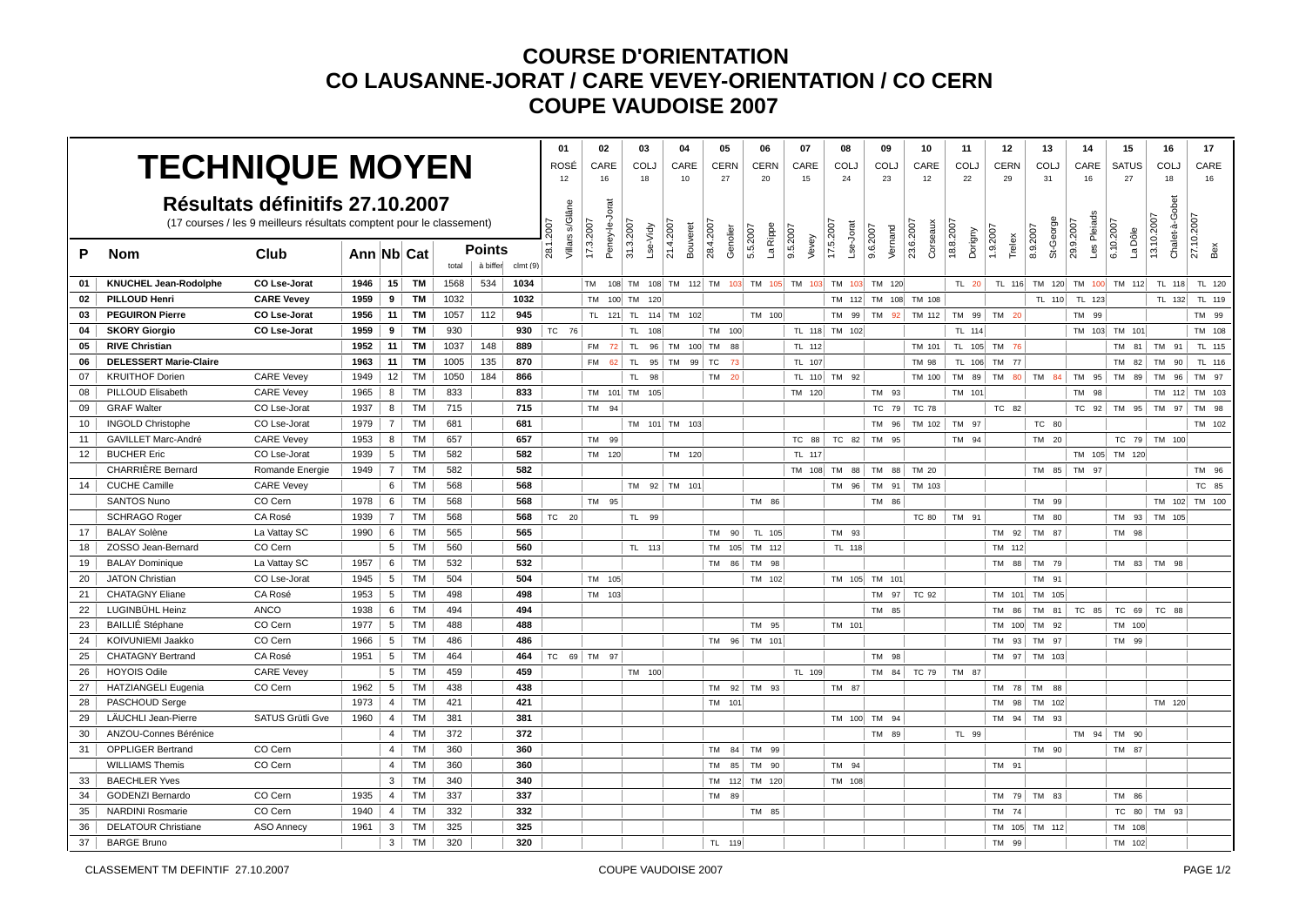|    |                               |                                                                      |            |                 |           |       |          |         | 01                             | 02             |           | 03         | 04                    | 05                    | 06                   | 07                                                   | 08                     | 09                   | 10                    | 11                   | 12                 | 13             | 14                            | 15                   | 16                           | 17            |
|----|-------------------------------|----------------------------------------------------------------------|------------|-----------------|-----------|-------|----------|---------|--------------------------------|----------------|-----------|------------|-----------------------|-----------------------|----------------------|------------------------------------------------------|------------------------|----------------------|-----------------------|----------------------|--------------------|----------------|-------------------------------|----------------------|------------------------------|---------------|
|    | <b>TECHNIQUE MOYEN</b>        |                                                                      |            |                 |           |       |          |         | ROSÉ                           | CARE           |           | COLJ       | CARE                  | <b>CERN</b>           | CERN                 | CARE                                                 | <b>COLJ</b>            | COLJ                 | CARE                  | <b>COLJ</b>          | CERN               | COL.           | CARE                          | <b>SATUS</b>         | COLJ                         | CARE          |
|    |                               |                                                                      |            |                 |           |       |          |         | 12                             | 16             |           | 18         | 10                    | 27                    | 20                   | 15                                                   | 24                     | 23                   | 12                    | 22                   | 29                 | 31             | 16                            | 27                   | 18                           | 16            |
|    |                               | Résultats définitifs 27.10.2007                                      |            |                 |           |       |          |         |                                |                |           |            |                       |                       |                      |                                                      |                        |                      |                       |                      |                    |                |                               |                      |                              |               |
|    |                               | (17 courses / les 9 meilleurs résultats comptent pour le classement) |            |                 |           |       |          |         | Villars s/Glâne<br><b>2007</b> | Peney-le-Jorat |           |            |                       |                       |                      |                                                      |                        |                      |                       |                      |                    | St-George      | Les Pleiads<br>29.9.2007      |                      | Chalet-à-Gobet<br>13.10.2007 | 27.10.2007    |
| P  |                               |                                                                      | Ann Nb Cat |                 |           |       | Points   |         | 28.1.                          | 17.3.2007      | 31.3.2007 | Lse-Vidy   | 21.4.2007<br>Bouveret | 28.4.2007<br>Genolier | La Rippe<br>5.5.2007 | 9.5.2007<br>Vevey                                    | 17.5.2007<br>Lse-Jorat | 9.6.2007<br>Vernand  | 23.6.2007<br>Corseaux | 18.8.2007<br>Dorigny | 1.9.2007<br>Trelex | 8.9.2007       |                               | 6.10.2007<br>La Dôle |                              | Bex           |
|    | <b>Nom</b>                    | Club                                                                 |            |                 |           | total | à biffer | clmt(9) |                                |                |           |            |                       |                       |                      |                                                      |                        |                      |                       |                      |                    |                |                               |                      |                              |               |
| 01 | <b>KNUCHEL Jean-Rodolphe</b>  | CO Lse-Jorat                                                         | 1946       | 15 <sup>1</sup> | <b>TM</b> | 1568  | 534      | 1034    |                                | l TM           |           |            |                       |                       |                      | 108 TM 108 TM 112 TM 103 TM 105 TM 103 TM 103 TM 103 |                        |                      |                       | TL 20                |                    |                | TL 116 TM 120 TM 100 TM 112   |                      | TL 118                       | TL 120        |
| 02 | <b>PILLOUD Henri</b>          | <b>CARE Vevey</b>                                                    | 1959       | 9               | <b>TM</b> | 1032  |          | 1032    |                                | <b>TM</b>      | 100 TM    | 120        |                       |                       |                      |                                                      |                        | TM 112 TM 108 TM 108 |                       |                      |                    | TL 110         | TL 123                        |                      | TL 132                       | TL 119        |
| 03 | <b>PEGUIRON Pierre</b>        | CO Lse-Jorat                                                         | 1956       | 11              | <b>TM</b> | 1057  | 112      | 945     |                                | TL.            |           |            | 121 TL 114 TM 102     |                       | TM 100               |                                                      | 99<br>TM               | TM 92                | TM 112                | TM 99 TM 20          |                    |                | TM 99                         |                      |                              | TM 99         |
| 04 | <b>SKORY Giorgio</b>          | CO Lse-Jorat                                                         | 1959       | 9               | <b>TM</b> | 930   |          | 930     | TC 76                          |                |           | TL.<br>108 |                       | TM 100                |                      |                                                      | TL 118 TM 102          |                      |                       | TL 114               |                    |                |                               | TM 103 TM 101        |                              | TM 108        |
| 05 | <b>RIVE Christian</b>         |                                                                      | 1952       | 11              | TM        | 1037  | 148      | 889     |                                | <b>FM</b>      | $72$ TL   |            | 96 TM 100 TM          | 88                    |                      | TL 112                                               |                        |                      | TM 101                |                      | TL 105 TM 76       |                |                               |                      | TM 81 TM 91                  | TL 115        |
| 06 | <b>DELESSERT Marie-Claire</b> |                                                                      | 1963       | 11 <sup>1</sup> | <b>TM</b> | 1005  | 135      | 870     |                                | <b>FM</b>      | 62        | <b>TL</b>  | 95 TM 99 TC           | 73                    |                      | TL 107                                               |                        |                      | TM 98                 |                      | TL 106 TM 77       |                |                               | <b>TM</b><br>82      | <b>TM</b><br>90              | TL 116        |
| 07 | <b>KRUITHOF Dorien</b>        | <b>CARE Vevey</b>                                                    | 1949       | 12              | <b>TM</b> | 1050  | 184      | 866     |                                |                |           | TL.<br>98  |                       | TM<br>- 20            |                      |                                                      | TL 110 TM 92           |                      | TM 100                |                      |                    |                | TM 89 TM 80 TM 84 TM 95 TM 89 |                      | TM<br>96                     | TM 97         |
| 08 | PILLOUD Elisabeth             | <b>CARE Vevey</b>                                                    | 1965       | 8               | <b>TM</b> | 833   |          | 833     |                                | TM 101 TM      |           | 105        |                       |                       |                      | TM 120                                               |                        | TM 93                |                       | TM 101               |                    |                | TM 98                         |                      | TM 112                       | TM 103        |
| 09 | <b>GRAF Walter</b>            | CO Lse-Jorat                                                         | 1937       | 8 <sup>1</sup>  | <b>TM</b> | 715   |          | 715     |                                | TM 94          |           |            |                       |                       |                      |                                                      |                        | TC 79                | <b>TC 78</b>          |                      | TC 82              |                |                               | TC 92 TM 95          | TM 97                        | TM 98         |
| 10 | <b>INGOLD Christophe</b>      | CO Lse-Jorat                                                         | 1979       | $\overline{7}$  | <b>TM</b> | 681   |          | 681     |                                |                |           |            | TM 101 TM 103         |                       |                      |                                                      |                        | TM 96                | TM 102                | TM 97                |                    | TC 80          |                               |                      |                              | TM 102        |
| 11 | <b>GAVILLET Marc-André</b>    | <b>CARE Vevey</b>                                                    | 1953       | 8               | TM        | 657   |          | 657     |                                | TM 99          |           |            |                       |                       |                      | TC 88                                                | TC 82                  | TM 95                |                       | TM 94                |                    | TM 20          |                               |                      | TC 79 TM 100                 |               |
| 12 | <b>BUCHER Eric</b>            | CO Lse-Jorat                                                         | 1939       | 5               | <b>TM</b> | 582   |          | 582     |                                | TM 120         |           |            | TM 120                |                       |                      | TL 117                                               |                        |                      |                       |                      |                    |                |                               | TM 105 TM 120        |                              |               |
|    | <b>CHARRIERE Bernard</b>      | Romande Energie                                                      | 1949       | $\overline{7}$  | <b>TM</b> | 582   |          | 582     |                                |                |           |            |                       |                       |                      | TM 108                                               | <b>TM</b><br>88        | TM<br>88             | TM 20                 |                      |                    | TM 85          | TM 97                         |                      |                              | TM 96         |
| 14 | <b>CUCHE Camille</b>          | <b>CARE Vevey</b>                                                    |            | 6               | <b>TM</b> | 568   |          | 568     |                                |                |           |            | TM 92 TM 101          |                       |                      |                                                      | TM 96                  | TM 91                | TM 103                |                      |                    |                |                               |                      |                              | TC 85         |
|    | <b>SANTOS Nuno</b>            | CO Cern                                                              | 1978       | 6               | <b>TM</b> | 568   |          | 568     |                                | TM 95          |           |            |                       |                       | TM 86                |                                                      |                        | TM 86                |                       |                      |                    | TM 99          |                               |                      |                              | TM 102 TM 100 |
|    | <b>SCHRAGO Roger</b>          | CA Rosé                                                              | 1939       | $\overline{7}$  | <b>TM</b> | 568   |          | 568     | TC 20                          |                |           | TL.<br>99  |                       |                       |                      |                                                      |                        |                      | <b>TC 80</b>          | TM 91                |                    | TM 80          |                               | TM 93                | TM 105                       |               |
| 17 | <b>BALAY Solène</b>           | La Vattay SC                                                         | 1990       | 6               | <b>TM</b> | 565   |          | 565     |                                |                |           |            |                       | TM<br>90              | TL 105               |                                                      | TM 93                  |                      |                       |                      | TM 92              | TM 87          |                               | TM 98                |                              |               |
| 18 | ZOSSO Jean-Bernard            | CO Cern                                                              |            | 5               | <b>TM</b> | 560   |          | 560     |                                |                |           | TL 113     |                       | TM                    | 105 TM 112           |                                                      | TL 118                 |                      |                       |                      | TM 112             |                |                               |                      |                              |               |
| 19 | <b>BALAY Dominique</b>        | La Vattay SC                                                         | 1957       | 6               | <b>TM</b> | 532   |          | 532     |                                |                |           |            |                       | <b>TM</b><br>86       | TM 98                |                                                      |                        |                      |                       |                      | TM 88              | TM 79          |                               | TM 83                | TM 98                        |               |
| 20 | <b>JATON Christian</b>        | CO Lse-Jorat                                                         | 1945       | 5               | <b>TM</b> | 504   |          | 504     |                                | TM 105         |           |            |                       |                       | TM 102               |                                                      |                        | TM 105 TM 101        |                       |                      |                    | TM 91          |                               |                      |                              |               |
| 21 | <b>CHATAGNY Eliane</b>        | CA Rosé                                                              | 1953       | 5               | <b>TM</b> | 498   |          | 498     |                                | <b>TM</b>      | 103       |            |                       |                       |                      |                                                      |                        | TM 97                | TC 92                 |                      | TM 101             | TM 105         |                               |                      |                              |               |
| 22 | LUGINBÜHL Heinz               | <b>ANCO</b>                                                          | 1938       | 6 <sup>1</sup>  | <b>TM</b> | 494   |          | 494     |                                |                |           |            |                       |                       |                      |                                                      |                        | TM 85                |                       |                      | TM 86              | TM 81          | TC 85                         | TC 69                | TC 88                        |               |
| 23 | <b>BAILLIÉ Stéphane</b>       | CO Cern                                                              | 1977       | 5               | <b>TM</b> | 488   |          | 488     |                                |                |           |            |                       |                       | TM 95                |                                                      | TM 101                 |                      |                       |                      | TM 100             | TM 92          |                               | TM 100               |                              |               |
| 24 | KOIVUNIEMI Jaakko             | CO Cern                                                              | 1966       | $5\overline{5}$ | <b>TM</b> | 486   |          | 486     |                                |                |           |            |                       | <b>TM</b><br>96       | TM 101               |                                                      |                        |                      |                       |                      | TM<br>93           | TM 97          |                               | <b>TM</b><br>99      |                              |               |
| 25 | <b>CHATAGNY Bertrand</b>      | CA Rosé                                                              | 1951       | $5\overline{)}$ | <b>TM</b> | 464   |          | 464     | TC 69 TM 97                    |                |           |            |                       |                       |                      |                                                      |                        | TM 98                |                       |                      |                    | TM 97 TM 103   |                               |                      |                              |               |
| 26 | <b>HOYOIS Odile</b>           | <b>CARE Vevey</b>                                                    |            | 5 <sup>1</sup>  | TM        | 459   |          | 459     |                                |                |           | TM 100     |                       |                       |                      | TL 109                                               |                        | TM 84                | TC 79                 | TM 87                |                    |                |                               |                      |                              |               |
| 27 | <b>HATZIANGELI Eugenia</b>    | CO Cern                                                              | 1962       | 5               | <b>TM</b> | 438   |          | 438     |                                |                |           |            |                       | <b>TM</b>             | $92$ TM $93$         |                                                      | TM 87                  |                      |                       |                      |                    | TM 78 TM 88    |                               |                      |                              |               |
| 28 | PASCHOUD Serge                |                                                                      | 1973       | 4               | <b>TM</b> | 421   |          | 421     |                                |                |           |            |                       | TM 101                |                      |                                                      |                        |                      |                       |                      |                    | TM 98   TM 102 |                               |                      | TM 120                       |               |
| 29 | LÄUCHLI Jean-Pierre           | SATUS Grütli Gve                                                     | 1960       | 4               | <b>TM</b> | 381   |          | 381     |                                |                |           |            |                       |                       |                      |                                                      | TM 100 TM              | 94                   |                       |                      | <b>TM</b>          | 94 TM<br>93    |                               |                      |                              |               |
| 30 | ANZOU-Connes Bérénice         |                                                                      |            | 4               | <b>TM</b> | 372   |          | 372     |                                |                |           |            |                       |                       |                      |                                                      |                        | TM 89                |                       | TL 99                |                    |                |                               | TM 94 TM 90          |                              |               |
| 31 | <b>OPPLIGER Bertrand</b>      | CO Cern                                                              |            | $\overline{4}$  | <b>TM</b> | 360   |          | 360     |                                |                |           |            |                       | <b>TM</b><br>84       | TM 99                |                                                      |                        |                      |                       |                      |                    | TM 90          |                               | TM 87                |                              |               |
|    | <b>WILLIAMS Themis</b>        | CO Cern                                                              |            | $\overline{4}$  | <b>TM</b> | 360   |          | 360     |                                |                |           |            |                       | <b>TM</b><br>85       | TM 90                |                                                      | TM 94                  |                      |                       |                      | TM 91              |                |                               |                      |                              |               |
| 33 | <b>BAECHLER Yves</b>          |                                                                      |            | $\mathbf{3}$    | <b>TM</b> | 340   |          | 340     |                                |                |           |            |                       | TM                    | 112 TM 120           |                                                      | TM 108                 |                      |                       |                      |                    |                |                               |                      |                              |               |
| 34 | <b>GODENZI Bernardo</b>       | CO Cern                                                              | 1935       | 4 <sup>1</sup>  | <b>TM</b> | 337   |          | 337     |                                |                |           |            |                       | TM<br>89              |                      |                                                      |                        |                      |                       |                      |                    | TM 79 TM 83    |                               | TM 86                |                              |               |
| 35 | <b>NARDINI Rosmarie</b>       | CO Cern                                                              | 1940       | 4               | <b>TM</b> | 332   |          | 332     |                                |                |           |            |                       |                       | TM 85                |                                                      |                        |                      |                       |                      | TM 74              |                |                               | TC<br>80             | TM 93                        |               |
| 36 | <b>DELATOUR Christiane</b>    | <b>ASO Annecy</b>                                                    | 1961       | $\mathbf{3}$    | <b>TM</b> | 325   |          | 325     |                                |                |           |            |                       |                       |                      |                                                      |                        |                      |                       |                      |                    | TM 105 TM 112  |                               | TM 108               |                              |               |
| 37 | <b>BARGE Bruno</b>            |                                                                      |            | $\mathbf{3}$    | <b>TM</b> | 320   |          | 320     |                                |                |           |            |                       | TL 119                |                      |                                                      |                        |                      |                       |                      | TM<br>99           |                |                               | TM 102               |                              |               |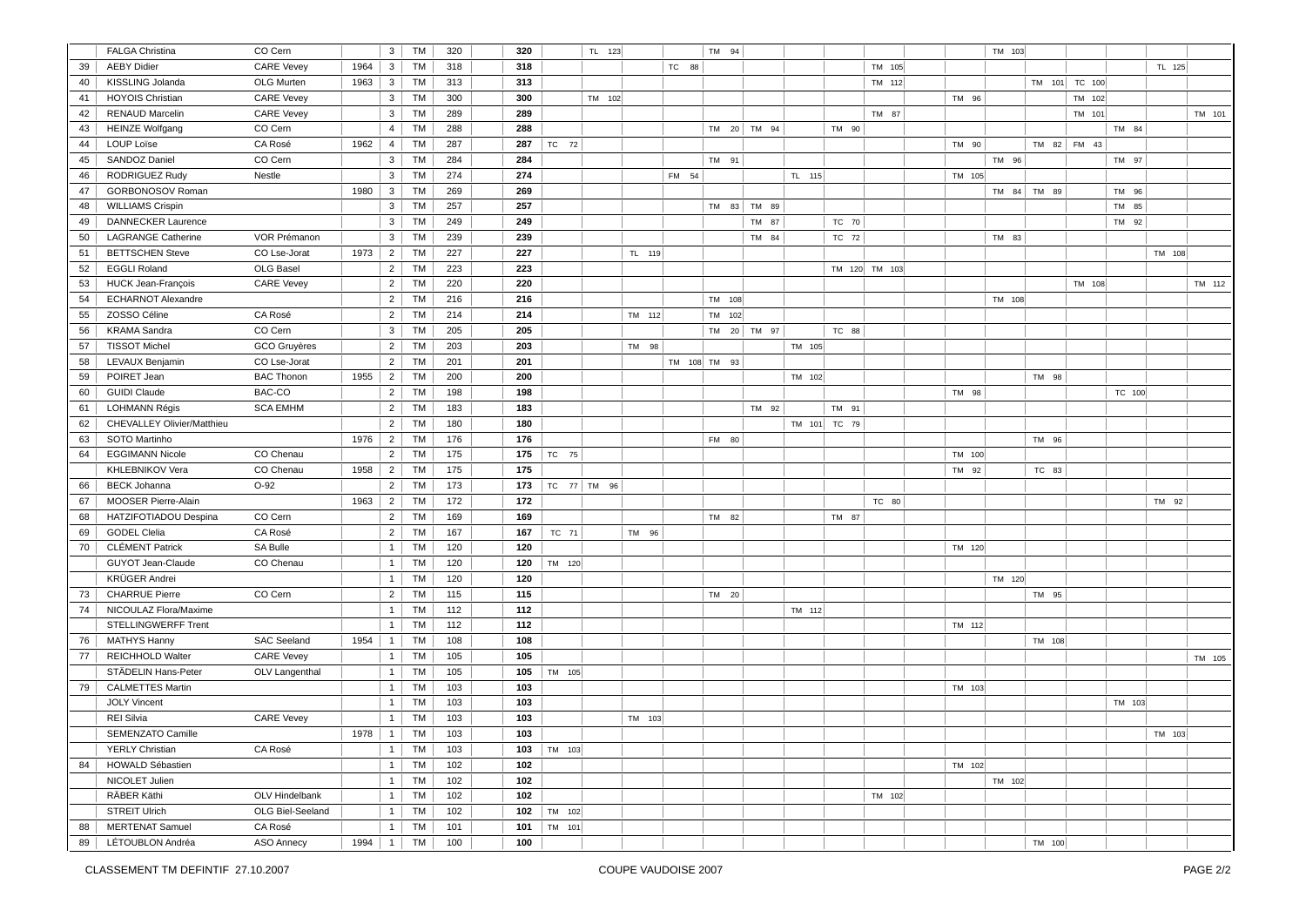|    | <b>FALGA Christina</b>     | CO Cern             |      | $\mathbf{3}$   | TM        | 320 | 320 |        |        | TL 123      |        |       | TM 94           |             |              |               |        | TM 103 |               |             |        |        |        |
|----|----------------------------|---------------------|------|----------------|-----------|-----|-----|--------|--------|-------------|--------|-------|-----------------|-------------|--------------|---------------|--------|--------|---------------|-------------|--------|--------|--------|
| 39 | <b>AEBY Didier</b>         | <b>CARE Vevey</b>   | 1964 | $\mathbf{3}$   | TM        | 318 | 318 |        |        |             |        | TC 88 |                 |             |              | TM 105        |        |        |               |             |        | TL 125 |        |
| 40 | KISSLING Jolanda           | OLG Murten          | 1963 | $\mathbf{3}$   | TM        | 313 | 313 |        |        |             |        |       |                 |             |              | TM 112        |        |        | TM 101 TC 100 |             |        |        |        |
| 41 | <b>HOYOIS Christian</b>    | <b>CARE Vevey</b>   |      | 3              | TM        | 300 | 300 |        |        | TM 102      |        |       |                 |             |              |               | TM 96  |        |               | TM 102      |        |        |        |
| 42 | <b>RENAUD Marcelin</b>     | <b>CARE Vevey</b>   |      | $\mathbf{3}$   | TM        | 289 | 289 |        |        |             |        |       |                 |             |              | TM 87         |        |        |               | TM 101      |        |        | TM 101 |
| 43 | <b>HEINZE Wolfgang</b>     | CO Cern             |      | $\overline{4}$ | TM        | 288 | 288 |        |        |             |        |       |                 | TM 20 TM 94 | TM 90        |               |        |        |               |             | TM 84  |        |        |
| 44 | <b>LOUP Loïse</b>          | CA Rosé             | 1962 | 4              | TM        | 287 | 287 | TC 72  |        |             |        |       |                 |             |              |               | TM 90  |        |               | TM 82 FM 43 |        |        |        |
| 45 | <b>SANDOZ Daniel</b>       | CO Cern             |      | 3 <sup>1</sup> | TM        | 284 | 284 |        |        |             |        |       | TM 91           |             |              |               |        | TM 96  |               |             | TM 97  |        |        |
| 46 | RODRIGUEZ Rudy             | Nestle              |      | 3              | TM        | 274 | 274 |        |        |             |        | FM 54 |                 |             | TL 115       |               | TM 105 |        |               |             |        |        |        |
| 47 | GORBONOSOV Roman           |                     | 1980 | $\mathbf{3}$   | TM        | 269 | 269 |        |        |             |        |       |                 |             |              |               |        |        | TM 84 TM 89   |             | TM 96  |        |        |
| 48 | <b>WILLIAMS Crispin</b>    |                     |      | 3              | TM        | 257 | 257 |        |        |             |        |       |                 | TM 83 TM 89 |              |               |        |        |               |             | TM 85  |        |        |
| 49 | <b>DANNECKER Laurence</b>  |                     |      | $\mathbf{3}$   | TM        | 249 | 249 |        |        |             |        |       |                 | TM 87       | TC 70        |               |        |        |               |             | TM 92  |        |        |
| 50 | <b>LAGRANGE Catherine</b>  | VOR Prémanon        |      | 3              | TM        | 239 | 239 |        |        |             |        |       |                 | TM 84       | TC 72        |               |        | TM 83  |               |             |        |        |        |
| 51 | <b>BETTSCHEN Steve</b>     | CO Lse-Jorat        | 1973 | $\overline{2}$ | <b>TM</b> | 227 | 227 |        |        |             | TL 119 |       |                 |             |              |               |        |        |               |             |        | TM 108 |        |
| 52 | <b>EGGLI Roland</b>        | OLG Basel           |      | $\overline{2}$ | TM        | 223 | 223 |        |        |             |        |       |                 |             |              | TM 120 TM 103 |        |        |               |             |        |        |        |
| 53 | <b>HUCK Jean-François</b>  | <b>CARE Vevey</b>   |      | $\overline{2}$ | <b>TM</b> | 220 | 220 |        |        |             |        |       |                 |             |              |               |        |        |               | TM 108      |        |        | TM 112 |
| 54 | <b>ECHARNOT Alexandre</b>  |                     |      | $\overline{2}$ | TM        | 216 | 216 |        |        |             |        |       | TM 108          |             |              |               |        | TM 108 |               |             |        |        |        |
| 55 | ZOSSO Céline               | CA Rosé             |      | $\overline{2}$ | TM        | 214 | 214 |        |        |             | TM 112 |       | TM 102          |             |              |               |        |        |               |             |        |        |        |
| 56 | <b>KRAMA</b> Sandra        | CO Cern             |      | 3              | TM        | 205 | 205 |        |        |             |        |       | <b>TM</b>       | 20 TM 97    | TC 88        |               |        |        |               |             |        |        |        |
| 57 | <b>TISSOT Michel</b>       | <b>GCO</b> Gruyères |      | $\overline{2}$ | <b>TM</b> | 203 | 203 |        |        |             | TM 98  |       |                 |             | TM 105       |               |        |        |               |             |        |        |        |
| 58 | <b>LEVAUX Benjamin</b>     | CO Lse-Jorat        |      | $\overline{2}$ | TM        | 201 | 201 |        |        |             |        |       | TM 108 TM 93    |             |              |               |        |        |               |             |        |        |        |
| 59 | POIRET Jean                | <b>BAC Thonon</b>   | 1955 | $\overline{2}$ | TM        | 200 | 200 |        |        |             |        |       |                 |             | TM 102       |               |        |        | TM 98         |             |        |        |        |
| 60 | <b>GUIDI Claude</b>        | BAC-CO              |      | 2 <sup>1</sup> | TM        | 198 | 198 |        |        |             |        |       |                 |             |              |               | TM 98  |        |               |             | TC 100 |        |        |
| 61 | <b>LOHMANN Régis</b>       | <b>SCA EMHM</b>     |      | $\overline{2}$ | <b>TM</b> | 183 | 183 |        |        |             |        |       |                 | TM 92       | TM 91        |               |        |        |               |             |        |        |        |
| 62 | CHEVALLEY Olivier/Matthieu |                     |      | $\overline{2}$ | TM        | 180 | 180 |        |        |             |        |       |                 |             | TM 101 TC 79 |               |        |        |               |             |        |        |        |
| 63 | SOTO Martinho              |                     | 1976 | $\overline{2}$ | TM        | 176 | 176 |        |        |             |        |       | FM 80           |             |              |               |        |        | TM 96         |             |        |        |        |
| 64 | <b>EGGIMANN Nicole</b>     | CO Chenau           |      | $\overline{2}$ | <b>TM</b> | 175 | 175 | TC 75  |        |             |        |       |                 |             |              |               | TM 100 |        |               |             |        |        |        |
|    | KHLEBNIKOV Vera            | CO Chenau           | 1958 | $\overline{2}$ | TM        | 175 | 175 |        |        |             |        |       |                 |             |              |               | TM 92  |        | TC 83         |             |        |        |        |
|    |                            | $O-92$              |      |                |           |     |     |        |        |             |        |       |                 |             |              |               |        |        |               |             |        |        |        |
| 66 | <b>BECK Johanna</b>        |                     |      | $\overline{2}$ | TM        | 173 | 173 |        |        | TC 77 TM 96 |        |       |                 |             |              |               |        |        |               |             |        |        |        |
| 67 | MOOSER Pierre-Alain        | CO Cern             | 1963 | 2 <sup>1</sup> | TM        | 172 | 172 |        |        |             |        |       |                 |             |              | TC 80         |        |        |               |             |        | TM 92  |        |
| 68 | HATZIFOTIADOU Despina      |                     |      | $\overline{2}$ | TM        | 169 | 169 |        |        |             |        |       | <b>TM</b><br>82 |             | TM 87        |               |        |        |               |             |        |        |        |
| 69 | <b>GODEL Clelia</b>        | CA Rosé             |      | $2^{\circ}$    | <b>TM</b> | 167 | 167 |        | TC 71  |             | TM 96  |       |                 |             |              |               |        |        |               |             |        |        |        |
| 70 | <b>CLÉMENT Patrick</b>     | SA Bulle            |      | $\mathbf{1}$   | <b>TM</b> | 120 | 120 |        |        |             |        |       |                 |             |              |               | TM 120 |        |               |             |        |        |        |
|    | GUYOT Jean-Claude          | CO Chenau           |      | 1              | TM        | 120 | 120 | TM 120 |        |             |        |       |                 |             |              |               |        |        |               |             |        |        |        |
|    | <b>KRÜGER Andrei</b>       |                     |      | 1              | <b>TM</b> | 120 | 120 |        |        |             |        |       |                 |             |              |               |        | TM 120 |               |             |        |        |        |
| 73 | <b>CHARRUE Pierre</b>      | CO Cern             |      | $\overline{2}$ | TM        | 115 | 115 |        |        |             |        |       | TM 20           |             |              |               |        |        | TM 95         |             |        |        |        |
| 74 | NICOULAZ Flora/Maxime      |                     |      | 1              | <b>TM</b> | 112 | 112 |        |        |             |        |       |                 |             | TM 112       |               |        |        |               |             |        |        |        |
|    | <b>STELLINGWERFF Trent</b> |                     |      | $\mathbf{1}$   | TM        | 112 | 112 |        |        |             |        |       |                 |             |              |               | TM 112 |        |               |             |        |        |        |
| 76 | <b>MATHYS Hanny</b>        | <b>SAC Seeland</b>  | 1954 | 1              | TM        | 108 | 108 |        |        |             |        |       |                 |             |              |               |        |        | TM 108        |             |        |        |        |
| 77 | REICHHOLD Walter           | <b>CARE Vevey</b>   |      | $\mathbf{1}$   | TM        | 105 | 105 |        |        |             |        |       |                 |             |              |               |        |        |               |             |        |        | TM 105 |
|    | STÄDELIN Hans-Peter        | OLV Langenthal      |      | $\mathbf{1}$   | TM        | 105 | 105 | TM 105 |        |             |        |       |                 |             |              |               |        |        |               |             |        |        |        |
| 79 | <b>CALMETTES Martin</b>    |                     |      | $\mathbf{1}$   | TM        | 103 | 103 |        |        |             |        |       |                 |             |              |               | TM 103 |        |               |             |        |        |        |
|    | <b>JOLY Vincent</b>        |                     |      | 1              | TM        | 103 | 103 |        |        |             |        |       |                 |             |              |               |        |        |               |             | TM 103 |        |        |
|    | <b>REI Silvia</b>          | <b>CARE Vevey</b>   |      | $\mathbf{1}$   | TM        | 103 | 103 |        |        |             | TM 103 |       |                 |             |              |               |        |        |               |             |        |        |        |
|    | <b>SEMENZATO Camille</b>   |                     | 1978 | $\mathbf{1}$   | TM        | 103 | 103 |        |        |             |        |       |                 |             |              |               |        |        |               |             |        | TM 103 |        |
|    | <b>YERLY Christian</b>     | CA Rosé             |      | 1              | TM        | 103 | 103 | TM 103 |        |             |        |       |                 |             |              |               |        |        |               |             |        |        |        |
| 84 | <b>HOWALD Sébastien</b>    |                     |      | 1              | TM        | 102 | 102 |        |        |             |        |       |                 |             |              |               | TM 102 |        |               |             |        |        |        |
|    | NICOLET Julien             |                     |      | 1              | TM        | 102 | 102 |        |        |             |        |       |                 |             |              |               |        | TM 102 |               |             |        |        |        |
|    | RÄBER Käthi                | OLV Hindelbank      |      | $\mathbf{1}$   | TM        | 102 | 102 |        |        |             |        |       |                 |             |              | TM 102        |        |        |               |             |        |        |        |
|    | <b>STREIT Ulrich</b>       | OLG Biel-Seeland    |      | 1              | TM        | 102 | 102 |        | TM 102 |             |        |       |                 |             |              |               |        |        |               |             |        |        |        |
| 88 | <b>MERTENAT Samuel</b>     | CA Rosé             |      | 1              | TM        | 101 | 101 |        | TM 101 |             |        |       |                 |             |              |               |        |        |               |             |        |        |        |
| 89 | LÉTOUBLON Andréa           | <b>ASO Annecy</b>   | 1994 | $\overline{1}$ | TM        | 100 | 100 |        |        |             |        |       |                 |             |              |               |        |        | TM 100        |             |        |        |        |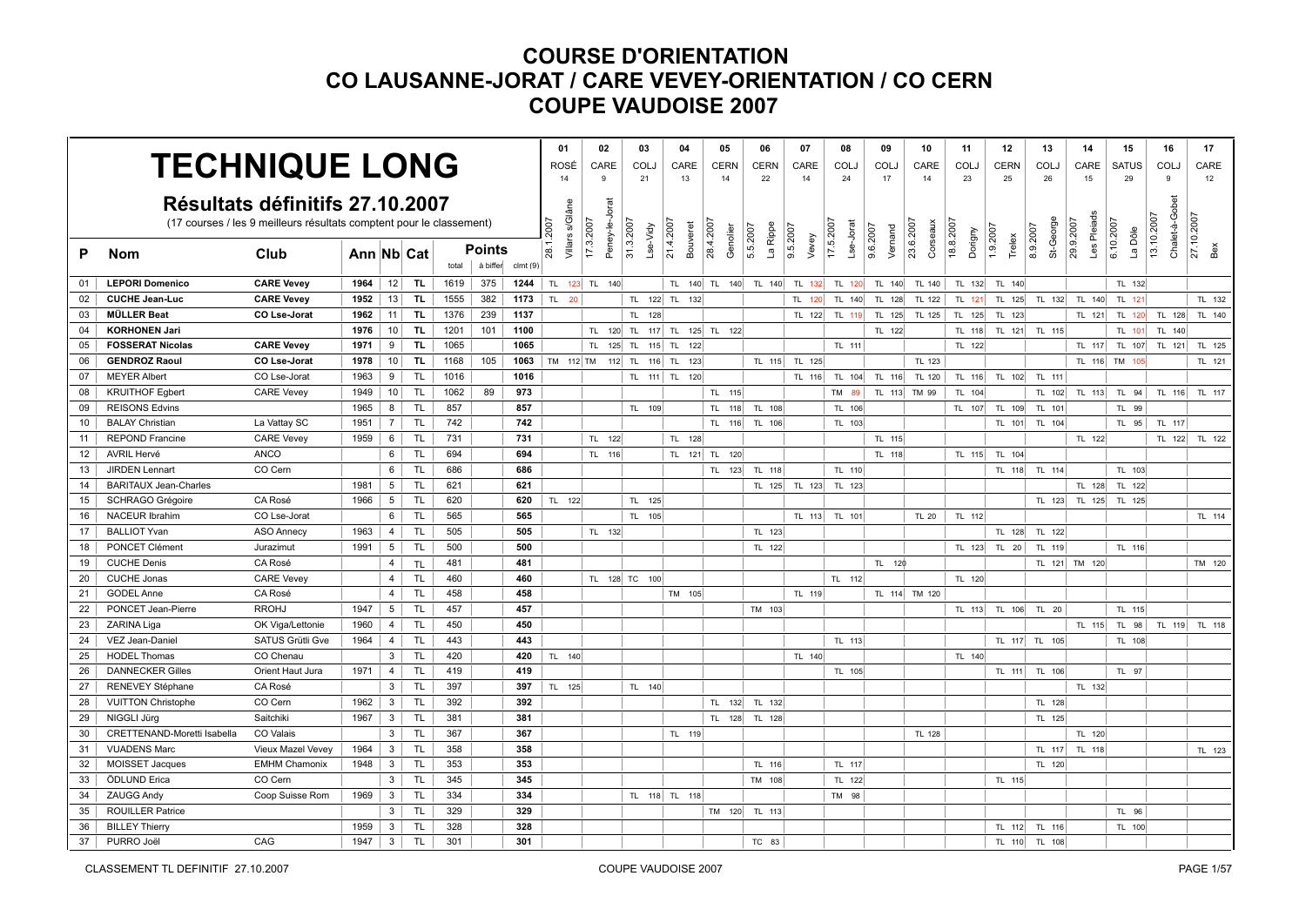| <b>TECHNIQUE LONG</b>                                                |                              |                      |            |                 |                |       |          |         | 01        | 02                                                          |           | 03            | 04                    | 05                    | 06                   | 07                | 08                     | 09                  | 10                    | 11        | 12          | 13                    | 14                       | 15                   | 16             | 17                |
|----------------------------------------------------------------------|------------------------------|----------------------|------------|-----------------|----------------|-------|----------|---------|-----------|-------------------------------------------------------------|-----------|---------------|-----------------------|-----------------------|----------------------|-------------------|------------------------|---------------------|-----------------------|-----------|-------------|-----------------------|--------------------------|----------------------|----------------|-------------------|
|                                                                      |                              |                      |            |                 |                |       |          |         | ROSÉ      | CARE                                                        |           | COLJ          | CARE                  | <b>CERN</b>           | <b>CERN</b>          | CARE              | <b>COLJ</b>            | COLJ                | CARE                  | COLJ      | <b>CERN</b> | COL.                  | CARE                     | <b>SATUS</b>         | COLJ           | CARE              |
|                                                                      |                              |                      |            |                 |                |       |          |         |           | 9                                                           |           | 21            | 13                    | 14                    | 22                   | 14                | 24                     | 17                  | 14                    | 23        | 25          | 26                    | 15                       | 29                   | 9              | 12                |
|                                                                      |                              |                      |            |                 |                |       |          |         |           |                                                             |           |               |                       |                       |                      |                   |                        |                     |                       |           |             |                       |                          |                      |                |                   |
| Résultats définitifs 27.10.2007                                      |                              |                      |            |                 |                |       |          |         |           |                                                             |           |               |                       |                       |                      |                   |                        |                     |                       |           |             |                       |                          |                      |                |                   |
| (17 courses / les 9 meilleurs résultats comptent pour le classement) |                              |                      |            |                 |                |       |          |         |           |                                                             | 31.3.2007 |               |                       |                       |                      |                   | 17.5.2007<br>Lse-Jorat |                     | 23.6.2007<br>Corseaux | 18.8.2007 | 1.9.2007    |                       |                          |                      | 3.10.2007      |                   |
| P                                                                    | <b>Nom</b>                   | Club                 | Ann Nb Cat |                 |                |       |          | Points  |           | Villars s/Glâne<br>Peney-le-Jorat<br>28.1.2007<br>17.3.2007 |           | Lse-Vidy      | 21.4.2007<br>Bouveret | 28.4.2007<br>Genolier | La Rippe<br>5.5.2007 | 9.5.2007<br>Vevey |                        | 9.6.2007<br>Vernand |                       | Dorigny   | Trelex      | St-George<br>8.9.2007 | Les Pleiads<br>29.9.2007 | 6.10.2007<br>La Dôle | Chalet-à-Gobet | 27.10.2007<br>Bex |
|                                                                      |                              |                      |            |                 |                | total | à biffer | clmt(9) |           |                                                             |           |               |                       |                       |                      |                   |                        |                     |                       |           |             |                       |                          |                      |                |                   |
| 01                                                                   | <b>LEPORI Domenico</b>       | <b>CARE Vevey</b>    | 1964       | 12              | TL.            | 1619  | 375      | 1244    |           | TL 123 TL 140                                               |           |               |                       | TL 140 TL 140         | TL 140               | TL 132            | TL 120                 | TL 140              | TL 140                | TL 132    | TL 140      |                       |                          | TL 132               |                |                   |
| 02                                                                   | <b>CUCHE Jean-Luc</b>        | <b>CARE Vevey</b>    | 1952       | 13              | TL.            | 1555  | 382      | 1173    | TL 20     |                                                             |           | TL 122 TL     | 132                   |                       |                      | TL 120            | TL 140                 | TL 128              | TL 122                | TL 121    | TL 125      | TL 132                | TL 140                   | TL 121               |                | TL 132            |
| 03                                                                   | <b>MÜLLER Beat</b>           | CO Lse-Jorat         | 1962       | 11 <sup>1</sup> | TL.            | 1376  | 239      | 1137    |           |                                                             |           | TL 128        |                       |                       |                      | TL 122            | TL 119                 | TL 125              | <b>TL 125</b>         | TL 125    | TL 123      |                       | TL 121                   | TL 120               | TL 128         | TL 140            |
| 04                                                                   | <b>KORHONEN Jari</b>         |                      | 1976       | 10              | TL.            | 1201  | 101      | 1100    |           | TL 120 TL                                                   |           | 117 TL        |                       | 125 TL 122            |                      |                   |                        | TL 122              |                       | TL 118    | TL 121      | TL 115                |                          | TL 101               | TL 140         |                   |
| 05                                                                   | <b>FOSSERAT Nicolas</b>      | <b>CARE Vevey</b>    | 1971       | 9               | TL.            | 1065  |          | 1065    |           | TL 125 TL                                                   |           | $115$ TL      | 122                   |                       |                      |                   | TL 111                 |                     |                       | TL 122    |             |                       | TL 117                   | TL 107               | TL 121         | TL 125            |
| 06                                                                   | <b>GENDROZ Raoul</b>         | CO Lse-Jorat         | 1978       | 10 <sup>1</sup> | TL.            | 1168  | 105      | 1063    | TM 112 TM |                                                             |           |               | 112 TL 116 TL 123     |                       | TL 115               | TL 125            |                        |                     | TL 123                |           |             |                       |                          | TL 116 TM 105        |                | TL 121            |
| 07                                                                   | <b>MEYER Albert</b>          | CO Lse-Jorat         | 1963       | 9               | TL.            | 1016  |          | 1016    |           |                                                             |           |               | TL 111 TL 120         |                       |                      | TL 116            |                        | TL 104 TL 116       | TL 120                | TL 116    |             | TL 102 TL 111         |                          |                      |                |                   |
| 08                                                                   | <b>KRUITHOF Egbert</b>       | <b>CARE Vevey</b>    | 1949       | 10 <sup>1</sup> | TL.            | 1062  | 89       | 973     |           |                                                             |           |               |                       | TL 115                |                      |                   | <b>TM</b><br>89        | TL 113              | TM 99                 | TL 104    |             | TL 102                | TL 113                   | TL 94                | TL 116         | TL 117            |
| 09                                                                   | <b>REISONS Edvins</b>        |                      | 1965       | 8 <sup>1</sup>  | TL.            | 857   |          | 857     |           |                                                             |           | TL 109        |                       | TL.<br>118            | TL 108               |                   | TL 106                 |                     |                       | TL 107    | TL 109      | TL 101                |                          | TL 99                |                |                   |
| 10 <sup>1</sup>                                                      | <b>BALAY Christian</b>       | La Vattay SC         | 1951       | $7^{\circ}$     | TL.            | 742   |          | 742     |           |                                                             |           |               |                       | 116<br>TL.            | TL 106               |                   | TL 103                 |                     |                       |           | TL 101      | TL 104                |                          | TL 95                | TL 117         |                   |
| 11                                                                   | <b>REPOND Francine</b>       | <b>CARE Vevey</b>    | 1959       | 6               | <b>TL</b>      | 731   |          | 731     |           | TL 122                                                      |           |               | TL 128                |                       |                      |                   |                        | TL 115              |                       |           |             |                       | TL 122                   |                      | TL 122         | TL 122            |
| 12 <sup>2</sup>                                                      | <b>AVRIL Hervé</b>           | ANCO                 |            | 6               | TL.            | 694   |          | 694     |           | TL 116                                                      |           |               |                       | TL 121 TL 120         |                      |                   |                        | TL 118              |                       | TL 115    | TL 104      |                       |                          |                      |                |                   |
| 13                                                                   | <b>JIRDEN Lennart</b>        | CO Cern              |            | 6               | TL.            | 686   |          | 686     |           |                                                             |           |               |                       | TL 123                | TL 118               |                   | TL 110                 |                     |                       |           |             | TL 118 TL 114         |                          | TL 103               |                |                   |
| 14                                                                   | <b>BARITAUX Jean-Charles</b> |                      | 1981       | 5 <sup>5</sup>  | <b>TL</b>      | 621   |          | 621     |           |                                                             |           |               |                       |                       | TL 125               | TL 123            | TL 123                 |                     |                       |           |             |                       | TL 128                   | TL 122               |                |                   |
| 15                                                                   | <b>SCHRAGO Grégoire</b>      | CA Rosé              | 1966       | 5               | <b>TL</b>      | 620   |          | 620     | TL 122    |                                                             |           | TL 125        |                       |                       |                      |                   |                        |                     |                       |           |             | TL 123                |                          | TL 125 TL 125        |                |                   |
| 16                                                                   | <b>NACEUR Ibrahim</b>        | CO Lse-Jorat         |            | 6               | TL.            | 565   |          | 565     |           |                                                             |           | TL 105        |                       |                       |                      | TL 113            | TL 101                 |                     | <b>TL 20</b>          | TL 112    |             |                       |                          |                      |                | TL 114            |
| 17                                                                   | <b>BALLIOT Yvan</b>          | <b>ASO Annecy</b>    | 1963       | $\overline{4}$  | TL.            | 505   |          | 505     |           | TL 132                                                      |           |               |                       |                       | TL 123               |                   |                        |                     |                       |           | TL 128      | TL 122                |                          |                      |                |                   |
| 18                                                                   | PONCET Clément               | Jurazimut            | 1991       | $5\overline{6}$ | TL.            | 500   |          | 500     |           |                                                             |           |               |                       |                       | TL 122               |                   |                        |                     |                       | TL 123    | TL 20       | TL 119                |                          | TL 116               |                |                   |
| 19                                                                   | <b>CUCHE Denis</b>           | CA Rosé              |            | $\overline{4}$  | TL             | 481   |          | 481     |           |                                                             |           |               |                       |                       |                      |                   |                        | TL 120              |                       |           |             |                       | TL 121 TM 120            |                      |                | TM 120            |
| 20                                                                   | <b>CUCHE Jonas</b>           | <b>CARE Vevey</b>    |            | $\overline{4}$  | <b>TL</b>      | 460   |          | 460     |           |                                                             |           | TL 128 TC 100 |                       |                       |                      |                   | TL 112                 |                     |                       | TL 120    |             |                       |                          |                      |                |                   |
| 21                                                                   | <b>GODEL Anne</b>            | CA Rosé              |            | $\overline{4}$  | <b>TL</b>      | 458   |          | 458     |           |                                                             |           |               | TM 105                |                       |                      | TL 119            |                        |                     | TL 114 TM 120         |           |             |                       |                          |                      |                |                   |
| 22                                                                   | PONCET Jean-Pierre           | <b>RROHJ</b>         | 1947       | 5 <sup>1</sup>  | TL.            | 457   |          | 457     |           |                                                             |           |               |                       |                       | TM 103               |                   |                        |                     |                       | TL 113    | TL 106      | TL 20                 |                          | TL 115               |                |                   |
| 23                                                                   | ZARINA Liga                  | OK Viga/Lettonie     | 1960       | $\overline{4}$  | TL.            | 450   |          | 450     |           |                                                             |           |               |                       |                       |                      |                   |                        |                     |                       |           |             |                       | TL 115                   | TL 98                | TL 119         | TL 118            |
| 24                                                                   | VEZ Jean-Daniel              | SATUS Grütli Gve     | 1964       | $\overline{4}$  | <b>TL</b>      | 443   |          | 443     |           |                                                             |           |               |                       |                       |                      |                   | TL 113                 |                     |                       |           |             | TL 117 TL 105         |                          | TL 108               |                |                   |
| 25                                                                   | <b>HODEL Thomas</b>          | CO Chenau            |            | 3               | <b>TL</b>      | 420   |          | 420     | TL 140    |                                                             |           |               |                       |                       |                      | TL 140            |                        |                     |                       | TL 140    |             |                       |                          |                      |                |                   |
| 26                                                                   | <b>DANNECKER Gilles</b>      | Orient Haut Jura     | 1971       | $\overline{4}$  | TL.            | 419   |          | 419     |           |                                                             |           |               |                       |                       |                      |                   | TL 105                 |                     |                       |           |             | TL 111 TL 106         |                          | TL 97                |                |                   |
| 27                                                                   | RENEVEY Stéphane             | CA Rosé              |            | 3               | TL.            | 397   |          | 397     | TL 125    |                                                             |           | TL 140        |                       |                       |                      |                   |                        |                     |                       |           |             |                       | TL 132                   |                      |                |                   |
| 28                                                                   | <b>VUITTON Christophe</b>    | CO Cern              | 1962       | $\mathbf{3}$    | <b>TL</b>      | 392   |          | 392     |           |                                                             |           |               |                       | TL 132                | TL 132               |                   |                        |                     |                       |           |             | TL 128                |                          |                      |                |                   |
| 29                                                                   | NIGGLI Jürg                  | Saitchiki            | 1967       | 3               | TL <sub></sub> | 381   |          | 381     |           |                                                             |           |               |                       | 128<br>TL.            | TL 128               |                   |                        |                     |                       |           |             | TL 125                |                          |                      |                |                   |
| 30                                                                   | CRETTENAND-Moretti Isabella  | CO Valais            |            | 3 <sup>1</sup>  | TL.            | 367   |          | 367     |           |                                                             |           |               | TL 119                |                       |                      |                   |                        |                     | TL 128                |           |             |                       | TL 120                   |                      |                |                   |
| 31                                                                   | <b>VUADENS Marc</b>          | Vieux Mazel Vevey    | 1964       | $\mathbf{3}$    | TL.            | 358   |          | 358     |           |                                                             |           |               |                       |                       |                      |                   |                        |                     |                       |           |             | TL 117                | TL 118                   |                      |                | TL 123            |
| 32                                                                   | MOISSET Jacques              | <b>EMHM Chamonix</b> | 1948       | 3               | <b>TL</b>      | 353   |          | 353     |           |                                                             |           |               |                       |                       | TL 116               |                   | TL 117                 |                     |                       |           |             | TL 120                |                          |                      |                |                   |
| 33                                                                   | ÖDLUND Erica                 | CO Cern              |            | 3               | <b>TL</b>      | 345   |          | 345     |           |                                                             |           |               |                       |                       | TM 108               |                   | TL 122                 |                     |                       |           | TL 115      |                       |                          |                      |                |                   |
| 34                                                                   | <b>ZAUGG Andy</b>            | Coop Suisse Rom      | 1969       | $\mathbf{3}$    | TL.            | 334   |          | 334     |           |                                                             |           |               | TL 118 TL 118         |                       |                      |                   | TM 98                  |                     |                       |           |             |                       |                          |                      |                |                   |
| 35                                                                   | <b>ROUILLER Patrice</b>      |                      |            | 3 <sup>1</sup>  | TL.            | 329   |          | 329     |           |                                                             |           |               |                       | TM 120                | TL 113               |                   |                        |                     |                       |           |             |                       |                          | TL 96                |                |                   |
| 36                                                                   | <b>BILLEY Thierry</b>        |                      | 1959       | $\mathbf{3}$    | <b>TL</b>      | 328   |          | 328     |           |                                                             |           |               |                       |                       |                      |                   |                        |                     |                       |           | TL 112      | TL 116                |                          | TL 100               |                |                   |
| 37                                                                   | PURRO Joël                   | CAG                  | 1947       | 3 <sup>1</sup>  | TL.            | 301   |          | 301     |           |                                                             |           |               |                       |                       | TC 83                |                   |                        |                     |                       |           |             | TL 110 TL 108         |                          |                      |                |                   |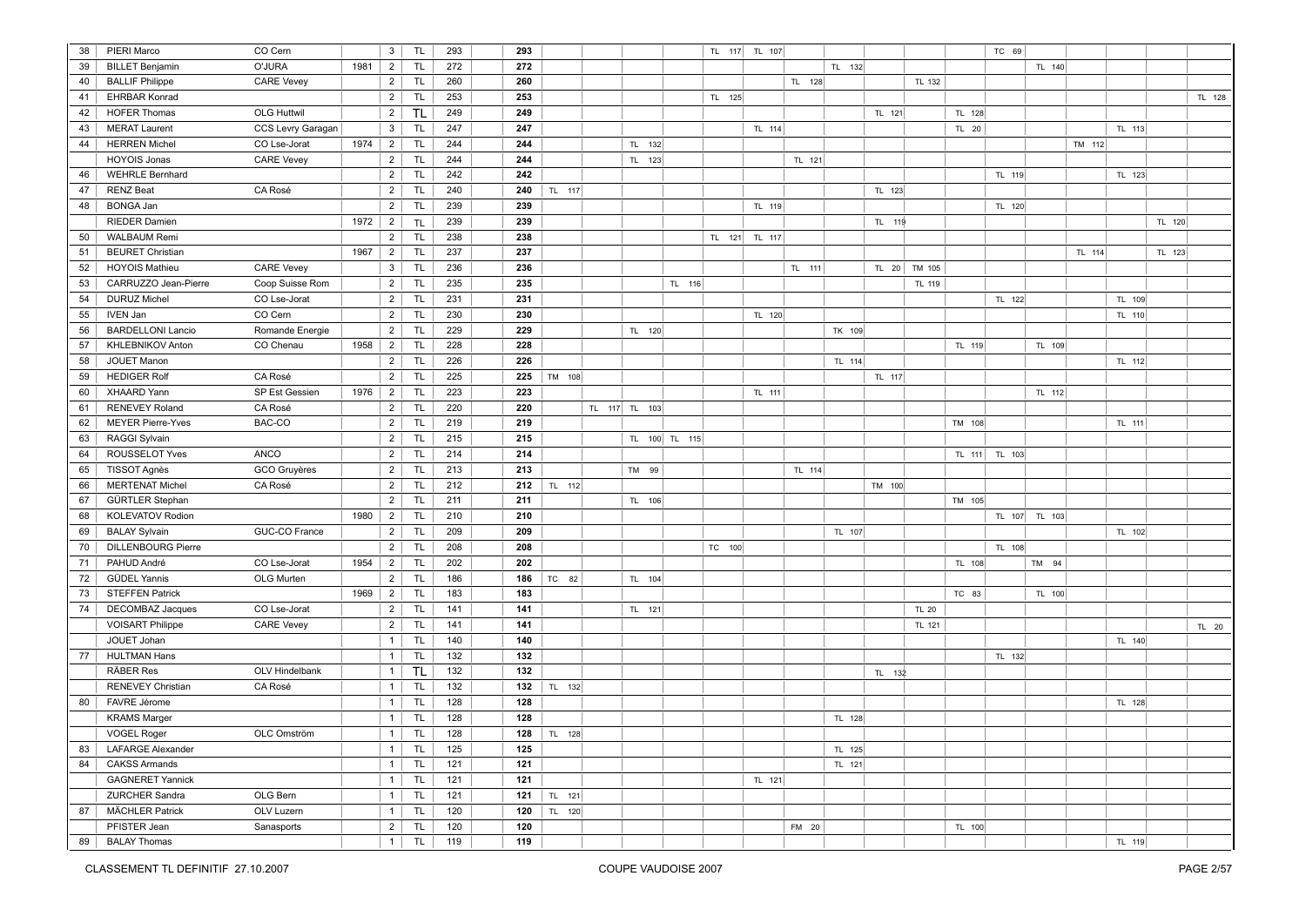| 38 | PIERI Marco               | CO Cern            |      | 3              | TL <sub></sub> | 293 | 293 |        |               |               | TL 117 TL 107 |        |        |        |              |        | TC 69         |               |        |        |        |        |
|----|---------------------------|--------------------|------|----------------|----------------|-----|-----|--------|---------------|---------------|---------------|--------|--------|--------|--------------|--------|---------------|---------------|--------|--------|--------|--------|
| 39 | <b>BILLET Benjamin</b>    | O'JURA             | 1981 | $\overline{2}$ | <b>TL</b>      | 272 | 272 |        |               |               |               |        | TL 132 |        |              |        |               | TL 140        |        |        |        |        |
| 40 | <b>BALLIF Philippe</b>    | <b>CARE Vevey</b>  |      | $\overline{2}$ | <b>TL</b>      | 260 | 260 |        |               |               |               |        | TL 128 |        | TL 132       |        |               |               |        |        |        |        |
| 41 | <b>EHRBAR Konrad</b>      |                    |      | $\overline{2}$ | TL.            | 253 | 253 |        |               |               | TL 125        |        |        |        |              |        |               |               |        |        |        | TL 128 |
| 42 | <b>HOFER Thomas</b>       | <b>OLG Huttwil</b> |      | $\overline{2}$ | <b>TL</b>      | 249 | 249 |        |               |               |               |        |        | TL 121 |              | TL 128 |               |               |        |        |        |        |
| 43 | <b>MERAT Laurent</b>      | CCS Levry Garagan  |      | $\mathbf{3}$   | <b>TL</b>      | 247 | 247 |        |               |               |               | TL 114 |        |        |              | TL 20  |               |               |        | TL 113 |        |        |
| 44 | <b>HERREN Michel</b>      | CO Lse-Jorat       | 1974 | $\overline{2}$ | <b>TL</b>      | 244 | 244 |        | TL 132        |               |               |        |        |        |              |        |               |               | TM 112 |        |        |        |
|    | <b>HOYOIS Jonas</b>       | <b>CARE Vevey</b>  |      | $\overline{2}$ | <b>TL</b>      | 244 | 244 |        | TL 123        |               |               |        | TL 121 |        |              |        |               |               |        |        |        |        |
| 46 | <b>WEHRLE Bernhard</b>    |                    |      | $\overline{2}$ | TL <sub></sub> | 242 | 242 |        |               |               |               |        |        |        |              |        | TL 119        |               |        | TL 123 |        |        |
| 47 | <b>RENZ Beat</b>          | CA Rosé            |      | $\overline{2}$ | <b>TL</b>      | 240 | 240 | TL 117 |               |               |               |        |        | TL 123 |              |        |               |               |        |        |        |        |
| 48 | <b>BONGA Jan</b>          |                    |      | 2              | TL <sub></sub> | 239 | 239 |        |               |               |               | TL 119 |        |        |              |        | TL 120        |               |        |        |        |        |
|    | <b>RIEDER Damien</b>      |                    | 1972 | $\overline{2}$ | <b>TL</b>      | 239 | 239 |        |               |               |               |        |        | TL 119 |              |        |               |               |        |        | TL 120 |        |
| 50 | <b>WALBAUM Remi</b>       |                    |      | $\overline{2}$ | <b>TL</b>      | 238 | 238 |        |               |               | TL 121        | TL 117 |        |        |              |        |               |               |        |        |        |        |
| 51 | <b>BEURET Christian</b>   |                    | 1967 | $\overline{2}$ | <b>TL</b>      | 237 | 237 |        |               |               |               |        |        |        |              |        |               |               | TL 114 |        | TL 123 |        |
| 52 | <b>HOYOIS Mathieu</b>     | <b>CARE Vevey</b>  |      | $\mathbf{3}$   | TL <sub></sub> | 236 | 236 |        |               |               |               |        | TL 111 | TL 20  | TM 105       |        |               |               |        |        |        |        |
| 53 | CARRUZZO Jean-Pierre      | Coop Suisse Rom    |      | $\overline{2}$ | <b>TL</b>      | 235 | 235 |        |               | TL 116        |               |        |        |        | TL 119       |        |               |               |        |        |        |        |
| 54 | <b>DURUZ Michel</b>       | CO Lse-Jorat       |      | $\overline{2}$ | <b>TL</b>      | 231 | 231 |        |               |               |               |        |        |        |              |        | TL 122        |               |        | TL 109 |        |        |
| 55 | <b>IVEN Jan</b>           | CO Cern            |      | $\overline{2}$ | <b>TL</b>      | 230 | 230 |        |               |               |               | TL 120 |        |        |              |        |               |               |        | TL 110 |        |        |
| 56 | <b>BARDELLONI Lancio</b>  | Romande Energie    |      | $\overline{2}$ | <b>TL</b>      | 229 | 229 |        | TL 120        |               |               |        | TK 109 |        |              |        |               |               |        |        |        |        |
| 57 | KHLEBNIKOV Anton          | CO Chenau          | 1958 | $\overline{2}$ | TL.            | 228 | 228 |        |               |               |               |        |        |        |              | TL 119 |               | TL 109        |        |        |        |        |
| 58 | JOUET Manon               |                    |      | $\overline{2}$ | TL.            | 226 | 226 |        |               |               |               |        | TL 114 |        |              |        |               |               |        | TL 112 |        |        |
| 59 | <b>HEDIGER Rolf</b>       | CA Rosé            |      | $\overline{2}$ | TL <sub></sub> | 225 | 225 | TM 108 |               |               |               |        |        | TL 117 |              |        |               |               |        |        |        |        |
| 60 | <b>XHAARD Yann</b>        | SP Est Gessien     | 1976 | $\overline{2}$ | <b>TL</b>      | 223 | 223 |        |               |               |               | TL 111 |        |        |              |        |               | TL 112        |        |        |        |        |
| 61 | <b>RENEVEY Roland</b>     | CA Rosé            |      | $\overline{2}$ | <b>TL</b>      | 220 | 220 |        | TL 117 TL 103 |               |               |        |        |        |              |        |               |               |        |        |        |        |
| 62 | <b>MEYER Pierre-Yves</b>  | BAC-CO             |      | $\overline{2}$ | <b>TL</b>      | 219 | 219 |        |               |               |               |        |        |        |              | TM 108 |               |               |        | TL 111 |        |        |
| 63 | <b>RAGGI Sylvain</b>      |                    |      | $\overline{2}$ | TL.            | 215 | 215 |        |               | TL 100 TL 115 |               |        |        |        |              |        |               |               |        |        |        |        |
| 64 | ROUSSELOT Yves            | ANCO               |      | $\overline{2}$ | TL <sub></sub> | 214 | 214 |        |               |               |               |        |        |        |              |        | TL 111 TL 103 |               |        |        |        |        |
| 65 | TISSOT Agnès              | GCO Gruyères       |      | $\overline{2}$ | TL <sub></sub> | 213 | 213 |        | TM 99         |               |               |        | TL 114 |        |              |        |               |               |        |        |        |        |
| 66 | <b>MERTENAT Michel</b>    | CA Rosé            |      | $\overline{2}$ | <b>TL</b>      | 212 | 212 | TL 112 |               |               |               |        |        | TM 100 |              |        |               |               |        |        |        |        |
| 67 | GÜRTLER Stephan           |                    |      | $\overline{2}$ | TL <sub></sub> | 211 | 211 |        | TL 106        |               |               |        |        |        |              | TM 105 |               |               |        |        |        |        |
| 68 | KOLEVATOV Rodion          |                    | 1980 | $\overline{2}$ | <b>TL</b>      | 210 | 210 |        |               |               |               |        |        |        |              |        |               | TL 107 TL 103 |        |        |        |        |
| 69 | <b>BALAY Sylvain</b>      | GUC-CO France      |      | $\overline{2}$ | <b>TL</b>      | 209 | 209 |        |               |               |               |        | TL 107 |        |              |        |               |               |        | TL 102 |        |        |
| 70 | <b>DILLENBOURG Pierre</b> |                    |      | $\overline{2}$ | TL             | 208 | 208 |        |               |               | TC 100        |        |        |        |              |        | TL 108        |               |        |        |        |        |
| 71 | PAHUD André               | CO Lse-Jorat       | 1954 | $\overline{2}$ | <b>TL</b>      | 202 | 202 |        |               |               |               |        |        |        |              | TL 108 |               | TM 94         |        |        |        |        |
| 72 | <b>GÜDEL Yannis</b>       | OLG Murten         |      | $\overline{2}$ | TL.            | 186 | 186 | TC 82  | TL 104        |               |               |        |        |        |              |        |               |               |        |        |        |        |
| 73 | <b>STEFFEN Patrick</b>    |                    | 1969 | $\overline{2}$ | TL.            | 183 | 183 |        |               |               |               |        |        |        |              | TC 83  |               | TL 100        |        |        |        |        |
| 74 | <b>DECOMBAZ Jacques</b>   | CO Lse-Jorat       |      | $\overline{2}$ | TL <sub></sub> | 141 | 141 |        | TL 121        |               |               |        |        |        | <b>TL 20</b> |        |               |               |        |        |        |        |
|    | <b>VOISART Philippe</b>   | <b>CARE Vevey</b>  |      | $\overline{2}$ | <b>TL</b>      | 141 | 141 |        |               |               |               |        |        |        | TL 121       |        |               |               |        |        |        | TL 20  |
|    | JOUET Johan               |                    |      | $\mathbf{1}$   | TL <sub></sub> | 140 | 140 |        |               |               |               |        |        |        |              |        |               |               |        | TL 140 |        |        |
| 77 | <b>HULTMAN Hans</b>       |                    |      | 1              | <b>TL</b>      | 132 | 132 |        |               |               |               |        |        |        |              |        | TL 132        |               |        |        |        |        |
|    | <b>RÄBER Res</b>          | OLV Hindelbank     |      | 1              | <b>TL</b>      | 132 | 132 |        |               |               |               |        |        | TL 132 |              |        |               |               |        |        |        |        |
|    | <b>RENEVEY Christian</b>  | CA Rosé            |      | $\mathbf{1}$   | <b>TL</b>      | 132 | 132 | TL 132 |               |               |               |        |        |        |              |        |               |               |        |        |        |        |
| 80 | FAVRE Jérome              |                    |      | $\mathbf{1}$   | <b>TL</b>      | 128 | 128 |        |               |               |               |        |        |        |              |        |               |               |        | TL 128 |        |        |
|    | <b>KRAMS Marger</b>       |                    |      | $\mathbf{1}$   | TL             | 128 | 128 |        |               |               |               |        | TL 128 |        |              |        |               |               |        |        |        |        |
|    | <b>VOGEL Roger</b>        | OLC Omström        |      | $\mathbf{1}$   | <b>TL</b>      | 128 | 128 | TL 128 |               |               |               |        |        |        |              |        |               |               |        |        |        |        |
| 83 | <b>LAFARGE Alexander</b>  |                    |      | 1              | <b>TL</b>      | 125 | 125 |        |               |               |               |        | TL 125 |        |              |        |               |               |        |        |        |        |
| 84 | <b>CAKSS Armands</b>      |                    |      | $\mathbf{1}$   | <b>TL</b>      | 121 | 121 |        |               |               |               |        | TL 121 |        |              |        |               |               |        |        |        |        |
|    | <b>GAGNERET Yannick</b>   |                    |      | 1              | <b>TL</b>      | 121 | 121 |        |               |               |               | TL 121 |        |        |              |        |               |               |        |        |        |        |
|    | ZURCHER Sandra            | OLG Bern           |      | $\mathbf{1}$   | TL             | 121 | 121 | TL 121 |               |               |               |        |        |        |              |        |               |               |        |        |        |        |
| 87 | <b>MÄCHLER Patrick</b>    | OLV Luzern         |      | $\mathbf{1}$   | <b>TL</b>      | 120 | 120 | TL 120 |               |               |               |        |        |        |              |        |               |               |        |        |        |        |
|    | PFISTER Jean              | Sanasports         |      | $\overline{2}$ | <b>TL</b>      | 120 | 120 |        |               |               |               |        | FM 20  |        |              | TL 100 |               |               |        |        |        |        |
| 89 | <b>BALAY Thomas</b>       |                    |      | 1              | TL.            | 119 | 119 |        |               |               |               |        |        |        |              |        |               |               |        | TL 119 |        |        |